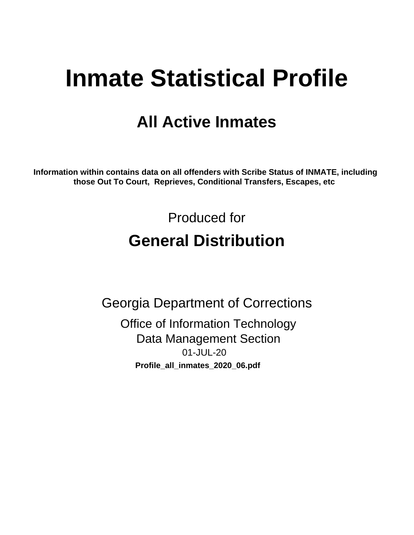# **Inmate Statistical Profile**

## **All Active Inmates**

Information within contains data on all offenders with Scribe Status of INMATE, including those Out To Court, Reprieves, Conditional Transfers, Escapes, etc

> Produced for **General Distribution**

**Georgia Department of Corrections Office of Information Technology Data Management Section** 01-JUL-20 Profile\_all\_inmates\_2020\_06.pdf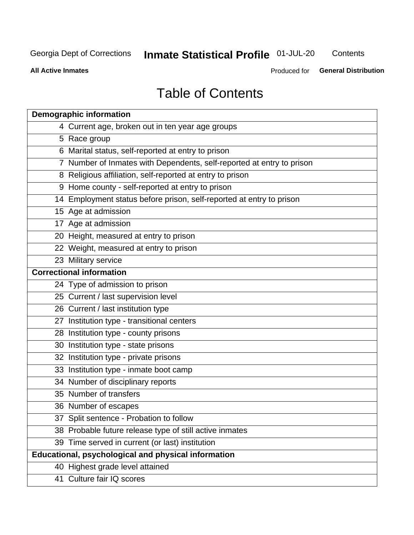## **Inmate Statistical Profile 01-JUL-20**

Contents

**All Active Inmates** 

Produced for General Distribution

## **Table of Contents**

| <b>Demographic information</b>                                        |
|-----------------------------------------------------------------------|
| 4 Current age, broken out in ten year age groups                      |
| 5 Race group                                                          |
| 6 Marital status, self-reported at entry to prison                    |
| 7 Number of Inmates with Dependents, self-reported at entry to prison |
| 8 Religious affiliation, self-reported at entry to prison             |
| 9 Home county - self-reported at entry to prison                      |
| 14 Employment status before prison, self-reported at entry to prison  |
| 15 Age at admission                                                   |
| 17 Age at admission                                                   |
| 20 Height, measured at entry to prison                                |
| 22 Weight, measured at entry to prison                                |
| 23 Military service                                                   |
| <b>Correctional information</b>                                       |
| 24 Type of admission to prison                                        |
| 25 Current / last supervision level                                   |
| 26 Current / last institution type                                    |
| 27 Institution type - transitional centers                            |
| 28 Institution type - county prisons                                  |
| 30 Institution type - state prisons                                   |
| 32 Institution type - private prisons                                 |
| 33 Institution type - inmate boot camp                                |
| 34 Number of disciplinary reports                                     |
| 35 Number of transfers                                                |
| 36 Number of escapes                                                  |
| 37 Split sentence - Probation to follow                               |
| 38 Probable future release type of still active inmates               |
| 39 Time served in current (or last) institution                       |
| Educational, psychological and physical information                   |
| 40 Highest grade level attained                                       |
| 41 Culture fair IQ scores                                             |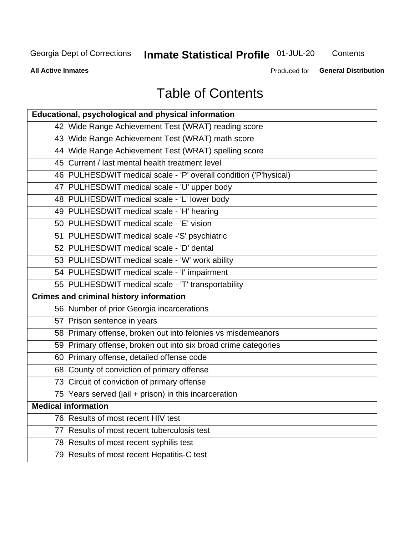## **Inmate Statistical Profile 01-JUL-20**

Contents

**All Active Inmates** 

Produced for **General Distribution** 

## **Table of Contents**

| Educational, psychological and physical information              |
|------------------------------------------------------------------|
| 42 Wide Range Achievement Test (WRAT) reading score              |
| 43 Wide Range Achievement Test (WRAT) math score                 |
| 44 Wide Range Achievement Test (WRAT) spelling score             |
| 45 Current / last mental health treatment level                  |
| 46 PULHESDWIT medical scale - 'P' overall condition ('P'hysical) |
| 47 PULHESDWIT medical scale - 'U' upper body                     |
| 48 PULHESDWIT medical scale - 'L' lower body                     |
| 49 PULHESDWIT medical scale - 'H' hearing                        |
| 50 PULHESDWIT medical scale - 'E' vision                         |
| 51 PULHESDWIT medical scale -'S' psychiatric                     |
| 52 PULHESDWIT medical scale - 'D' dental                         |
| 53 PULHESDWIT medical scale - 'W' work ability                   |
| 54 PULHESDWIT medical scale - 'I' impairment                     |
| 55 PULHESDWIT medical scale - 'T' transportability               |
| <b>Crimes and criminal history information</b>                   |
| 56 Number of prior Georgia incarcerations                        |
| 57 Prison sentence in years                                      |
| 58 Primary offense, broken out into felonies vs misdemeanors     |
| 59 Primary offense, broken out into six broad crime categories   |
| 60 Primary offense, detailed offense code                        |
| 68 County of conviction of primary offense                       |
| 73 Circuit of conviction of primary offense                      |
| 75 Years served (jail + prison) in this incarceration            |
| <b>Medical information</b>                                       |
| 76 Results of most recent HIV test                               |
| 77 Results of most recent tuberculosis test                      |
| 78 Results of most recent syphilis test                          |
| 79 Results of most recent Hepatitis-C test                       |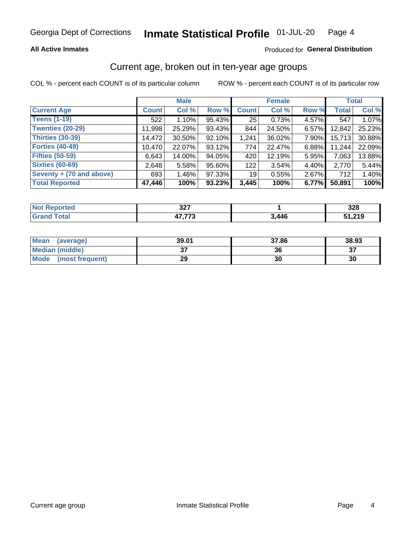#### **All Active Inmates**

#### Produced for General Distribution

## Current age, broken out in ten-year age groups

COL % - percent each COUNT is of its particular column

|                          |              | <b>Male</b> |        |              | <b>Female</b> |       |              | <b>Total</b> |
|--------------------------|--------------|-------------|--------|--------------|---------------|-------|--------------|--------------|
| <b>Current Age</b>       | <b>Count</b> | Col %       | Row %  | <b>Count</b> | Col %         | Row % | <b>Total</b> | Col %        |
| <b>Teens (1-19)</b>      | 522          | 1.10%       | 95.43% | 25           | 0.73%         | 4.57% | 547          | 1.07%        |
| <b>Twenties (20-29)</b>  | 11,998       | 25.29%      | 93.43% | 844          | 24.50%        | 6.57% | 12,842       | 25.23%       |
| <b>Thirties (30-39)</b>  | 14,472       | 30.50%      | 92.10% | 1,241        | 36.02%        | 7.90% | 15,713       | 30.88%       |
| <b>Forties (40-49)</b>   | 10,470       | 22.07%      | 93.12% | 774          | 22.47%        | 6.88% | 11,244       | 22.09%       |
| <b>Fifties (50-59)</b>   | 6,643        | 14.00%      | 94.05% | 420          | 12.19%        | 5.95% | 7,063        | 13.88%       |
| <b>Sixties (60-69)</b>   | 2.648        | 5.58%       | 95.60% | 122          | 3.54%         | 4.40% | 2,770        | 5.44%        |
| Seventy + (70 and above) | 693          | $1.46\%$    | 97.33% | 19           | 0.55%         | 2.67% | 712          | 1.40%        |
| <b>Total Reported</b>    | 47,446       | 100%        | 93.23% | 3,445        | 100%          | 6.77% | 50,891       | 100%         |

| <b>Not</b><br>теа<br>$\sim$ | 22<br>◡▵▮ |                | າາ໐<br>J∠o    |
|-----------------------------|-----------|----------------|---------------|
| $T \wedge f \wedge f$       | 17.770    | 2 <i>A A C</i> | 1. <b>210</b> |

| <b>Mean</b><br>(average) | 39.01         | 37.86 | 38.93    |
|--------------------------|---------------|-------|----------|
| Median (middle)          | $\sim$<br>ا پ | 36    | ^¬<br>o. |
| Mode<br>(most frequent)  | 29            | 30    | 30       |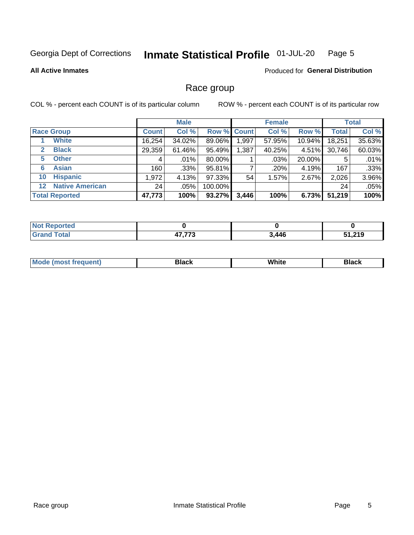#### Inmate Statistical Profile 01-JUL-20 Page 5

#### **All Active Inmates**

#### Produced for General Distribution

### Race group

COL % - percent each COUNT is of its particular column

|                   |                        |              | <b>Male</b> |         |                    | <b>Female</b> |        |              | <b>Total</b> |
|-------------------|------------------------|--------------|-------------|---------|--------------------|---------------|--------|--------------|--------------|
|                   | <b>Race Group</b>      | <b>Count</b> | Col %       |         | <b>Row % Count</b> | Col %         | Row %  | <b>Total</b> | Col %        |
|                   | <b>White</b>           | 16,254       | 34.02%      | 89.06%  | 1,997              | 57.95%        | 10.94% | 18,251       | 35.63%       |
| $\mathbf{2}$      | <b>Black</b>           | 29,359       | 61.46%      | 95.49%  | 1,387              | 40.25%        | 4.51%  | 30,746       | 60.03%       |
| 5.                | <b>Other</b>           | 4            | .01%        | 80.00%  |                    | $.03\%$       | 20.00% | 5            | .01%         |
| 6                 | <b>Asian</b>           | 160          | $.33\%$     | 95.81%  |                    | .20%          | 4.19%  | 167          | .33%         |
| 10                | <b>Hispanic</b>        | 1,972        | 4.13%       | 97.33%  | 54                 | $1.57\%$      | 2.67%  | 2,026        | 3.96%        |
| $12 \overline{ }$ | <b>Native American</b> | 24           | .05%        | 100.00% |                    |               |        | 24           | .05%         |
|                   | <b>Total Reported</b>  | 47,773       | 100%        | 93.27%  | 3,446              | 100%          | 6.73%  | 51,219       | 100%         |

| Reported<br>NO1        |                 |       |        |
|------------------------|-----------------|-------|--------|
| <b>Total</b><br>"Grano | パラ ララヘ<br>. . U | 3,446 | 51,219 |

|  | <b>Mc</b><br>uent) | 3lac l | סוווני<br>$\sim$ $\sim$ $\sim$ | зіаск |
|--|--------------------|--------|--------------------------------|-------|
|--|--------------------|--------|--------------------------------|-------|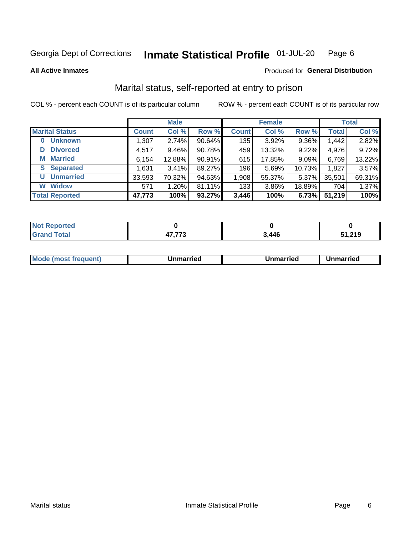#### Inmate Statistical Profile 01-JUL-20 Page 6

**All Active Inmates** 

#### Produced for General Distribution

## Marital status, self-reported at entry to prison

COL % - percent each COUNT is of its particular column

|                            |              | <b>Male</b> |        |                  | <b>Female</b> |        |              | <b>Total</b> |
|----------------------------|--------------|-------------|--------|------------------|---------------|--------|--------------|--------------|
| <b>Marital Status</b>      | <b>Count</b> | Col %       | Row %  | <b>Count</b>     | Col %         | Row %  | <b>Total</b> | Col %        |
| <b>Unknown</b><br>$\bf{0}$ | 1,307        | 2.74%       | 90.64% | 135              | 3.92%         | 9.36%  | 1,442        | 2.82%        |
| <b>Divorced</b><br>D       | 4,517        | $9.46\%$    | 90.78% | 459              | 13.32%        | 9.22%  | 4,976        | 9.72%        |
| <b>Married</b><br>М        | 6,154        | 12.88%      | 90.91% | 615              | 17.85%        | 9.09%  | 6,769        | 13.22%       |
| <b>S</b> Separated         | 1,631        | 3.41%       | 89.27% | 196 <sub>1</sub> | 5.69%         | 10.73% | 1,827        | 3.57%        |
| <b>Unmarried</b><br>U      | 33,593       | 70.32%      | 94.63% | 1,908            | 55.37%        | 5.37%  | 35,501       | 69.31%       |
| <b>Widow</b><br>W          | 571          | 1.20%       | 81.11% | 133              | 3.86%         | 18.89% | 704          | 1.37%        |
| <b>Total Reported</b>      | 47,773       | 100%        | 93.27% | 3,446            | 100%          | 6.73%  | 51,219       | 100%         |

| A (÷IO)<br>INO: |              |       |      |
|-----------------|--------------|-------|------|
| $int^{\bullet}$ | $- - -$<br>. | 3,446 | ,219 |

| <b>Mode (most frequent)</b><br>Unmarried<br>Unmarried<br>Jnmarried |
|--------------------------------------------------------------------|
|--------------------------------------------------------------------|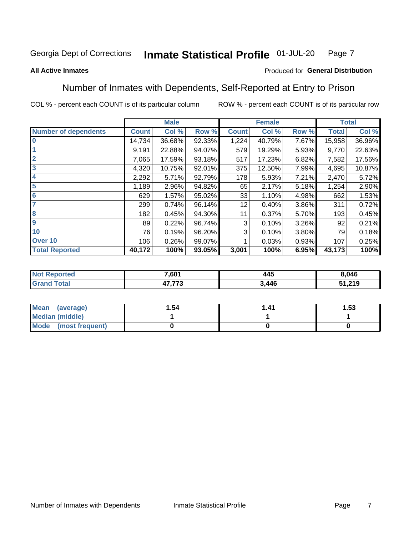#### Inmate Statistical Profile 01-JUL-20 Page 7

#### **All Active Inmates**

#### Produced for General Distribution

## Number of Inmates with Dependents, Self-Reported at Entry to Prison

COL % - percent each COUNT is of its particular column

|                             |              | <b>Male</b> |        |              | <b>Female</b> |          |              | <b>Total</b> |
|-----------------------------|--------------|-------------|--------|--------------|---------------|----------|--------------|--------------|
| <b>Number of dependents</b> | <b>Count</b> | Col %       | Row %  | <b>Count</b> | Col %         | Row %    | <b>Total</b> | Col %        |
| l 0                         | 14,734       | 36.68%      | 92.33% | 1,224        | 40.79%        | 7.67%    | 15,958       | 36.96%       |
|                             | 9,191        | 22.88%      | 94.07% | 579          | 19.29%        | 5.93%    | 9,770        | 22.63%       |
| $\overline{2}$              | 7,065        | 17.59%      | 93.18% | 517          | 17.23%        | 6.82%    | 7,582        | 17.56%       |
| $\mathbf{3}$                | 4,320        | 10.75%      | 92.01% | 375          | 12.50%        | 7.99%    | 4,695        | 10.87%       |
| $\overline{\mathbf{4}}$     | 2,292        | 5.71%       | 92.79% | 178          | 5.93%         | 7.21%    | 2,470        | 5.72%        |
| 5                           | 1,189        | 2.96%       | 94.82% | 65           | 2.17%         | 5.18%    | 1,254        | 2.90%        |
| 6                           | 629          | 1.57%       | 95.02% | 33           | 1.10%         | 4.98%    | 662          | 1.53%        |
| 7                           | 299          | 0.74%       | 96.14% | 12           | 0.40%         | 3.86%    | 311          | 0.72%        |
| 8                           | 182          | 0.45%       | 94.30% | 11           | 0.37%         | 5.70%    | 193          | 0.45%        |
| 9                           | 89           | 0.22%       | 96.74% | 3            | 0.10%         | 3.26%    | 92           | 0.21%        |
| 10                          | 76           | 0.19%       | 96.20% | 3            | 0.10%         | $3.80\%$ | 79           | 0.18%        |
| Over 10                     | 106          | 0.26%       | 99.07% |              | 0.03%         | 0.93%    | 107          | 0.25%        |
| <b>Total Reported</b>       | 40,172       | 100%        | 93.05% | 3,001        | 100%          | 6.95%    | 43,173       | 100%         |

| 7,601                      | .<br>445 | 8,046  |
|----------------------------|----------|--------|
| $\rightarrow - - -$<br>. ا | 446,     | 51,219 |

| Mean (average)          | 1.54 | 1 41 | l.53 |
|-------------------------|------|------|------|
| <b>Median (middle)</b>  |      |      |      |
| Mode<br>(most frequent) |      |      |      |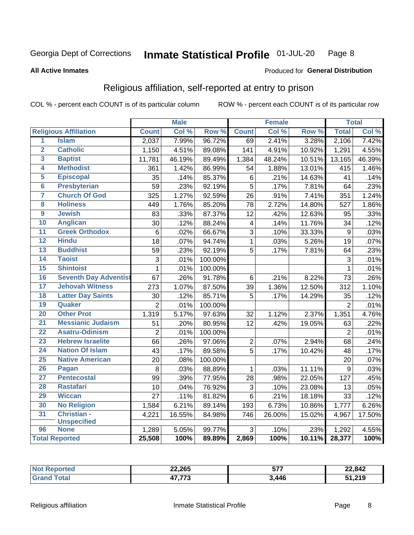#### Inmate Statistical Profile 01-JUL-20 Page 8

#### **All Active Inmates**

#### Produced for General Distribution

## Religious affiliation, self-reported at entry to prison

COL % - percent each COUNT is of its particular column

|                         |                              |                 | <b>Male</b> |         |                | <b>Female</b>      |                  |                | <b>Total</b> |
|-------------------------|------------------------------|-----------------|-------------|---------|----------------|--------------------|------------------|----------------|--------------|
|                         | <b>Religious Affiliation</b> | <b>Count</b>    | Col %       | Row %   | <b>Count</b>   | Col %              | Row <sup>%</sup> | <b>Total</b>   | Col %        |
| 1                       | <b>Islam</b>                 | 2,037           | 7.99%       | 96.72%  | 69             | 2.41%              | 3.28%            | 2,106          | 7.42%        |
| $\overline{\mathbf{2}}$ | <b>Catholic</b>              | 1,150           | 4.51%       | 89.08%  | 141            | 4.91%              | 10.92%           | 1,291          | 4.55%        |
| 3                       | <b>Baptist</b>               | 11,781          | 46.19%      | 89.49%  | 1,384          | 48.24%             | 10.51%           | 13,165         | 46.39%       |
| 4                       | <b>Methodist</b>             | 361             | 1.42%       | 86.99%  | 54             | 1.88%              | 13.01%           | 415            | 1.46%        |
| 5                       | <b>Episcopal</b>             | 35              | .14%        | 85.37%  | 6              | .21%               | 14.63%           | 41             | .14%         |
| $\overline{6}$          | <b>Presbyterian</b>          | 59              | .23%        | 92.19%  | 5              | .17%               | 7.81%            | 64             | .23%         |
| 7                       | <b>Church Of God</b>         | 325             | 1.27%       | 92.59%  | 26             | .91%               | 7.41%            | 351            | 1.24%        |
| 8                       | <b>Holiness</b>              | 449             | 1.76%       | 85.20%  | 78             | 2.72%              | 14.80%           | 527            | 1.86%        |
| $\overline{9}$          | <b>Jewish</b>                | 83              | .33%        | 87.37%  | 12             | .42%               | 12.63%           | 95             | .33%         |
| 10                      | <b>Anglican</b>              | 30              | .12%        | 88.24%  | 4              | .14%               | 11.76%           | 34             | .12%         |
| 11                      | <b>Greek Orthodox</b>        | $6\phantom{1}6$ | .02%        | 66.67%  | $\overline{3}$ | .10%               | 33.33%           | $\overline{9}$ | .03%         |
| 12                      | <b>Hindu</b>                 | 18              | .07%        | 94.74%  | $\mathbf{1}$   | .03%               | 5.26%            | 19             | .07%         |
| 13                      | <b>Buddhist</b>              | 59              | .23%        | 92.19%  | 5              | .17%               | 7.81%            | 64             | .23%         |
| $\overline{14}$         | <b>Taoist</b>                | 3               | .01%        | 100.00% |                |                    |                  | 3              | .01%         |
| 15                      | <b>Shintoist</b>             | $\mathbf{1}$    | .01%        | 100.00% |                |                    |                  | 1              | .01%         |
| 16                      | <b>Seventh Day Adventist</b> | 67              | .26%        | 91.78%  | $6\phantom{1}$ | $\overline{.21}$ % | 8.22%            | 73             | .26%         |
| 17                      | <b>Jehovah Witness</b>       | 273             | 1.07%       | 87.50%  | 39             | 1.36%              | 12.50%           | 312            | 1.10%        |
| 18                      | <b>Latter Day Saints</b>     | 30              | .12%        | 85.71%  | 5              | .17%               | 14.29%           | 35             | .12%         |
| 19                      | Quaker                       | $\overline{2}$  | .01%        | 100.00% |                |                    |                  | $\overline{2}$ | .01%         |
| 20                      | <b>Other Prot</b>            | 1,319           | 5.17%       | 97.63%  | 32             | 1.12%              | 2.37%            | 1,351          | 4.76%        |
| 21                      | <b>Messianic Judaism</b>     | 51              | .20%        | 80.95%  | 12             | .42%               | 19.05%           | 63             | .22%         |
| 22                      | <b>Asatru-Odinism</b>        | $\overline{2}$  | .01%        | 100.00% |                |                    |                  | $\overline{2}$ | .01%         |
| 23                      | <b>Hebrew Israelite</b>      | 66              | .26%        | 97.06%  | $\overline{2}$ | .07%               | 2.94%            | 68             | .24%         |
| 24                      | <b>Nation Of Islam</b>       | 43              | .17%        | 89.58%  | $\overline{5}$ | .17%               | 10.42%           | 48             | .17%         |
| 25                      | <b>Native American</b>       | 20              | .08%        | 100.00% |                |                    |                  | 20             | .07%         |
| 26                      | Pagan                        | 8               | .03%        | 88.89%  | $\mathbf{1}$   | .03%               | 11.11%           | 9              | .03%         |
| 27                      | <b>Pentecostal</b>           | 99              | .39%        | 77.95%  | 28             | .98%               | 22.05%           | 127            | .45%         |
| 28                      | <b>Rastafari</b>             | 10              | .04%        | 76.92%  | 3              | .10%               | 23.08%           | 13             | .05%         |
| 29                      | <b>Wiccan</b>                | $\overline{27}$ | .11%        | 81.82%  | $6\phantom{1}$ | .21%               | 18.18%           | 33             | .12%         |
| 30                      | <b>No Religion</b>           | 1,584           | 6.21%       | 89.14%  | 193            | 6.73%              | 10.86%           | 1,777          | 6.26%        |
| 31                      | Christian -                  | 4,221           | 16.55%      | 84.98%  | 746            | 26.00%             | 15.02%           | 4,967          | 17.50%       |
|                         | <b>Unspecified</b>           |                 |             |         |                |                    |                  |                |              |
| 96                      | <b>None</b>                  | 1,289           | 5.05%       | 99.77%  | 3              | .10%               | .23%             | 1,292          | 4.55%        |
|                         | <b>Total Reported</b>        | 25,508          | 100%        | 89.89%  | 2,869          | 100%               | 10.11%           | 28,377         | 100%         |

| тес. | 22,265                                 | ---<br><u>JI.</u><br>--- | 22,842 |
|------|----------------------------------------|--------------------------|--------|
|      | <del>ידי</del><br>$\rightarrow$<br>ن ، | 3,446                    | 51,219 |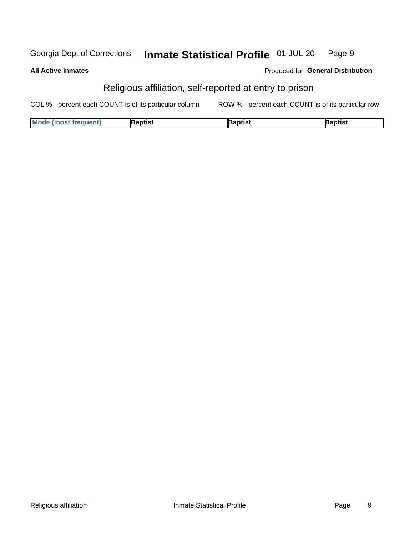#### Inmate Statistical Profile 01-JUL-20 Georgia Dept of Corrections Page 9

**All Active Inmates** 

| <b>Produced for General Distribution</b> |  |
|------------------------------------------|--|
|------------------------------------------|--|

## Religious affiliation, self-reported at entry to prison

COL % - percent each COUNT is of its particular column ROW % - percent each COUNT is of its particular row

| <b>Mode (most frequent)</b> | <b>3aptist</b> | }aptist | <b>Baptist</b> |
|-----------------------------|----------------|---------|----------------|
|-----------------------------|----------------|---------|----------------|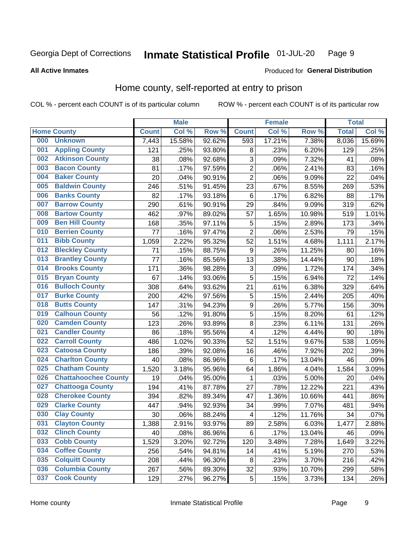#### Inmate Statistical Profile 01-JUL-20 Page 9

**All Active Inmates** 

#### Produced for General Distribution

## Home county, self-reported at entry to prison

COL % - percent each COUNT is of its particular column

|     |                             |              | <b>Male</b> |        |                         | <b>Female</b> |        | <b>Total</b> |        |
|-----|-----------------------------|--------------|-------------|--------|-------------------------|---------------|--------|--------------|--------|
|     | <b>Home County</b>          | <b>Count</b> | Col %       | Row %  | <b>Count</b>            | Col %         | Row %  | <b>Total</b> | Col %  |
| 000 | <b>Unknown</b>              | 7,443        | 15.58%      | 92.62% | 593                     | 17.21%        | 7.38%  | 8,036        | 15.69% |
| 001 | <b>Appling County</b>       | 121          | .25%        | 93.80% | 8                       | .23%          | 6.20%  | 129          | .25%   |
| 002 | <b>Atkinson County</b>      | 38           | .08%        | 92.68% | 3                       | .09%          | 7.32%  | 41           | .08%   |
| 003 | <b>Bacon County</b>         | 81           | .17%        | 97.59% | $\overline{2}$          | .06%          | 2.41%  | 83           | .16%   |
| 004 | <b>Baker County</b>         | 20           | .04%        | 90.91% | $\overline{2}$          | .06%          | 9.09%  | 22           | .04%   |
| 005 | <b>Baldwin County</b>       | 246          | .51%        | 91.45% | 23                      | .67%          | 8.55%  | 269          | .53%   |
| 006 | <b>Banks County</b>         | 82           | .17%        | 93.18% | $\,6$                   | .17%          | 6.82%  | 88           | .17%   |
| 007 | <b>Barrow County</b>        | 290          | .61%        | 90.91% | 29                      | .84%          | 9.09%  | 319          | .62%   |
| 008 | <b>Bartow County</b>        | 462          | .97%        | 89.02% | 57                      | 1.65%         | 10.98% | 519          | 1.01%  |
| 009 | <b>Ben Hill County</b>      | 168          | .35%        | 97.11% | 5                       | .15%          | 2.89%  | 173          | .34%   |
| 010 | <b>Berrien County</b>       | 77           | .16%        | 97.47% | $\overline{2}$          | .06%          | 2.53%  | 79           | .15%   |
| 011 | <b>Bibb County</b>          | 1,059        | 2.22%       | 95.32% | 52                      | 1.51%         | 4.68%  | 1,111        | 2.17%  |
| 012 | <b>Bleckley County</b>      | 71           | .15%        | 88.75% | $\boldsymbol{9}$        | .26%          | 11.25% | 80           | .16%   |
| 013 | <b>Brantley County</b>      | 77           | .16%        | 85.56% | 13                      | .38%          | 14.44% | 90           | .18%   |
| 014 | <b>Brooks County</b>        | 171          | .36%        | 98.28% | $\sqrt{3}$              | .09%          | 1.72%  | 174          | .34%   |
| 015 | <b>Bryan County</b>         | 67           | .14%        | 93.06% | 5                       | .15%          | 6.94%  | 72           | .14%   |
| 016 | <b>Bulloch County</b>       | 308          | .64%        | 93.62% | 21                      | .61%          | 6.38%  | 329          | .64%   |
| 017 | <b>Burke County</b>         | 200          | .42%        | 97.56% | 5                       | .15%          | 2.44%  | 205          | .40%   |
| 018 | <b>Butts County</b>         | 147          | .31%        | 94.23% | $\boldsymbol{9}$        | .26%          | 5.77%  | 156          | .30%   |
| 019 | <b>Calhoun County</b>       | 56           | .12%        | 91.80% | 5                       | .15%          | 8.20%  | 61           | .12%   |
| 020 | <b>Camden County</b>        | 123          | .26%        | 93.89% | $\bf 8$                 | .23%          | 6.11%  | 131          | .26%   |
| 021 | <b>Candler County</b>       | 86           | .18%        | 95.56% | $\overline{\mathbf{4}}$ | .12%          | 4.44%  | 90           | .18%   |
| 022 | <b>Carroll County</b>       | 486          | 1.02%       | 90.33% | 52                      | 1.51%         | 9.67%  | 538          | 1.05%  |
| 023 | <b>Catoosa County</b>       | 186          | .39%        | 92.08% | 16                      | .46%          | 7.92%  | 202          | .39%   |
| 024 | <b>Charlton County</b>      | 40           | .08%        | 86.96% | 6                       | .17%          | 13.04% | 46           | .09%   |
| 025 | <b>Chatham County</b>       | 1,520        | 3.18%       | 95.96% | 64                      | 1.86%         | 4.04%  | 1,584        | 3.09%  |
| 026 | <b>Chattahoochee County</b> | 19           | .04%        | 95.00% | 1                       | .03%          | 5.00%  | 20           | .04%   |
| 027 | <b>Chattooga County</b>     | 194          | .41%        | 87.78% | 27                      | .78%          | 12.22% | 221          | .43%   |
| 028 | <b>Cherokee County</b>      | 394          | .82%        | 89.34% | 47                      | 1.36%         | 10.66% | 441          | .86%   |
| 029 | <b>Clarke County</b>        | 447          | .94%        | 92.93% | 34                      | .99%          | 7.07%  | 481          | .94%   |
| 030 | <b>Clay County</b>          | 30           | .06%        | 88.24% | $\overline{\mathbf{4}}$ | .12%          | 11.76% | 34           | .07%   |
| 031 | <b>Clayton County</b>       | 1,388        | 2.91%       | 93.97% | 89                      | 2.58%         | 6.03%  | 1,477        | 2.88%  |
| 032 | <b>Clinch County</b>        | 40           | .08%        | 86.96% | 6                       | .17%          | 13.04% | 46           | .09%   |
| 033 | <b>Cobb County</b>          | 1,529        | 3.20%       | 92.72% | 120                     | 3.48%         | 7.28%  | 1,649        | 3.22%  |
| 034 | <b>Coffee County</b>        | 256          | .54%        | 94.81% | 14                      | .41%          | 5.19%  | 270          | .53%   |
| 035 | <b>Colquitt County</b>      | 208          | .44%        | 96.30% | 8                       | .23%          | 3.70%  | 216          | .42%   |
| 036 | <b>Columbia County</b>      | 267          | .56%        | 89.30% | 32                      | .93%          | 10.70% | 299          | .58%   |
| 037 | <b>Cook County</b>          | 129          | .27%        | 96.27% | $\mathbf 5$             | .15%          | 3.73%  | 134          | .26%   |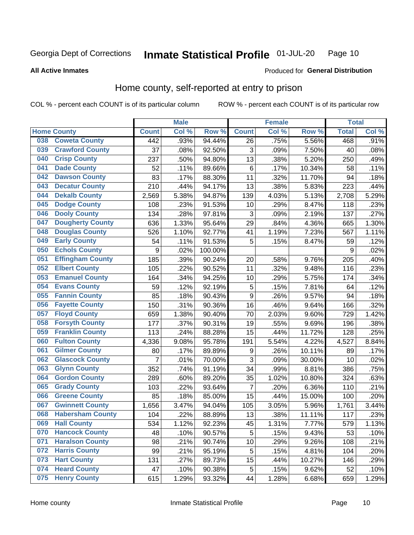#### **Inmate Statistical Profile 01-JUL-20** Page 10

#### **All Active Inmates**

#### Produced for General Distribution

## Home county, self-reported at entry to prison

COL % - percent each COUNT is of its particular column

|     |                         | <b>Male</b><br><b>Female</b> |       | <b>Total</b> |              |       |        |              |       |
|-----|-------------------------|------------------------------|-------|--------------|--------------|-------|--------|--------------|-------|
|     | <b>Home County</b>      | <b>Count</b>                 | Col % | Row %        | <b>Count</b> | Col % | Row %  | <b>Total</b> | Col % |
| 038 | <b>Coweta County</b>    | 442                          | .93%  | 94.44%       | 26           | .75%  | 5.56%  | 468          | .91%  |
| 039 | <b>Crawford County</b>  | 37                           | .08%  | 92.50%       | 3            | .09%  | 7.50%  | 40           | .08%  |
| 040 | <b>Crisp County</b>     | 237                          | .50%  | 94.80%       | 13           | .38%  | 5.20%  | 250          | .49%  |
| 041 | <b>Dade County</b>      | 52                           | .11%  | 89.66%       | $\,6$        | .17%  | 10.34% | 58           | .11%  |
| 042 | <b>Dawson County</b>    | 83                           | .17%  | 88.30%       | 11           | .32%  | 11.70% | 94           | .18%  |
| 043 | <b>Decatur County</b>   | 210                          | .44%  | 94.17%       | 13           | .38%  | 5.83%  | 223          | .44%  |
| 044 | <b>Dekalb County</b>    | 2,569                        | 5.38% | 94.87%       | 139          | 4.03% | 5.13%  | 2,708        | 5.29% |
| 045 | <b>Dodge County</b>     | 108                          | .23%  | 91.53%       | 10           | .29%  | 8.47%  | 118          | .23%  |
| 046 | <b>Dooly County</b>     | 134                          | .28%  | 97.81%       | 3            | .09%  | 2.19%  | 137          | .27%  |
| 047 | <b>Dougherty County</b> | 636                          | 1.33% | 95.64%       | 29           | .84%  | 4.36%  | 665          | 1.30% |
| 048 | <b>Douglas County</b>   | 526                          | 1.10% | 92.77%       | 41           | 1.19% | 7.23%  | 567          | 1.11% |
| 049 | <b>Early County</b>     | 54                           | .11%  | 91.53%       | 5            | .15%  | 8.47%  | 59           | .12%  |
| 050 | <b>Echols County</b>    | 9                            | .02%  | 100.00%      |              |       |        | 9            | .02%  |
| 051 | <b>Effingham County</b> | 185                          | .39%  | 90.24%       | 20           | .58%  | 9.76%  | 205          | .40%  |
| 052 | <b>Elbert County</b>    | 105                          | .22%  | 90.52%       | 11           | .32%  | 9.48%  | 116          | .23%  |
| 053 | <b>Emanuel County</b>   | 164                          | .34%  | 94.25%       | 10           | .29%  | 5.75%  | 174          | .34%  |
| 054 | <b>Evans County</b>     | 59                           | .12%  | 92.19%       | 5            | .15%  | 7.81%  | 64           | .12%  |
| 055 | <b>Fannin County</b>    | 85                           | .18%  | 90.43%       | 9            | .26%  | 9.57%  | 94           | .18%  |
| 056 | <b>Fayette County</b>   | 150                          | .31%  | 90.36%       | 16           | .46%  | 9.64%  | 166          | .32%  |
| 057 | <b>Floyd County</b>     | 659                          | 1.38% | 90.40%       | 70           | 2.03% | 9.60%  | 729          | 1.42% |
| 058 | <b>Forsyth County</b>   | 177                          | .37%  | 90.31%       | 19           | .55%  | 9.69%  | 196          | .38%  |
| 059 | <b>Franklin County</b>  | 113                          | .24%  | 88.28%       | 15           | .44%  | 11.72% | 128          | .25%  |
| 060 | <b>Fulton County</b>    | 4,336                        | 9.08% | 95.78%       | 191          | 5.54% | 4.22%  | 4,527        | 8.84% |
| 061 | <b>Gilmer County</b>    | 80                           | .17%  | 89.89%       | 9            | .26%  | 10.11% | 89           | .17%  |
| 062 | <b>Glascock County</b>  | $\overline{7}$               | .01%  | 70.00%       | 3            | .09%  | 30.00% | 10           | .02%  |
| 063 | <b>Glynn County</b>     | 352                          | .74%  | 91.19%       | 34           | .99%  | 8.81%  | 386          | .75%  |
| 064 | <b>Gordon County</b>    | 289                          | .60%  | 89.20%       | 35           | 1.02% | 10.80% | 324          | .63%  |
| 065 | <b>Grady County</b>     | 103                          | .22%  | 93.64%       | 7            | .20%  | 6.36%  | 110          | .21%  |
| 066 | <b>Greene County</b>    | 85                           | .18%  | 85.00%       | 15           | .44%  | 15.00% | 100          | .20%  |
| 067 | <b>Gwinnett County</b>  | 1,656                        | 3.47% | 94.04%       | 105          | 3.05% | 5.96%  | 1,761        | 3.44% |
| 068 | <b>Habersham County</b> | 104                          | .22%  | 88.89%       | 13           | .38%  | 11.11% | 117          | .23%  |
| 069 | <b>Hall County</b>      | 534                          | 1.12% | 92.23%       | 45           | 1.31% | 7.77%  | 579          | 1.13% |
| 070 | <b>Hancock County</b>   | 48                           | .10%  | 90.57%       | 5            | .15%  | 9.43%  | 53           | .10%  |
| 071 | <b>Haralson County</b>  | 98                           | .21%  | 90.74%       | 10           | .29%  | 9.26%  | 108          | .21%  |
| 072 | <b>Harris County</b>    | 99                           | .21%  | 95.19%       | 5            | .15%  | 4.81%  | 104          | .20%  |
| 073 | <b>Hart County</b>      | 131                          | .27%  | 89.73%       | 15           | .44%  | 10.27% | 146          | .29%  |
| 074 | <b>Heard County</b>     | 47                           | .10%  | 90.38%       | 5            | .15%  | 9.62%  | 52           | .10%  |
| 075 | <b>Henry County</b>     | 615                          | 1.29% | 93.32%       | 44           | 1.28% | 6.68%  | 659          | 1.29% |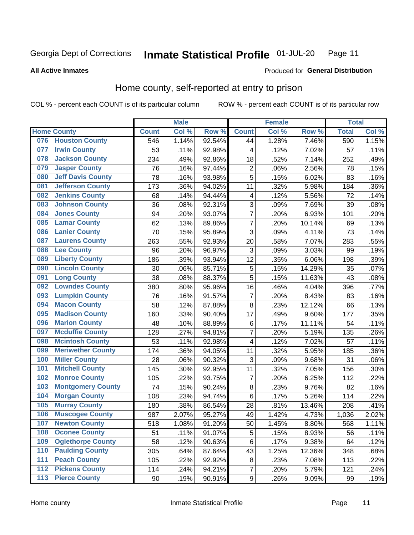#### Inmate Statistical Profile 01-JUL-20 Page 11

**All Active Inmates** 

#### Produced for General Distribution

## Home county, self-reported at entry to prison

COL % - percent each COUNT is of its particular column

|     |                          |              | <b>Male</b> |                  |                  | <b>Female</b> |        | <b>Total</b> |       |
|-----|--------------------------|--------------|-------------|------------------|------------------|---------------|--------|--------------|-------|
|     | <b>Home County</b>       | <b>Count</b> | Col %       | Row <sup>%</sup> | <b>Count</b>     | Col %         | Row %  | <b>Total</b> | Col % |
|     | 076 Houston County       | 546          | 1.14%       | 92.54%           | 44               | 1.28%         | 7.46%  | 590          | 1.15% |
| 077 | <b>Irwin County</b>      | 53           | .11%        | 92.98%           | 4                | .12%          | 7.02%  | 57           | .11%  |
| 078 | <b>Jackson County</b>    | 234          | .49%        | 92.86%           | 18               | .52%          | 7.14%  | 252          | .49%  |
| 079 | <b>Jasper County</b>     | 76           | .16%        | 97.44%           | $\overline{c}$   | .06%          | 2.56%  | 78           | .15%  |
| 080 | <b>Jeff Davis County</b> | 78           | .16%        | 93.98%           | 5                | .15%          | 6.02%  | 83           | .16%  |
| 081 | <b>Jefferson County</b>  | 173          | .36%        | 94.02%           | 11               | .32%          | 5.98%  | 184          | .36%  |
| 082 | <b>Jenkins County</b>    | 68           | .14%        | 94.44%           | 4                | .12%          | 5.56%  | 72           | .14%  |
| 083 | <b>Johnson County</b>    | 36           | .08%        | 92.31%           | 3                | .09%          | 7.69%  | 39           | .08%  |
| 084 | <b>Jones County</b>      | 94           | .20%        | 93.07%           | $\overline{7}$   | .20%          | 6.93%  | 101          | .20%  |
| 085 | <b>Lamar County</b>      | 62           | .13%        | 89.86%           | $\overline{7}$   | .20%          | 10.14% | 69           | .13%  |
| 086 | <b>Lanier County</b>     | 70           | .15%        | 95.89%           | 3                | .09%          | 4.11%  | 73           | .14%  |
| 087 | <b>Laurens County</b>    | 263          | .55%        | 92.93%           | 20               | .58%          | 7.07%  | 283          | .55%  |
| 088 | <b>Lee County</b>        | 96           | .20%        | 96.97%           | 3                | .09%          | 3.03%  | 99           | .19%  |
| 089 | <b>Liberty County</b>    | 186          | .39%        | 93.94%           | 12               | .35%          | 6.06%  | 198          | .39%  |
| 090 | <b>Lincoln County</b>    | 30           | .06%        | 85.71%           | 5                | .15%          | 14.29% | 35           | .07%  |
| 091 | <b>Long County</b>       | 38           | .08%        | 88.37%           | 5                | .15%          | 11.63% | 43           | .08%  |
| 092 | <b>Lowndes County</b>    | 380          | .80%        | 95.96%           | 16               | .46%          | 4.04%  | 396          | .77%  |
| 093 | <b>Lumpkin County</b>    | 76           | .16%        | 91.57%           | $\overline{7}$   | .20%          | 8.43%  | 83           | .16%  |
| 094 | <b>Macon County</b>      | 58           | .12%        | 87.88%           | 8                | .23%          | 12.12% | 66           | .13%  |
| 095 | <b>Madison County</b>    | 160          | .33%        | 90.40%           | 17               | .49%          | 9.60%  | 177          | .35%  |
| 096 | <b>Marion County</b>     | 48           | .10%        | 88.89%           | $\,6$            | .17%          | 11.11% | 54           | .11%  |
| 097 | <b>Mcduffie County</b>   | 128          | .27%        | 94.81%           | $\overline{7}$   | .20%          | 5.19%  | 135          | .26%  |
| 098 | <b>Mcintosh County</b>   | 53           | .11%        | 92.98%           | 4                | .12%          | 7.02%  | 57           | .11%  |
| 099 | <b>Meriwether County</b> | 174          | .36%        | 94.05%           | 11               | .32%          | 5.95%  | 185          | .36%  |
| 100 | <b>Miller County</b>     | 28           | .06%        | 90.32%           | 3                | .09%          | 9.68%  | 31           | .06%  |
| 101 | <b>Mitchell County</b>   | 145          | .30%        | 92.95%           | 11               | .32%          | 7.05%  | 156          | .30%  |
| 102 | <b>Monroe County</b>     | 105          | .22%        | 93.75%           | $\overline{7}$   | .20%          | 6.25%  | 112          | .22%  |
| 103 | <b>Montgomery County</b> | 74           | .15%        | 90.24%           | 8                | .23%          | 9.76%  | 82           | .16%  |
| 104 | <b>Morgan County</b>     | 108          | .23%        | 94.74%           | $\,6$            | .17%          | 5.26%  | 114          | .22%  |
| 105 | <b>Murray County</b>     | 180          | .38%        | 86.54%           | 28               | .81%          | 13.46% | 208          | .41%  |
| 106 | <b>Muscogee County</b>   | 987          | 2.07%       | 95.27%           | 49               | 1.42%         | 4.73%  | 1,036        | 2.02% |
| 107 | <b>Newton County</b>     | 518          | 1.08%       | 91.20%           | 50               | 1.45%         | 8.80%  | 568          | 1.11% |
| 108 | <b>Oconee County</b>     | 51           | .11%        | 91.07%           | 5                | .15%          | 8.93%  | 56           | .11%  |
| 109 | <b>Oglethorpe County</b> | 58           | .12%        | 90.63%           | 6                | .17%          | 9.38%  | 64           | .12%  |
| 110 | <b>Paulding County</b>   | 305          | .64%        | 87.64%           | 43               | 1.25%         | 12.36% | 348          | .68%  |
| 111 | <b>Peach County</b>      | 105          | .22%        | 92.92%           | 8                | .23%          | 7.08%  | 113          | .22%  |
| 112 | <b>Pickens County</b>    | 114          | .24%        | 94.21%           | $\overline{7}$   | .20%          | 5.79%  | 121          | .24%  |
| 113 | <b>Pierce County</b>     | 90           | .19%        | 90.91%           | $\boldsymbol{9}$ | .26%          | 9.09%  | 99           | .19%  |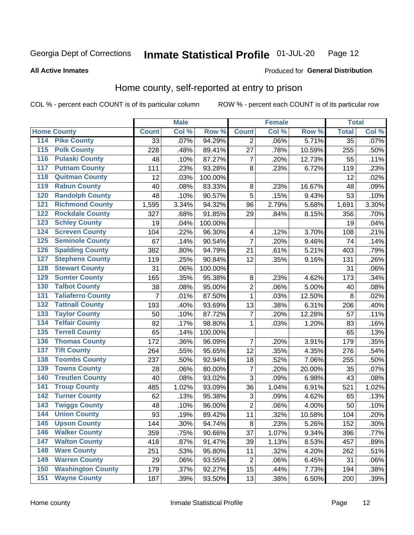#### Inmate Statistical Profile 01-JUL-20 Page 12

**All Active Inmates** 

#### Produced for General Distribution

## Home county, self-reported at entry to prison

COL % - percent each COUNT is of its particular column

|                    |                          |              | <b>Male</b> |         |                         | <b>Female</b> |                     | <b>Total</b>    |       |
|--------------------|--------------------------|--------------|-------------|---------|-------------------------|---------------|---------------------|-----------------|-------|
| <b>Home County</b> |                          | <b>Count</b> | Col %       | Row %   | <b>Count</b>            | Col %         | Row %               | <b>Total</b>    | Col % |
| 114                | <b>Pike County</b>       | 33           | .07%        | 94.29%  | $\overline{2}$          | .06%          | 5.71%               | $\overline{35}$ | .07%  |
| $\overline{115}$   | <b>Polk County</b>       | 228          | .48%        | 89.41%  | 27                      | .78%          | 10.59%              | 255             | .50%  |
| 116                | <b>Pulaski County</b>    | 48           | .10%        | 87.27%  | $\overline{7}$          | .20%          | 12.73%              | 55              | .11%  |
| 117                | <b>Putnam County</b>     | 111          | .23%        | 93.28%  | 8                       | .23%          | 6.72%               | 119             | .23%  |
| 118                | <b>Quitman County</b>    | 12           | .03%        | 100.00% |                         |               |                     | 12              | .02%  |
| 119                | <b>Rabun County</b>      | 40           | .08%        | 83.33%  | 8                       | .23%          | 16.67%              | 48              | .09%  |
| 120                | <b>Randolph County</b>   | 48           | .10%        | 90.57%  | 5                       | .15%          | 9.43%               | 53              | .10%  |
| 121                | <b>Richmond County</b>   | 1,595        | 3.34%       | 94.32%  | 96                      | 2.79%         | 5.68%               | 1,691           | 3.30% |
| 122                | <b>Rockdale County</b>   | 327          | .68%        | 91.85%  | 29                      | .84%          | 8.15%               | 356             | .70%  |
| 123                | <b>Schley County</b>     | 19           | .04%        | 100.00% |                         |               |                     | 19              | .04%  |
| 124                | <b>Screven County</b>    | 104          | .22%        | 96.30%  | $\overline{\mathbf{4}}$ | .12%          | 3.70%               | 108             | .21%  |
| 125                | <b>Seminole County</b>   | 67           | .14%        | 90.54%  | $\overline{7}$          | .20%          | 9.46%               | 74              | .14%  |
| 126                | <b>Spalding County</b>   | 382          | .80%        | 94.79%  | 21                      | .61%          | 5.21%               | 403             | .79%  |
| 127                | <b>Stephens County</b>   | 119          | .25%        | 90.84%  | 12                      | .35%          | 9.16%               | 131             | .26%  |
| 128                | <b>Stewart County</b>    | 31           | .06%        | 100.00% |                         |               |                     | 31              | .06%  |
| 129                | <b>Sumter County</b>     | 165          | .35%        | 95.38%  | 8                       | .23%          | 4.62%               | 173             | .34%  |
| 130                | <b>Talbot County</b>     | 38           | .08%        | 95.00%  | $\overline{2}$          | .06%          | 5.00%               | 40              | .08%  |
| 131                | <b>Taliaferro County</b> | 7            | .01%        | 87.50%  | $\mathbf 1$             | .03%          | 12.50%              | 8               | .02%  |
| 132                | <b>Tattnall County</b>   | 193          | .40%        | 93.69%  | 13                      | .38%          | 6.31%               | 206             | .40%  |
| 133                | <b>Taylor County</b>     | 50           | .10%        | 87.72%  | $\overline{7}$          | .20%          | 12.28%              | 57              | .11%  |
| 134                | <b>Telfair County</b>    | 82           | .17%        | 98.80%  | 1                       | .03%          | $\overline{1.20\%}$ | 83              | .16%  |
| 135                | <b>Terrell County</b>    | 65           | .14%        | 100.00% |                         |               |                     | 65              | .13%  |
| 136                | <b>Thomas County</b>     | 172          | .36%        | 96.09%  | $\overline{7}$          | .20%          | 3.91%               | 179             | .35%  |
| 137                | <b>Tift County</b>       | 264          | .55%        | 95.65%  | 12                      | .35%          | 4.35%               | 276             | .54%  |
| 138                | <b>Toombs County</b>     | 237          | .50%        | 92.94%  | 18                      | .52%          | 7.06%               | 255             | .50%  |
| 139                | <b>Towns County</b>      | 28           | .06%        | 80.00%  | 7                       | .20%          | 20.00%              | 35              | .07%  |
| 140                | <b>Treutlen County</b>   | 40           | .08%        | 93.02%  | $\overline{3}$          | .09%          | 6.98%               | 43              | .08%  |
| 141                | <b>Troup County</b>      | 485          | 1.02%       | 93.09%  | 36                      | 1.04%         | 6.91%               | 521             | 1.02% |
| $\overline{142}$   | <b>Turner County</b>     | 62           | .13%        | 95.38%  | 3                       | .09%          | 4.62%               | 65              | .13%  |
| 143                | <b>Twiggs County</b>     | 48           | .10%        | 96.00%  | $\overline{c}$          | .06%          | 4.00%               | 50              | .10%  |
| 144                | <b>Union County</b>      | 93           | .19%        | 89.42%  | 11                      | .32%          | 10.58%              | 104             | .20%  |
| 145                | <b>Upson County</b>      | 144          | .30%        | 94.74%  | 8                       | .23%          | 5.26%               | 152             | .30%  |
| 146                | <b>Walker County</b>     | 359          | .75%        | 90.66%  | 37                      | 1.07%         | 9.34%               | 396             | .77%  |
| 147                | <b>Walton County</b>     | 418          | .87%        | 91.47%  | 39                      | 1.13%         | 8.53%               | 457             | .89%  |
| 148                | <b>Ware County</b>       | 251          | .53%        | 95.80%  | 11                      | .32%          | 4.20%               | 262             | .51%  |
| 149                | <b>Warren County</b>     | 29           | .06%        | 93.55%  | $\overline{2}$          | .06%          | 6.45%               | 31              | .06%  |
| 150                | <b>Washington County</b> | 179          | .37%        | 92.27%  | 15                      | .44%          | 7.73%               | 194             | .38%  |
| 151                | <b>Wayne County</b>      | 187          | .39%        | 93.50%  | 13                      | .38%          | 6.50%               | 200             | .39%  |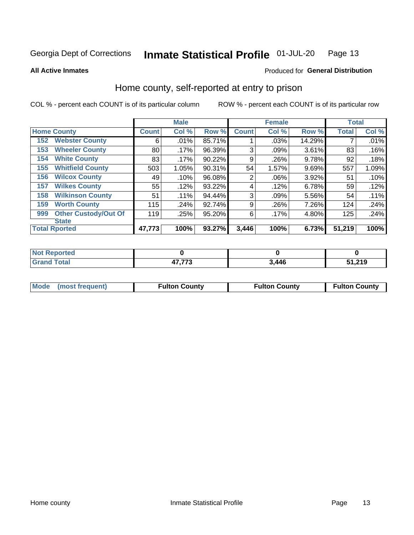#### Inmate Statistical Profile 01-JUL-20 Page 13

**All Active Inmates** 

#### Produced for General Distribution

## Home county, self-reported at entry to prison

COL % - percent each COUNT is of its particular column

|     |                             |              | <b>Male</b> |        |                | <b>Female</b> |        | <b>Total</b> |       |
|-----|-----------------------------|--------------|-------------|--------|----------------|---------------|--------|--------------|-------|
|     | <b>Home County</b>          | <b>Count</b> | Col %       | Row %  | <b>Count</b>   | Col %         | Row %  | <b>Total</b> | Col % |
| 152 | <b>Webster County</b>       | 6            | .01%        | 85.71% |                | .03%          | 14.29% |              | .01%  |
| 153 | <b>Wheeler County</b>       | 80           | .17%        | 96.39% | 3              | .09%          | 3.61%  | 83           | .16%  |
| 154 | <b>White County</b>         | 83           | $.17\%$     | 90.22% | 9              | .26%          | 9.78%  | 92           | .18%  |
| 155 | <b>Whitfield County</b>     | 503          | 1.05%       | 90.31% | 54             | 1.57%         | 9.69%  | 557          | 1.09% |
| 156 | <b>Wilcox County</b>        | 49           | .10%        | 96.08% | $\overline{2}$ | .06%          | 3.92%  | 51           | .10%  |
| 157 | <b>Wilkes County</b>        | 55           | .12%        | 93.22% | 4              | .12%          | 6.78%  | 59           | .12%  |
| 158 | <b>Wilkinson County</b>     | 51           | $.11\%$     | 94.44% | 3              | .09%          | 5.56%  | 54           | .11%  |
| 159 | <b>Worth County</b>         | 115          | .24%        | 92.74% | 9              | .26%          | 7.26%  | 124          | .24%  |
| 999 | <b>Other Custody/Out Of</b> | 119          | .25%        | 95.20% | 6              | .17%          | 4.80%  | 125          | .24%  |
|     | <b>State</b>                |              |             |        |                |               |        |              |       |
|     | <b>Total Rported</b>        | 47,773       | 100%        | 93.27% | 3,446          | 100%          | 6.73%  | 51,219       | 100%  |

| Reported<br>NO |                                        |       |                         |
|----------------|----------------------------------------|-------|-------------------------|
| `otal<br>_____ | $- - - -$<br>$\rightarrow$<br>- 11<br> | 3,446 | <b>54 240</b><br>כו בוי |

|  | Mode (most frequent) | <b>Fulton County</b> | <b>Fulton County</b> | <b>Fulton County</b> |
|--|----------------------|----------------------|----------------------|----------------------|
|--|----------------------|----------------------|----------------------|----------------------|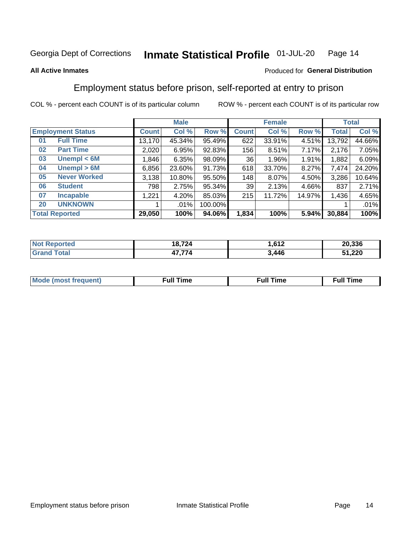#### Inmate Statistical Profile 01-JUL-20 Page 14

#### **All Active Inmates**

#### Produced for General Distribution

## Employment status before prison, self-reported at entry to prison

COL % - percent each COUNT is of its particular column

|                             |              | <b>Male</b> |         |              | <b>Female</b> |        |        | <b>Total</b> |
|-----------------------------|--------------|-------------|---------|--------------|---------------|--------|--------|--------------|
| <b>Employment Status</b>    | <b>Count</b> | Col %       | Row %   | <b>Count</b> | Col %         | Row %  | Total  | Col %        |
| <b>Full Time</b><br>01      | 13,170       | 45.34%      | 95.49%  | 622          | 33.91%        | 4.51%  | 13,792 | 44.66%       |
| <b>Part Time</b><br>02      | 2,020        | 6.95%       | 92.83%  | 156          | 8.51%         | 7.17%  | 2,176  | 7.05%        |
| Unempl $<$ 6M<br>03         | 1,846        | 6.35%       | 98.09%  | 36           | 1.96%         | 1.91%  | 1,882  | 6.09%        |
| Unempl > 6M<br>04           | 6,856        | 23.60%      | 91.73%  | 618          | 33.70%        | 8.27%  | 7,474  | 24.20%       |
| <b>Never Worked</b><br>05   | 3,138        | 10.80%      | 95.50%  | 148          | 8.07%         | 4.50%  | 3,286  | 10.64%       |
| <b>Student</b><br>06        | 798          | 2.75%       | 95.34%  | 39           | 2.13%         | 4.66%  | 837    | 2.71%        |
| 07<br><b>Incapable</b>      | 1,221        | 4.20%       | 85.03%  | 215          | 11.72%        | 14.97% | 1,436  | 4.65%        |
| <b>UNKNOWN</b><br><b>20</b> |              | $.01\%$     | 100.00% |              |               |        |        | .01%         |
| <b>Total Reported</b>       | 29,050       | 100%        | 94.06%  | 1,834        | 100%          | 5.94%  | 30,884 | 100%         |

| <b>Not Reported</b> | 18,724 | .612  | 20,336 |
|---------------------|--------|-------|--------|
| <b>Grand Total</b>  | 47,774 | 3,446 | 51,220 |

| <b>Mode (most frequent)</b> | $^{\prime\prime}$ Time | <b>Time</b><br>rull i |
|-----------------------------|------------------------|-----------------------|
|                             |                        |                       |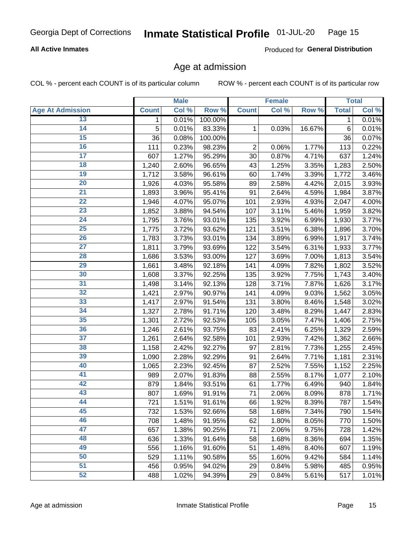#### **All Active Inmates**

Produced for General Distribution

## Age at admission

COL % - percent each COUNT is of its particular column

|                         |              | <b>Male</b> |         |                | <b>Female</b>       |        |              | <b>Total</b> |
|-------------------------|--------------|-------------|---------|----------------|---------------------|--------|--------------|--------------|
| <b>Age At Admission</b> | <b>Count</b> | Col %       | Row %   | <b>Count</b>   | Col %               | Row %  | <b>Total</b> | Col %        |
| 13                      | 1            | 0.01%       | 100.00% |                |                     |        | 1            | 0.01%        |
| $\overline{14}$         | 5            | 0.01%       | 83.33%  | 1              | 0.03%               | 16.67% | $\,6$        | 0.01%        |
| 15                      | 36           | 0.08%       | 100.00% |                |                     |        | 36           | 0.07%        |
| 16                      | 111          | 0.23%       | 98.23%  | $\overline{2}$ | 0.06%               | 1.77%  | 113          | 0.22%        |
| $\overline{17}$         | 607          | 1.27%       | 95.29%  | 30             | 0.87%               | 4.71%  | 637          | 1.24%        |
| 18                      | 1,240        | 2.60%       | 96.65%  | 43             | 1.25%               | 3.35%  | 1,283        | 2.50%        |
| 19                      | 1,712        | 3.58%       | 96.61%  | 60             | 1.74%               | 3.39%  | 1,772        | 3.46%        |
| $\overline{20}$         | 1,926        | 4.03%       | 95.58%  | 89             | 2.58%               | 4.42%  | 2,015        | 3.93%        |
| $\overline{21}$         | 1,893        | 3.96%       | 95.41%  | 91             | 2.64%               | 4.59%  | 1,984        | 3.87%        |
| $\overline{22}$         | 1,946        | 4.07%       | 95.07%  | 101            | 2.93%               | 4.93%  | 2,047        | 4.00%        |
| 23                      | 1,852        | 3.88%       | 94.54%  | 107            | 3.11%               | 5.46%  | 1,959        | 3.82%        |
| $\overline{24}$         | 1,795        | 3.76%       | 93.01%  | 135            | 3.92%               | 6.99%  | 1,930        | 3.77%        |
| $\overline{25}$         | 1,775        | 3.72%       | 93.62%  | 121            | 3.51%               | 6.38%  | 1,896        | 3.70%        |
| 26                      | 1,783        | 3.73%       | 93.01%  | 134            | 3.89%               | 6.99%  | 1,917        | 3.74%        |
| $\overline{27}$         | 1,811        | 3.79%       | 93.69%  | 122            | 3.54%               | 6.31%  | 1,933        | 3.77%        |
| 28                      | 1,686        | 3.53%       | 93.00%  | 127            | 3.69%               | 7.00%  | 1,813        | 3.54%        |
| 29                      | 1,661        | 3.48%       | 92.18%  | 141            | 4.09%               | 7.82%  | 1,802        | 3.52%        |
| 30                      | 1,608        | 3.37%       | 92.25%  | 135            | 3.92%               | 7.75%  | 1,743        | 3.40%        |
| 31                      | 1,498        | 3.14%       | 92.13%  | 128            | 3.71%               | 7.87%  | 1,626        | 3.17%        |
| 32                      | 1,421        | 2.97%       | 90.97%  | 141            | 4.09%               | 9.03%  | 1,562        | 3.05%        |
| 33                      | 1,417        | 2.97%       | 91.54%  | 131            | 3.80%               | 8.46%  | 1,548        | 3.02%        |
| 34                      | 1,327        | 2.78%       | 91.71%  | 120            | 3.48%               | 8.29%  | 1,447        | 2.83%        |
| 35                      | 1,301        | 2.72%       | 92.53%  | 105            | 3.05%               | 7.47%  | 1,406        | 2.75%        |
| 36                      | 1,246        | 2.61%       | 93.75%  | 83             | 2.41%               | 6.25%  | 1,329        | 2.59%        |
| $\overline{37}$         | 1,261        | 2.64%       | 92.58%  | 101            | 2.93%               | 7.42%  | 1,362        | 2.66%        |
| 38                      | 1,158        | 2.42%       | 92.27%  | 97             | 2.81%               | 7.73%  | 1,255        | 2.45%        |
| 39                      | 1,090        | 2.28%       | 92.29%  | 91             | 2.64%               | 7.71%  | 1,181        | 2.31%        |
| 40                      | 1,065        | 2.23%       | 92.45%  | 87             | 2.52%               | 7.55%  | 1,152        | 2.25%        |
| 41                      | 989          | 2.07%       | 91.83%  | 88             | 2.55%               | 8.17%  | 1,077        | 2.10%        |
| 42                      | 879          | 1.84%       | 93.51%  | 61             | $\overline{1.77\%}$ | 6.49%  | 940          | 1.84%        |
| 43                      | 807          | 1.69%       | 91.91%  | 71             | 2.06%               | 8.09%  | 878          | 1.71%        |
| 44                      | 721          | 1.51%       | 91.61%  | 66             | 1.92%               | 8.39%  | 787          | 1.54%        |
| 45                      | 732          | 1.53%       | 92.66%  | 58             | 1.68%               | 7.34%  | 790          | 1.54%        |
| 46                      | 708          | 1.48%       | 91.95%  | 62             | 1.80%               | 8.05%  | 770          | 1.50%        |
| 47                      | 657          | 1.38%       | 90.25%  | 71             | 2.06%               | 9.75%  | 728          | 1.42%        |
| 48                      | 636          | 1.33%       | 91.64%  | 58             | 1.68%               | 8.36%  | 694          | 1.35%        |
| 49                      | 556          | 1.16%       | 91.60%  | 51             | 1.48%               | 8.40%  | 607          | 1.19%        |
| 50                      | 529          | 1.11%       | 90.58%  | 55             | 1.60%               | 9.42%  | 584          | 1.14%        |
| $\overline{51}$         | 456          | 0.95%       | 94.02%  | 29             | 0.84%               | 5.98%  | 485          | 0.95%        |
| 52                      | 488          | 1.02%       | 94.39%  | 29             | 0.84%               | 5.61%  | 517          | 1.01%        |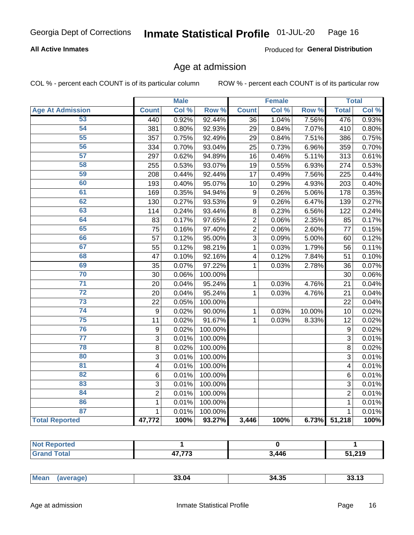#### **All Active Inmates**

Produced for General Distribution

## Age at admission

COL % - percent each COUNT is of its particular column

|                         |                         | <b>Male</b> |         |                  | <b>Female</b> |        |                | <b>Total</b> |
|-------------------------|-------------------------|-------------|---------|------------------|---------------|--------|----------------|--------------|
| <b>Age At Admission</b> | <b>Count</b>            | Col %       | Row %   | <b>Count</b>     | Col %         | Row %  | <b>Total</b>   | Col %        |
| 53                      | 440                     | 0.92%       | 92.44%  | 36               | 1.04%         | 7.56%  | 476            | 0.93%        |
| 54                      | 381                     | 0.80%       | 92.93%  | 29               | 0.84%         | 7.07%  | 410            | 0.80%        |
| 55                      | 357                     | 0.75%       | 92.49%  | 29               | 0.84%         | 7.51%  | 386            | 0.75%        |
| 56                      | 334                     | 0.70%       | 93.04%  | 25               | 0.73%         | 6.96%  | 359            | 0.70%        |
| $\overline{57}$         | 297                     | 0.62%       | 94.89%  | 16               | 0.46%         | 5.11%  | 313            | 0.61%        |
| 58                      | 255                     | 0.53%       | 93.07%  | 19               | 0.55%         | 6.93%  | 274            | 0.53%        |
| 59                      | 208                     | 0.44%       | 92.44%  | 17               | 0.49%         | 7.56%  | 225            | 0.44%        |
| 60                      | 193                     | 0.40%       | 95.07%  | 10               | 0.29%         | 4.93%  | 203            | 0.40%        |
| 61                      | 169                     | 0.35%       | 94.94%  | $\boldsymbol{9}$ | 0.26%         | 5.06%  | 178            | 0.35%        |
| 62                      | 130                     | 0.27%       | 93.53%  | $\boldsymbol{9}$ | 0.26%         | 6.47%  | 139            | 0.27%        |
| 63                      | 114                     | 0.24%       | 93.44%  | 8                | 0.23%         | 6.56%  | 122            | 0.24%        |
| 64                      | 83                      | 0.17%       | 97.65%  | $\overline{2}$   | 0.06%         | 2.35%  | 85             | 0.17%        |
| 65                      | 75                      | 0.16%       | 97.40%  | $\overline{2}$   | 0.06%         | 2.60%  | 77             | 0.15%        |
| 66                      | 57                      | 0.12%       | 95.00%  | $\overline{3}$   | 0.09%         | 5.00%  | 60             | 0.12%        |
| 67                      | 55                      | 0.12%       | 98.21%  | 1                | 0.03%         | 1.79%  | 56             | 0.11%        |
| 68                      | 47                      | 0.10%       | 92.16%  | 4                | 0.12%         | 7.84%  | 51             | 0.10%        |
| 69                      | 35                      | 0.07%       | 97.22%  | 1                | 0.03%         | 2.78%  | 36             | 0.07%        |
| 70                      | 30                      | 0.06%       | 100.00% |                  |               |        | 30             | 0.06%        |
| $\overline{71}$         | 20                      | 0.04%       | 95.24%  | 1                | 0.03%         | 4.76%  | 21             | 0.04%        |
| $\overline{72}$         | 20                      | 0.04%       | 95.24%  | $\mathbf 1$      | 0.03%         | 4.76%  | 21             | 0.04%        |
| $\overline{73}$         | 22                      | 0.05%       | 100.00% |                  |               |        | 22             | 0.04%        |
| $\overline{74}$         | 9                       | 0.02%       | 90.00%  | 1                | 0.03%         | 10.00% | 10             | 0.02%        |
| 75                      | 11                      | 0.02%       | 91.67%  | 1                | 0.03%         | 8.33%  | 12             | 0.02%        |
| 76                      | 9                       | 0.02%       | 100.00% |                  |               |        | 9              | 0.02%        |
| $\overline{77}$         | $\overline{3}$          | 0.01%       | 100.00% |                  |               |        | 3              | 0.01%        |
| 78                      | 8                       | 0.02%       | 100.00% |                  |               |        | 8              | 0.02%        |
| 80                      | 3                       | 0.01%       | 100.00% |                  |               |        | 3              | 0.01%        |
| $\overline{81}$         | $\overline{\mathbf{4}}$ | 0.01%       | 100.00% |                  |               |        | 4              | 0.01%        |
| 82                      | 6                       | 0.01%       | 100.00% |                  |               |        | 6              | 0.01%        |
| 83                      | 3                       | 0.01%       | 100.00% |                  |               |        | 3              | 0.01%        |
| 84                      | $\overline{2}$          | 0.01%       | 100.00% |                  |               |        | $\overline{2}$ | 0.01%        |
| 86                      | $\mathbf 1$             | 0.01%       | 100.00% |                  |               |        | 1              | 0.01%        |
| 87                      | $\mathbf 1$             | 0.01%       | 100.00% |                  |               |        | $\mathbf{1}$   | 0.01%        |
| <b>Total Reported</b>   | 47,772                  | 100%        | 93.27%  | 3,446            | 100%          | 6.73%  | 51,218         | 100%         |

| кно |                          |       |                    |
|-----|--------------------------|-------|--------------------|
|     | $1 - - - -$<br>. .<br>., | 3.446 | <b>E4 940</b><br>. |

| <b>Mear</b> |
|-------------|
|-------------|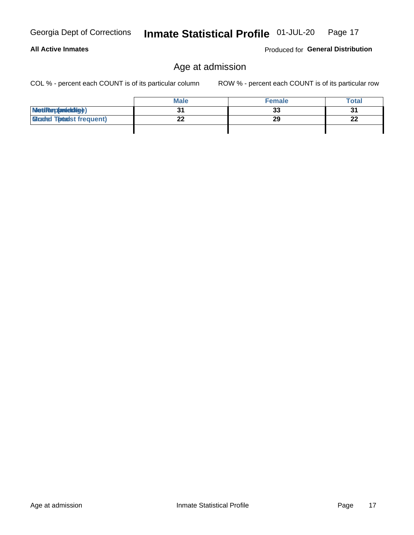## **All Active Inmates**

Produced for General Distribution

## Age at admission

COL % - percent each COUNT is of its particular column

|                                 | <b>Male</b> | <b>Female</b> | <b>Total</b> |
|---------------------------------|-------------|---------------|--------------|
| MetiRep(anieldig)               | 21          | 33            | 31           |
| <b>Gladed Totadst frequent)</b> | ົ           | 29            | n.<br>ZZ     |
|                                 |             |               |              |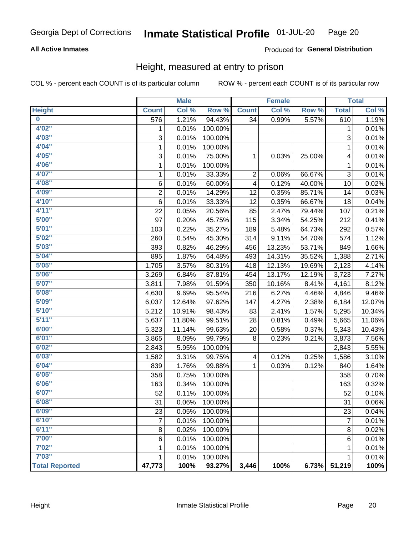#### **All Active Inmates**

#### Produced for General Distribution

## Height, measured at entry to prison

COL % - percent each COUNT is of its particular column

|                         |                | <b>Male</b> |         |              | <b>Female</b> |        |                | <b>Total</b> |
|-------------------------|----------------|-------------|---------|--------------|---------------|--------|----------------|--------------|
| <b>Height</b>           | <b>Count</b>   | Col %       | Row %   | <b>Count</b> | Col %         | Row %  | <b>Total</b>   | Col %        |
| $\overline{\mathbf{0}}$ | 576            | 1.21%       | 94.43%  | 34           | 0.99%         | 5.57%  | 610            | 1.19%        |
| 4'02''                  | 1              | 0.01%       | 100.00% |              |               |        | 1              | 0.01%        |
| 4'03''                  | 3              | 0.01%       | 100.00% |              |               |        | 3              | 0.01%        |
| 4'04"                   | 1              | 0.01%       | 100.00% |              |               |        | 1              | 0.01%        |
| 4'05"                   | 3              | 0.01%       | 75.00%  | 1            | 0.03%         | 25.00% | 4              | 0.01%        |
| 4'06"                   | 1              | 0.01%       | 100.00% |              |               |        | 1              | 0.01%        |
| 4'07"                   | 1              | 0.01%       | 33.33%  | 2            | 0.06%         | 66.67% | 3              | 0.01%        |
| 4'08"                   | 6              | 0.01%       | 60.00%  | 4            | 0.12%         | 40.00% | 10             | 0.02%        |
| 4'09"                   | $\overline{2}$ | 0.01%       | 14.29%  | 12           | 0.35%         | 85.71% | 14             | 0.03%        |
| 4'10"                   | $\,6$          | 0.01%       | 33.33%  | 12           | 0.35%         | 66.67% | 18             | 0.04%        |
| 4'11''                  | 22             | 0.05%       | 20.56%  | 85           | 2.47%         | 79.44% | 107            | 0.21%        |
| 5'00''                  | 97             | 0.20%       | 45.75%  | 115          | 3.34%         | 54.25% | 212            | 0.41%        |
| 5'01"                   | 103            | 0.22%       | 35.27%  | 189          | 5.48%         | 64.73% | 292            | 0.57%        |
| 5'02"                   | 260            | 0.54%       | 45.30%  | 314          | 9.11%         | 54.70% | 574            | 1.12%        |
| 5'03''                  | 393            | 0.82%       | 46.29%  | 456          | 13.23%        | 53.71% | 849            | 1.66%        |
| 5'04"                   | 895            | 1.87%       | 64.48%  | 493          | 14.31%        | 35.52% | 1,388          | 2.71%        |
| 5'05"                   | 1,705          | 3.57%       | 80.31%  | 418          | 12.13%        | 19.69% | 2,123          | 4.14%        |
| 5'06''                  | 3,269          | 6.84%       | 87.81%  | 454          | 13.17%        | 12.19% | 3,723          | 7.27%        |
| 5'07''                  | 3,811          | 7.98%       | 91.59%  | 350          | 10.16%        | 8.41%  | 4,161          | 8.12%        |
| 5'08''                  | 4,630          | 9.69%       | 95.54%  | 216          | 6.27%         | 4.46%  | 4,846          | 9.46%        |
| 5'09''                  | 6,037          | 12.64%      | 97.62%  | 147          | 4.27%         | 2.38%  | 6,184          | 12.07%       |
| 5'10''                  | 5,212          | 10.91%      | 98.43%  | 83           | 2.41%         | 1.57%  | 5,295          | 10.34%       |
| 5'11''                  | 5,637          | 11.80%      | 99.51%  | 28           | 0.81%         | 0.49%  | 5,665          | 11.06%       |
| 6'00''                  | 5,323          | 11.14%      | 99.63%  | 20           | 0.58%         | 0.37%  | 5,343          | 10.43%       |
| 6'01''                  | 3,865          | 8.09%       | 99.79%  | 8            | 0.23%         | 0.21%  | 3,873          | 7.56%        |
| 6'02"                   | 2,843          | 5.95%       | 100.00% |              |               |        | 2,843          | 5.55%        |
| 6'03''                  | 1,582          | 3.31%       | 99.75%  | 4            | 0.12%         | 0.25%  | 1,586          | 3.10%        |
| 6'04"                   | 839            | 1.76%       | 99.88%  | 1            | 0.03%         | 0.12%  | 840            | 1.64%        |
| 6'05"                   | 358            | 0.75%       | 100.00% |              |               |        | 358            | 0.70%        |
| 6'06''                  | 163            | 0.34%       | 100.00% |              |               |        | 163            | 0.32%        |
| 6'07''                  | 52             | 0.11%       | 100.00% |              |               |        | 52             | 0.10%        |
| 6'08"                   | 31             | 0.06%       | 100.00% |              |               |        | 31             | 0.06%        |
| 6'09''                  | 23             | 0.05%       | 100.00% |              |               |        | 23             | 0.04%        |
| 6'10''                  | 7              | 0.01%       | 100.00% |              |               |        | $\overline{7}$ | 0.01%        |
| 6'11''                  | 8              | 0.02%       | 100.00% |              |               |        | 8              | 0.02%        |
| 7'00"                   | 6              | 0.01%       | 100.00% |              |               |        | 6              | 0.01%        |
| 7'02"                   | 1              | 0.01%       | 100.00% |              |               |        | 1              | 0.01%        |
| 7'03''                  | 1              | 0.01%       | 100.00% |              |               |        | 1              | 0.01%        |
| <b>Total Reported</b>   | 47,773         | 100%        | 93.27%  | 3,446        | 100%          | 6.73%  | 51,219         | 100%         |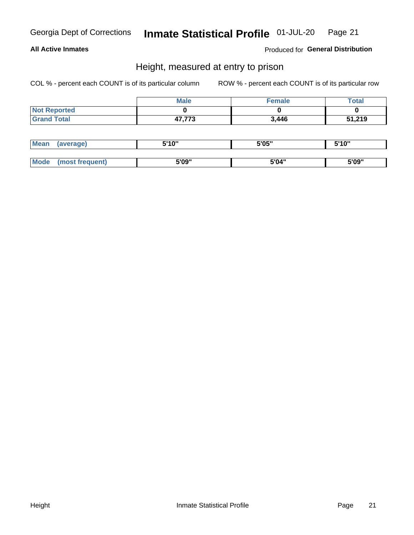#### **All Active Inmates**

Produced for General Distribution

## Height, measured at entry to prison

COL % - percent each COUNT is of its particular column

|                     | <b>Male</b> | <b>Female</b> | <b>Total</b> |
|---------------------|-------------|---------------|--------------|
| <b>Not Reported</b> |             |               |              |
| <b>Grand Total</b>  | 47,773      | 3,446         | 51,219       |

| <b>Mean</b> | 'average) | EI4 OIL | 5'05" | 5'10" |
|-------------|-----------|---------|-------|-------|
|             |           |         |       |       |
| $M_{\odot}$ | frequent) | 5'09"   | 5'04" | 5'09" |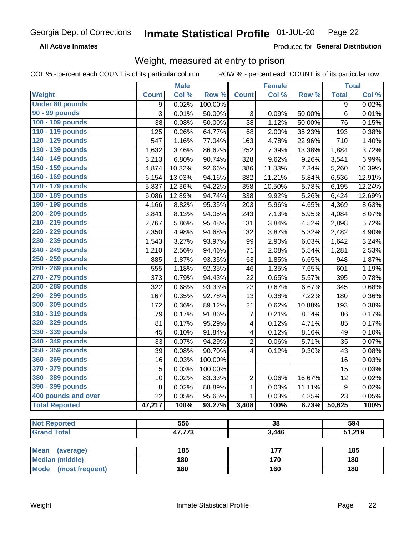**All Active Inmates** 

Produced for General Distribution

## Weight, measured at entry to prison

COL % - percent each COUNT is of its particular column ROW % - percent each COUNT is of its particular row

|                                |                | <b>Male</b> |         |                         | <b>Female</b> |        |              | <b>Total</b> |
|--------------------------------|----------------|-------------|---------|-------------------------|---------------|--------|--------------|--------------|
| Weight                         | <b>Count</b>   | Col %       | Row %   | <b>Count</b>            | Col %         | Row %  | <b>Total</b> | Col %        |
| <b>Under 80 pounds</b>         | 9              | 0.02%       | 100.00% |                         |               |        | 9            | 0.02%        |
| <b>90 - 99 pounds</b>          | $\overline{3}$ | 0.01%       | 50.00%  | 3                       | 0.09%         | 50.00% | $\,6\,$      | 0.01%        |
| 100 - 109 pounds               | 38             | 0.08%       | 50.00%  | 38                      | 1.12%         | 50.00% | 76           | 0.15%        |
| 110 - 119 pounds               | 125            | 0.26%       | 64.77%  | 68                      | 2.00%         | 35.23% | 193          | 0.38%        |
| 120 - 129 pounds               | 547            | 1.16%       | 77.04%  | 163                     | 4.78%         | 22.96% | 710          | 1.40%        |
| 130 - 139 pounds               | 1,632          | 3.46%       | 86.62%  | 252                     | 7.39%         | 13.38% | 1,884        | 3.72%        |
| 140 - 149 pounds               | 3,213          | 6.80%       | 90.74%  | 328                     | 9.62%         | 9.26%  | 3,541        | 6.99%        |
| 150 - 159 pounds               | 4,874          | 10.32%      | 92.66%  | 386                     | 11.33%        | 7.34%  | 5,260        | 10.39%       |
| 160 - 169 pounds               | 6,154          | 13.03%      | 94.16%  | 382                     | 11.21%        | 5.84%  | 6,536        | 12.91%       |
| 170 - 179 pounds               | 5,837          | 12.36%      | 94.22%  | 358                     | 10.50%        | 5.78%  | 6,195        | 12.24%       |
| 180 - 189 pounds               | 6,086          | 12.89%      | 94.74%  | 338                     | 9.92%         | 5.26%  | 6,424        | 12.69%       |
| 190 - 199 pounds               | 4,166          | 8.82%       | 95.35%  | 203                     | 5.96%         | 4.65%  | 4,369        | 8.63%        |
| 200 - 209 pounds               | 3,841          | 8.13%       | 94.05%  | 243                     | 7.13%         | 5.95%  | 4,084        | 8.07%        |
| 210 - 219 pounds               | 2,767          | 5.86%       | 95.48%  | 131                     | 3.84%         | 4.52%  | 2,898        | 5.72%        |
| 220 - 229 pounds               | 2,350          | 4.98%       | 94.68%  | 132                     | 3.87%         | 5.32%  | 2,482        | 4.90%        |
| 230 - 239 pounds               | 1,543          | 3.27%       | 93.97%  | 99                      | 2.90%         | 6.03%  | 1,642        | 3.24%        |
| 240 - 249 pounds               | 1,210          | 2.56%       | 94.46%  | 71                      | 2.08%         | 5.54%  | 1,281        | 2.53%        |
| 250 - 259 pounds               | 885            | 1.87%       | 93.35%  | 63                      | 1.85%         | 6.65%  | 948          | 1.87%        |
| 260 - 269 pounds               | 555            | 1.18%       | 92.35%  | 46                      | 1.35%         | 7.65%  | 601          | 1.19%        |
| 270 - 279 pounds               | 373            | 0.79%       | 94.43%  | 22                      | 0.65%         | 5.57%  | 395          | 0.78%        |
| 280 - 289 pounds               | 322            | 0.68%       | 93.33%  | 23                      | 0.67%         | 6.67%  | 345          | 0.68%        |
| 290 - 299 pounds               | 167            | 0.35%       | 92.78%  | 13                      | 0.38%         | 7.22%  | 180          | 0.36%        |
| 300 - 309 pounds               | 172            | 0.36%       | 89.12%  | 21                      | 0.62%         | 10.88% | 193          | 0.38%        |
| 310 - 319 pounds               | 79             | 0.17%       | 91.86%  | $\overline{7}$          | 0.21%         | 8.14%  | 86           | 0.17%        |
| 320 - 329 pounds               | 81             | 0.17%       | 95.29%  | 4                       | 0.12%         | 4.71%  | 85           | 0.17%        |
| 330 - 339 pounds               | 45             | 0.10%       | 91.84%  | 4                       | 0.12%         | 8.16%  | 49           | 0.10%        |
| 340 - 349 pounds               | 33             | 0.07%       | 94.29%  | $\overline{2}$          | 0.06%         | 5.71%  | 35           | 0.07%        |
| 350 - 359 pounds               | 39             | 0.08%       | 90.70%  | $\overline{\mathbf{4}}$ | 0.12%         | 9.30%  | 43           | 0.08%        |
| 360 - 369 pounds               | 16             | 0.03%       | 100.00% |                         |               |        | 16           | 0.03%        |
| 370 - 379 pounds               | 15             | 0.03%       | 100.00% |                         |               |        | 15           | 0.03%        |
| 380 - 389 pounds               | 10             | 0.02%       | 83.33%  | $\overline{2}$          | 0.06%         | 16.67% | 12           | 0.02%        |
| 390 - 399 pounds               | 8              | 0.02%       | 88.89%  | 1                       | 0.03%         | 11.11% | 9            | 0.02%        |
| 400 pounds and over            | 22             | 0.05%       | 95.65%  | 1                       | 0.03%         | 4.35%  | 23           | 0.05%        |
| <b>Total Reported</b>          | 47,217         | 100%        | 93.27%  | 3,408                   | 100%          | 6.73%  | 50,625       | 100%         |
|                                |                |             |         |                         |               |        |              |              |
| <b>Not Reported</b>            |                | 556         |         |                         | 38            |        |              | 594          |
| <b>Grand Total</b>             |                | 47,773      |         |                         | 3,446         |        |              | 51,219       |
| <b>Mean</b><br>(average)       |                | 185         |         |                         | 177           |        |              | 185          |
| <b>Median (middle)</b>         |                | 180         |         |                         | 170           |        |              | 180          |
| <b>Mode</b><br>(most frequent) |                | 180         |         |                         | 160           |        |              | 180          |
|                                |                |             |         |                         |               |        |              |              |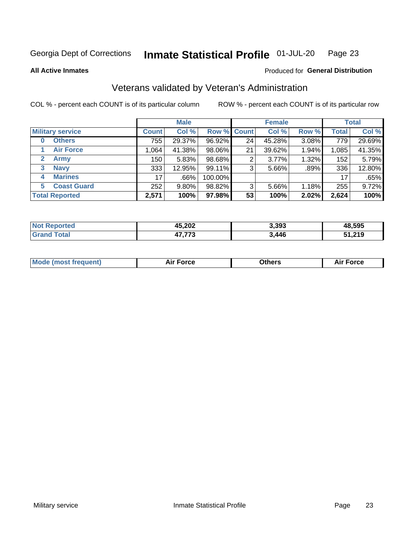#### Inmate Statistical Profile 01-JUL-20 Page 23

**All Active Inmates** 

#### Produced for General Distribution

## Veterans validated by Veteran's Administration

COL % - percent each COUNT is of its particular column

|                          |              | <b>Male</b> |         |                    | <b>Female</b> |       |              | <b>Total</b> |
|--------------------------|--------------|-------------|---------|--------------------|---------------|-------|--------------|--------------|
| <b>Military service</b>  | <b>Count</b> | Col %       |         | <b>Row % Count</b> | Col %         | Row % | <b>Total</b> | Col %        |
| <b>Others</b><br>0       | 755          | 29.37%      | 96.92%  | 24                 | 45.28%        | 3.08% | 779          | 29.69%       |
| <b>Air Force</b>         | 1.064        | 41.38%      | 98.06%  | 21                 | 39.62%        | 1.94% | 1,085        | 41.35%       |
| <b>Army</b><br>2         | 150          | 5.83%       | 98.68%  | 2                  | 3.77%         | 1.32% | 152          | 5.79%        |
| <b>Navy</b><br>3         | 333          | 12.95%      | 99.11%  | 3                  | 5.66%         | .89%  | 336          | 12.80%       |
| <b>Marines</b><br>4      | 17           | .66%        | 100.00% |                    |               |       | 17           | .65%         |
| <b>Coast Guard</b><br>5. | 252          | 9.80%       | 98.82%  | 3                  | 5.66%         | 1.18% | 255          | 9.72%        |
| <b>Total Reported</b>    | 2,571        | 100%        | 97.98%  | 53                 | 100%          | 2.02% | 2,624        | 100%         |

| orted<br><b>NOT</b> | 45,202        | 3,393 | 48,595 |
|---------------------|---------------|-------|--------|
| $n+n$               | ィフ フフヘ<br>້ ເ | 3.446 | 51,219 |

|  |  | <b>Mode (most frequent)</b> | <b>Force</b><br>Aır | วthers | orce |
|--|--|-----------------------------|---------------------|--------|------|
|--|--|-----------------------------|---------------------|--------|------|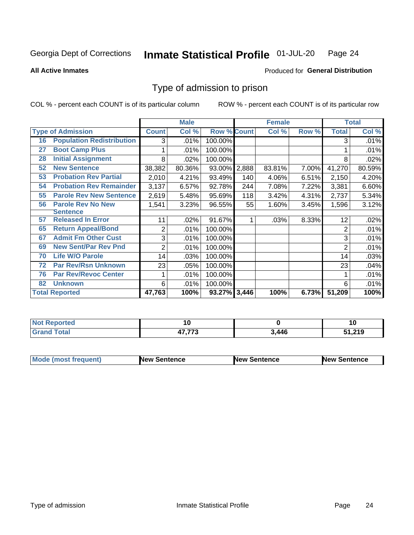#### Inmate Statistical Profile 01-JUL-20 Page 24

**All Active Inmates** 

#### Produced for General Distribution

## Type of admission to prison

COL % - percent each COUNT is of its particular column

|    |                                  |              | <b>Male</b> |                    |     | <b>Female</b> |       |                | <b>Total</b> |
|----|----------------------------------|--------------|-------------|--------------------|-----|---------------|-------|----------------|--------------|
|    | <b>Type of Admission</b>         | <b>Count</b> | Col %       | <b>Row % Count</b> |     | Col %         | Row % | <b>Total</b>   | Col %        |
| 16 | <b>Population Redistribution</b> | 3            | .01%        | 100.00%            |     |               |       | 3              | .01%         |
| 27 | <b>Boot Camp Plus</b>            |              | .01%        | 100.00%            |     |               |       |                | .01%         |
| 28 | <b>Initial Assignment</b>        | 8            | .02%        | 100.00%            |     |               |       | 8              | .02%         |
| 52 | <b>New Sentence</b>              | 38,382       | 80.36%      | 93.00% 2,888       |     | 83.81%        | 7.00% | 41,270         | 80.59%       |
| 53 | <b>Probation Rev Partial</b>     | 2,010        | 4.21%       | 93.49%             | 140 | 4.06%         | 6.51% | 2,150          | 4.20%        |
| 54 | <b>Probation Rev Remainder</b>   | 3,137        | 6.57%       | 92.78%             | 244 | 7.08%         | 7.22% | 3,381          | 6.60%        |
| 55 | <b>Parole Rev New Sentence</b>   | 2,619        | 5.48%       | 95.69%             | 118 | 3.42%         | 4.31% | 2,737          | 5.34%        |
| 56 | <b>Parole Rev No New</b>         | 1,541        | 3.23%       | 96.55%             | 55  | 1.60%         | 3.45% | 1,596          | 3.12%        |
|    | <b>Sentence</b>                  |              |             |                    |     |               |       |                |              |
| 57 | <b>Released In Error</b>         | 11           | .02%        | 91.67%             |     | .03%          | 8.33% | 12             | .02%         |
| 65 | <b>Return Appeal/Bond</b>        | 2            | .01%        | 100.00%            |     |               |       | 2              | .01%         |
| 67 | <b>Admit Fm Other Cust</b>       | 3            | .01%        | 100.00%            |     |               |       | 3              | .01%         |
| 69 | <b>New Sent/Par Rev Pnd</b>      | 2            | .01%        | 100.00%            |     |               |       | $\overline{2}$ | .01%         |
| 70 | <b>Life W/O Parole</b>           | 14           | .03%        | 100.00%            |     |               |       | 14             | .03%         |
| 72 | <b>Par Rev/Rsn Unknown</b>       | 23           | .05%        | 100.00%            |     |               |       | 23             | .04%         |
| 76 | <b>Par Rev/Revoc Center</b>      |              | .01%        | 100.00%            |     |               |       |                | .01%         |
| 82 | <b>Unknown</b>                   | 6            | .01%        | 100.00%            |     |               |       | 6              | .01%         |
|    | <b>Total Reported</b>            | 47,763       | 100%        | 93.27% 3,446       |     | 100%          | 6.73% | 51,209         | 100%         |

| <b>Not Reported</b> |       |       | ιu     |
|---------------------|-------|-------|--------|
| <b>Grand Total</b>  | , ,,, | 3,446 | 51,219 |

| <b>Mode (most frequent)</b> | <b>New Sentence</b> | <b>New Sentence</b> | <b>New Sentence</b> |
|-----------------------------|---------------------|---------------------|---------------------|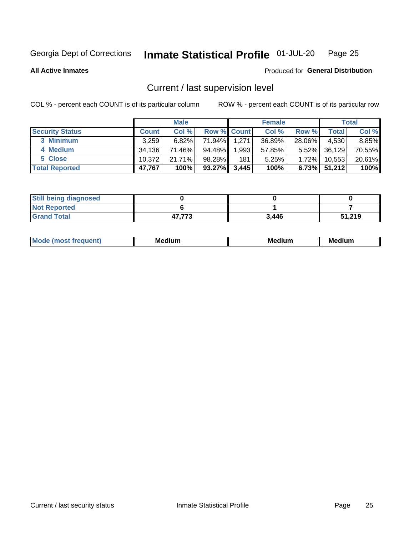#### Inmate Statistical Profile 01-JUL-20 Page 25

**All Active Inmates** 

#### Produced for General Distribution

## Current / last supervision level

COL % - percent each COUNT is of its particular column

|                        |              | <b>Male</b> |                    |       | <b>Female</b> |          |        | <b>Total</b> |
|------------------------|--------------|-------------|--------------------|-------|---------------|----------|--------|--------------|
| <b>Security Status</b> | <b>Count</b> | Col %       | <b>Row % Count</b> |       | Col %         | Row %    | Total  | Col %        |
| 3 Minimum              | 3.259        | 6.82%       | 71.94%             | 1,271 | 36.89%        | 28.06%   | 4,530  | 8.85%        |
| 4 Medium               | 34.136       | 71.46%      | 94.48%             | 1,993 | 57.85%        | $5.52\%$ | 36,129 | 70.55%       |
| 5 Close                | 10.372       | 21.71%      | 98.28%             | 181   | 5.25%         | $1.72\%$ | 10,553 | 20.61%       |
| <b>Total Reported</b>  | 47,767       | 100%        | 93.27%             | 3,445 | 100%          | $6.73\%$ | 51,212 | 100%         |

| <b>Still being diagnosed</b> |        |       |        |
|------------------------------|--------|-------|--------|
| <b>Not Reported</b>          |        |       |        |
| <b>Grand Total</b>           | 47,773 | 3,446 | 51,219 |

| $M_{\Omega}$ | Me<br>edium<br>____ | Мє<br>dium<br>_____ | Medium<br> |
|--------------|---------------------|---------------------|------------|
|              |                     |                     |            |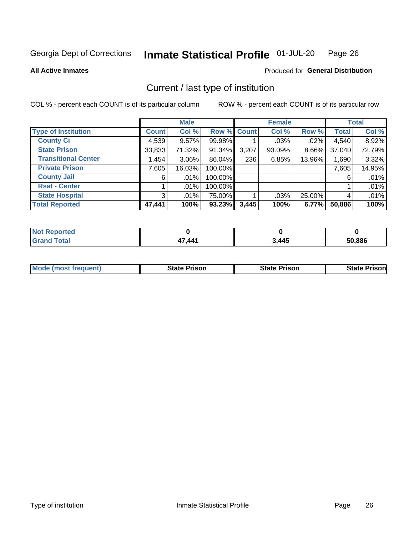#### Inmate Statistical Profile 01-JUL-20 Page 26

**All Active Inmates** 

#### Produced for General Distribution

## Current / last type of institution

COL % - percent each COUNT is of its particular column

|                            |                | <b>Male</b> |             |       | <b>Female</b> |        |              | <b>Total</b> |
|----------------------------|----------------|-------------|-------------|-------|---------------|--------|--------------|--------------|
| <b>Type of Institution</b> | <b>Count</b>   | Col %       | Row % Count |       | Col %         | Row %  | <b>Total</b> | Col %        |
| <b>County Ci</b>           | 4,539          | $9.57\%$    | 99.98%      |       | $.03\%$       | .02%   | 4,540        | 8.92%        |
| <b>State Prison</b>        | 33,833         | 71.32%      | 91.34%      | 3,207 | 93.09%        | 8.66%  | 37,040       | 72.79%       |
| <b>Transitional Center</b> | 1,454          | $3.06\%$    | 86.04%      | 236   | 6.85%         | 13.96% | 1,690        | 3.32%        |
| <b>Private Prison</b>      | 7,605          | 16.03%      | 100.00%     |       |               |        | 7,605        | 14.95%       |
| <b>County Jail</b>         | 6              | $.01\%$     | 100.00%     |       |               |        | 6            | .01%         |
| <b>Rsat - Center</b>       |                | $.01\%$     | 100.00%     |       |               |        |              | .01%         |
| <b>State Hospital</b>      | 3 <sup>1</sup> | $.01\%$     | 75.00%      |       | .03%          | 25.00% | 4            | .01%         |
| <b>Total Reported</b>      | 47,441         | 100%        | 93.23%      | 3,445 | 100%          | 6.77%  | 50,886       | 100%         |

| Reported    |            |       |        |
|-------------|------------|-------|--------|
| <b>Tota</b> | <b>AA1</b> | 3,445 | 50,886 |

| <b>Mode (most frequent)</b> | State Prison | <b>State Prison</b> | <b>State Prison</b> |
|-----------------------------|--------------|---------------------|---------------------|
|                             |              |                     |                     |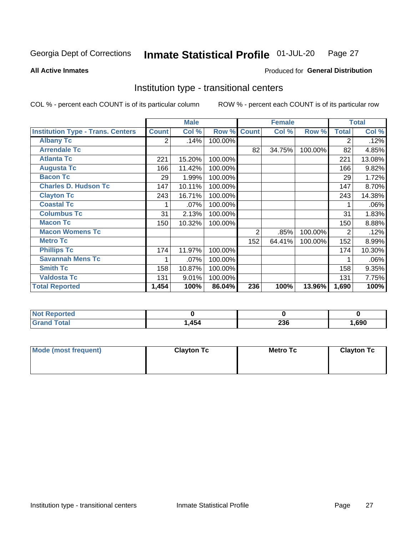#### Inmate Statistical Profile 01-JUL-20 Page 27

**All Active Inmates** 

#### Produced for General Distribution

## Institution type - transitional centers

COL % - percent each COUNT is of its particular column

|                                          |              | <b>Male</b> |         |                | <b>Female</b> |         |                | <b>Total</b> |
|------------------------------------------|--------------|-------------|---------|----------------|---------------|---------|----------------|--------------|
| <b>Institution Type - Trans. Centers</b> | <b>Count</b> | Col %       | Row %   | <b>Count</b>   | Col %         | Row %   | <b>Total</b>   | Col %        |
| <b>Albany Tc</b>                         | 2            | .14%        | 100.00% |                |               |         | 2              | .12%         |
| <b>Arrendale Tc</b>                      |              |             |         | 82             | 34.75%        | 100.00% | 82             | 4.85%        |
| <b>Atlanta Tc</b>                        | 221          | 15.20%      | 100.00% |                |               |         | 221            | 13.08%       |
| <b>Augusta Tc</b>                        | 166          | 11.42%      | 100.00% |                |               |         | 166            | 9.82%        |
| <b>Bacon Tc</b>                          | 29           | 1.99%       | 100.00% |                |               |         | 29             | 1.72%        |
| <b>Charles D. Hudson Tc</b>              | 147          | 10.11%      | 100.00% |                |               |         | 147            | 8.70%        |
| <b>Clayton Tc</b>                        | 243          | 16.71%      | 100.00% |                |               |         | 243            | 14.38%       |
| <b>Coastal Tc</b>                        |              | .07%        | 100.00% |                |               |         |                | .06%         |
| <b>Columbus Tc</b>                       | 31           | 2.13%       | 100.00% |                |               |         | 31             | 1.83%        |
| <b>Macon Tc</b>                          | 150          | 10.32%      | 100.00% |                |               |         | 150            | 8.88%        |
| <b>Macon Womens Tc</b>                   |              |             |         | $\overline{2}$ | .85%          | 100.00% | $\overline{2}$ | .12%         |
| <b>Metro Tc</b>                          |              |             |         | 152            | 64.41%        | 100.00% | 152            | 8.99%        |
| <b>Phillips Tc</b>                       | 174          | 11.97%      | 100.00% |                |               |         | 174            | 10.30%       |
| <b>Savannah Mens Tc</b>                  | 1            | .07%        | 100.00% |                |               |         |                | .06%         |
| <b>Smith Tc</b>                          | 158          | 10.87%      | 100.00% |                |               |         | 158            | 9.35%        |
| <b>Valdosta Tc</b>                       | 131          | 9.01%       | 100.00% |                |               |         | 131            | 7.75%        |
| <b>Total Reported</b>                    | 1,454        | 100%        | 86.04%  | 236            | 100%          | 13.96%  | 1,690          | 100%         |

| <b>Reported</b> |      |                    |      |
|-----------------|------|--------------------|------|
| <b>otal</b>     | .454 | ንጋ ድ<br><b>290</b> | ,690 |

| Mode (most frequent) | <b>Clayton Tc</b> | Metro Tc | <b>Clayton Tc</b> |
|----------------------|-------------------|----------|-------------------|
|                      |                   |          |                   |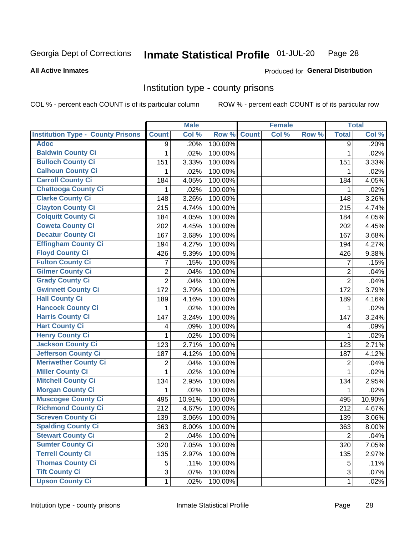#### Inmate Statistical Profile 01-JUL-20 Page 28

#### **All Active Inmates**

#### Produced for General Distribution

#### Institution type - county prisons

COL % - percent each COUNT is of its particular column

|                                          |                | <b>Male</b> |         |              | <b>Female</b> |       |                | <b>Total</b> |
|------------------------------------------|----------------|-------------|---------|--------------|---------------|-------|----------------|--------------|
| <b>Institution Type - County Prisons</b> | <b>Count</b>   | Col %       | Row %   | <b>Count</b> | Col %         | Row % | <b>Total</b>   | Col %        |
| <b>Adoc</b>                              | 9              | .20%        | 100.00% |              |               |       | 9              | .20%         |
| <b>Baldwin County Ci</b>                 | 1              | .02%        | 100.00% |              |               |       | $\mathbf{1}$   | .02%         |
| <b>Bulloch County Ci</b>                 | 151            | 3.33%       | 100.00% |              |               |       | 151            | 3.33%        |
| <b>Calhoun County Ci</b>                 | 1              | .02%        | 100.00% |              |               |       | 1              | .02%         |
| <b>Carroll County Ci</b>                 | 184            | 4.05%       | 100.00% |              |               |       | 184            | 4.05%        |
| <b>Chattooga County Ci</b>               | 1              | .02%        | 100.00% |              |               |       | 1              | .02%         |
| <b>Clarke County Ci</b>                  | 148            | 3.26%       | 100.00% |              |               |       | 148            | 3.26%        |
| <b>Clayton County Ci</b>                 | 215            | 4.74%       | 100.00% |              |               |       | 215            | 4.74%        |
| <b>Colquitt County Ci</b>                | 184            | 4.05%       | 100.00% |              |               |       | 184            | 4.05%        |
| <b>Coweta County Ci</b>                  | 202            | 4.45%       | 100.00% |              |               |       | 202            | 4.45%        |
| <b>Decatur County Ci</b>                 | 167            | 3.68%       | 100.00% |              |               |       | 167            | 3.68%        |
| <b>Effingham County Ci</b>               | 194            | 4.27%       | 100.00% |              |               |       | 194            | 4.27%        |
| <b>Floyd County Ci</b>                   | 426            | 9.39%       | 100.00% |              |               |       | 426            | 9.38%        |
| <b>Fulton County Ci</b>                  | 7              | .15%        | 100.00% |              |               |       | 7              | .15%         |
| <b>Gilmer County Ci</b>                  | $\overline{2}$ | .04%        | 100.00% |              |               |       | $\overline{2}$ | .04%         |
| <b>Grady County Ci</b>                   | $\overline{2}$ | .04%        | 100.00% |              |               |       | $\overline{2}$ | .04%         |
| <b>Gwinnett County Ci</b>                | 172            | 3.79%       | 100.00% |              |               |       | 172            | 3.79%        |
| <b>Hall County Ci</b>                    | 189            | 4.16%       | 100.00% |              |               |       | 189            | 4.16%        |
| <b>Hancock County Ci</b>                 | 1              | .02%        | 100.00% |              |               |       | 1              | .02%         |
| <b>Harris County Ci</b>                  | 147            | 3.24%       | 100.00% |              |               |       | 147            | 3.24%        |
| <b>Hart County Ci</b>                    | 4              | .09%        | 100.00% |              |               |       | 4              | .09%         |
| <b>Henry County Ci</b>                   | 1              | .02%        | 100.00% |              |               |       | $\mathbf{1}$   | .02%         |
| <b>Jackson County Ci</b>                 | 123            | 2.71%       | 100.00% |              |               |       | 123            | 2.71%        |
| <b>Jefferson County Ci</b>               | 187            | 4.12%       | 100.00% |              |               |       | 187            | 4.12%        |
| <b>Meriwether County Ci</b>              | 2              | .04%        | 100.00% |              |               |       | $\overline{2}$ | .04%         |
| <b>Miller County Ci</b>                  | 1              | .02%        | 100.00% |              |               |       | 1              | .02%         |
| <b>Mitchell County Ci</b>                | 134            | 2.95%       | 100.00% |              |               |       | 134            | 2.95%        |
| <b>Morgan County Ci</b>                  | 1              | .02%        | 100.00% |              |               |       | 1              | .02%         |
| <b>Muscogee County Ci</b>                | 495            | 10.91%      | 100.00% |              |               |       | 495            | 10.90%       |
| <b>Richmond County Ci</b>                | 212            | 4.67%       | 100.00% |              |               |       | 212            | 4.67%        |
| <b>Screven County Ci</b>                 | 139            | 3.06%       | 100.00% |              |               |       | 139            | 3.06%        |
| <b>Spalding County Ci</b>                | 363            | 8.00%       | 100.00% |              |               |       | 363            | 8.00%        |
| <b>Stewart County Ci</b>                 | $\overline{2}$ | .04%        | 100.00% |              |               |       | $\overline{2}$ | .04%         |
| <b>Sumter County Ci</b>                  | 320            | 7.05%       | 100.00% |              |               |       | 320            | 7.05%        |
| <b>Terrell County Ci</b>                 | 135            | 2.97%       | 100.00% |              |               |       | 135            | 2.97%        |
| <b>Thomas County Ci</b>                  | 5              | .11%        | 100.00% |              |               |       | 5              | .11%         |
| <b>Tift County Ci</b>                    | 3              | .07%        | 100.00% |              |               |       | 3              | .07%         |
| <b>Upson County Ci</b>                   | $\mathbf{1}$   | .02%        | 100.00% |              |               |       | $\mathbf{1}$   | .02%         |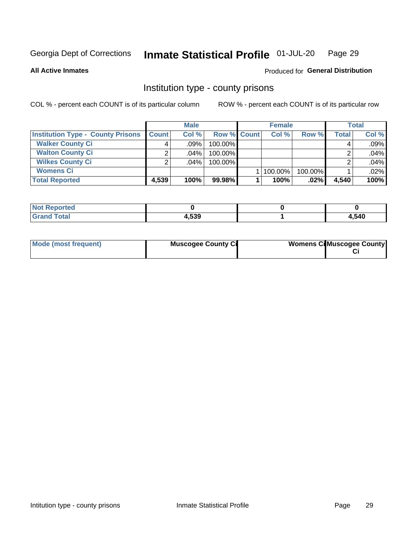#### Inmate Statistical Profile 01-JUL-20 Page 29

#### **All Active Inmates**

#### Produced for General Distribution

#### Institution type - county prisons

COL % - percent each COUNT is of its particular column

|                                          |              | <b>Male</b> |                    | <b>Female</b><br><b>Total</b> |         |              |       |
|------------------------------------------|--------------|-------------|--------------------|-------------------------------|---------|--------------|-------|
| <b>Institution Type - County Prisons</b> | <b>Count</b> | Col%        | <b>Row % Count</b> | Col%                          | Row %   | <b>Total</b> | Col % |
| <b>Walker County Ci</b>                  | 4            | $.09\%$     | $100.00\%$         |                               |         |              | .09%  |
| <b>Walton County Ci</b>                  | ົ            | $.04\%$     | 100.00%            |                               |         |              | .04%  |
| <b>Wilkes County Ci</b>                  | ⌒            | $.04\%$     | 100.00%            |                               |         |              | .04%  |
| <b>Womens Ci</b>                         |              |             |                    | 100.00%                       | 100.00% |              | .02%  |
| <b>Total Reported</b>                    | 4,539        | 100%        | 99.98%             | 100%                          | .02%    | 4,540        | 100%  |

| Reported<br>.  |              |      |
|----------------|--------------|------|
| 'ota.<br>_____ | よっへ<br>4,၁၁၁ | ,540 |

| Mode (most frequent) | <b>Muscogee County Ci</b> |  | <b>Womens Ci</b> Muscogee County |
|----------------------|---------------------------|--|----------------------------------|
|----------------------|---------------------------|--|----------------------------------|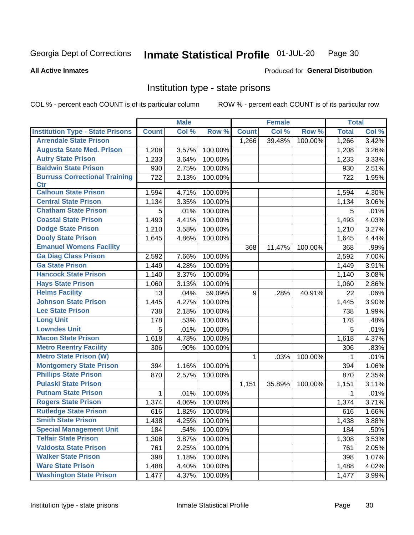#### Inmate Statistical Profile 01-JUL-20 Page 30

#### **All Active Inmates**

## Produced for General Distribution

### Institution type - state prisons

COL % - percent each COUNT is of its particular column

|                                         |              | <b>Male</b> |         |              | <b>Female</b> |         | <b>Total</b> |       |
|-----------------------------------------|--------------|-------------|---------|--------------|---------------|---------|--------------|-------|
| <b>Institution Type - State Prisons</b> | <b>Count</b> | Col %       | Row %   | <b>Count</b> | Col %         | Row %   | <b>Total</b> | Col % |
| <b>Arrendale State Prison</b>           |              |             |         | 1,266        | 39.48%        | 100.00% | 1,266        | 3.42% |
| <b>Augusta State Med. Prison</b>        | 1,208        | 3.57%       | 100.00% |              |               |         | 1,208        | 3.26% |
| <b>Autry State Prison</b>               | 1,233        | 3.64%       | 100.00% |              |               |         | 1,233        | 3.33% |
| <b>Baldwin State Prison</b>             | 930          | 2.75%       | 100.00% |              |               |         | 930          | 2.51% |
| <b>Burruss Correctional Training</b>    | 722          | 2.13%       | 100.00% |              |               |         | 722          | 1.95% |
| <b>Ctr</b>                              |              |             |         |              |               |         |              |       |
| <b>Calhoun State Prison</b>             | 1,594        | 4.71%       | 100.00% |              |               |         | 1,594        | 4.30% |
| <b>Central State Prison</b>             | 1,134        | 3.35%       | 100.00% |              |               |         | 1,134        | 3.06% |
| <b>Chatham State Prison</b>             | 5            | .01%        | 100.00% |              |               |         | 5            | .01%  |
| <b>Coastal State Prison</b>             | 1,493        | 4.41%       | 100.00% |              |               |         | 1,493        | 4.03% |
| <b>Dodge State Prison</b>               | 1,210        | 3.58%       | 100.00% |              |               |         | 1,210        | 3.27% |
| <b>Dooly State Prison</b>               | 1,645        | 4.86%       | 100.00% |              |               |         | 1,645        | 4.44% |
| <b>Emanuel Womens Facility</b>          |              |             |         | 368          | 11.47%        | 100.00% | 368          | .99%  |
| <b>Ga Diag Class Prison</b>             | 2,592        | 7.66%       | 100.00% |              |               |         | 2,592        | 7.00% |
| <b>Ga State Prison</b>                  | 1,449        | 4.28%       | 100.00% |              |               |         | 1,449        | 3.91% |
| <b>Hancock State Prison</b>             | 1,140        | 3.37%       | 100.00% |              |               |         | 1,140        | 3.08% |
| <b>Hays State Prison</b>                | 1,060        | 3.13%       | 100.00% |              |               |         | 1,060        | 2.86% |
| <b>Helms Facility</b>                   | 13           | .04%        | 59.09%  | 9            | .28%          | 40.91%  | 22           | .06%  |
| <b>Johnson State Prison</b>             | 1,445        | 4.27%       | 100.00% |              |               |         | 1,445        | 3.90% |
| <b>Lee State Prison</b>                 | 738          | 2.18%       | 100.00% |              |               |         | 738          | 1.99% |
| <b>Long Unit</b>                        | 178          | .53%        | 100.00% |              |               |         | 178          | .48%  |
| <b>Lowndes Unit</b>                     | 5            | .01%        | 100.00% |              |               |         | 5            | .01%  |
| <b>Macon State Prison</b>               | 1,618        | 4.78%       | 100.00% |              |               |         | 1,618        | 4.37% |
| <b>Metro Reentry Facility</b>           | 306          | .90%        | 100.00% |              |               |         | 306          | .83%  |
| <b>Metro State Prison (W)</b>           |              |             |         | 1            | .03%          | 100.00% | 1            | .01%  |
| <b>Montgomery State Prison</b>          | 394          | 1.16%       | 100.00% |              |               |         | 394          | 1.06% |
| <b>Phillips State Prison</b>            | 870          | 2.57%       | 100.00% |              |               |         | 870          | 2.35% |
| <b>Pulaski State Prison</b>             |              |             |         | 1,151        | 35.89%        | 100.00% | 1,151        | 3.11% |
| <b>Putnam State Prison</b>              | 1            | .01%        | 100.00% |              |               |         | 1            | .01%  |
| <b>Rogers State Prison</b>              | 1,374        | 4.06%       | 100.00% |              |               |         | 1,374        | 3.71% |
| <b>Rutledge State Prison</b>            | 616          | 1.82%       | 100.00% |              |               |         | 616          | 1.66% |
| <b>Smith State Prison</b>               | 1,438        | 4.25%       | 100.00% |              |               |         | 1,438        | 3.88% |
| <b>Special Management Unit</b>          | 184          | .54%        | 100.00% |              |               |         | 184          | .50%  |
| <b>Telfair State Prison</b>             | 1,308        | 3.87%       | 100.00% |              |               |         | 1,308        | 3.53% |
| <b>Valdosta State Prison</b>            | 761          | 2.25%       | 100.00% |              |               |         | 761          | 2.05% |
| <b>Walker State Prison</b>              | 398          | 1.18%       | 100.00% |              |               |         | 398          | 1.07% |
| <b>Ware State Prison</b>                | 1,488        | 4.40%       | 100.00% |              |               |         | 1,488        | 4.02% |
| <b>Washington State Prison</b>          | 1,477        | 4.37%       | 100.00% |              |               |         | 1,477        | 3.99% |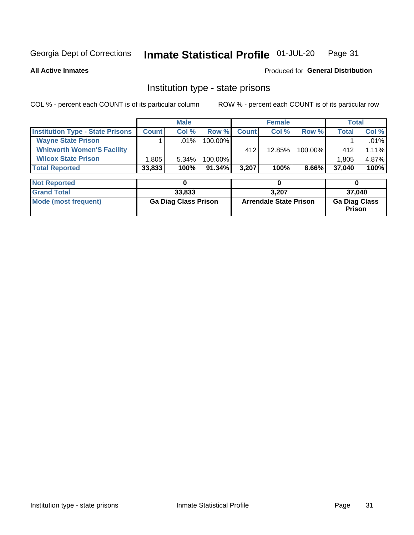#### Inmate Statistical Profile 01-JUL-20 Page 31

**All Active Inmates** 

#### **Produced for General Distribution**

## Institution type - state prisons

COL % - percent each COUNT is of its particular column

|                                         |              | <b>Male</b> |            |              | <b>Female</b> |          | Total        |          |
|-----------------------------------------|--------------|-------------|------------|--------------|---------------|----------|--------------|----------|
| <b>Institution Type - State Prisons</b> | <b>Count</b> | Col %       | Row %I     | <b>Count</b> | Col %         | Row %    | <b>Total</b> | Col %    |
| <b>Wayne State Prison</b>               |              | $.01\%$     | $100.00\%$ |              |               |          |              | $.01\%$  |
| <b>Whitworth Women'S Facility</b>       |              |             |            | 412          | $12.85\%$     | 100.00%  | 412          | $1.11\%$ |
| <b>Wilcox State Prison</b>              | .805         | $5.34\%$    | 100.00%    |              |               |          | 1,805        | 4.87%    |
| <b>Total Reported</b>                   | 33,833       | 100%        | $91.34\%$  | 3,207        | 100%          | $8.66\%$ | 37.040       | 100%     |

| <b>Not Reported</b>  |                             |                               |                                       |
|----------------------|-----------------------------|-------------------------------|---------------------------------------|
| <b>Grand Total</b>   | 33,833                      | 3.207                         | 37.040                                |
| Mode (most frequent) | <b>Ga Diag Class Prison</b> | <b>Arrendale State Prison</b> | <b>Ga Diag Class</b><br><b>Prison</b> |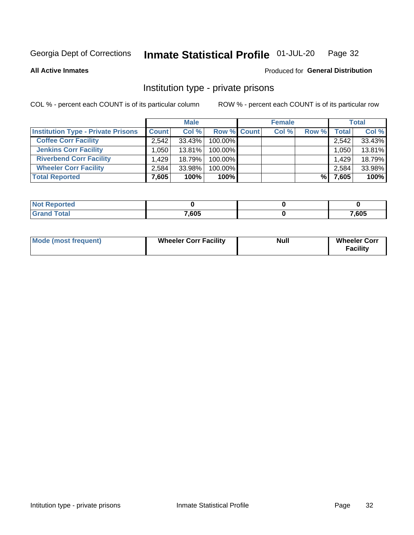#### Inmate Statistical Profile 01-JUL-20 Page 32

**All Active Inmates** 

#### Produced for General Distribution

## Institution type - private prisons

COL % - percent each COUNT is of its particular column

|                                           |              | <b>Male</b> |                    | <b>Female</b> |       | <b>Total</b> |       |        |
|-------------------------------------------|--------------|-------------|--------------------|---------------|-------|--------------|-------|--------|
| <b>Institution Type - Private Prisons</b> | <b>Count</b> | Col %       | <b>Row % Count</b> |               | Col % | Row %        | Total | Col %  |
| <b>Coffee Corr Facility</b>               | 2.542        | 33.43%      | 100.00%            |               |       |              | 2,542 | 33.43% |
| <b>Jenkins Corr Facility</b>              | .050         | 13.81%      | $100.00\%$         |               |       |              | 1,050 | 13.81% |
| <b>Riverbend Corr Facility</b>            | 1.429        | 18.79%      | 100.00%            |               |       |              | 1,429 | 18.79% |
| <b>Wheeler Corr Facility</b>              | 2,584        | 33.98%      | 100.00%            |               |       |              | 2,584 | 33.98% |
| <b>Total Reported</b>                     | 7,605        | 100%        | 100%               |               |       | %            | 7,605 | 100%   |

| <b>Reported</b><br>' NO) |       |       |
|--------------------------|-------|-------|
| <b>Total</b>             | 7,605 | 7,605 |

| <b>Mode (most frequent)</b> | <b>Wheeler Corr Facility</b> | <b>Null</b> | <b>Wheeler Corr</b><br><b>Facility</b> |
|-----------------------------|------------------------------|-------------|----------------------------------------|
|-----------------------------|------------------------------|-------------|----------------------------------------|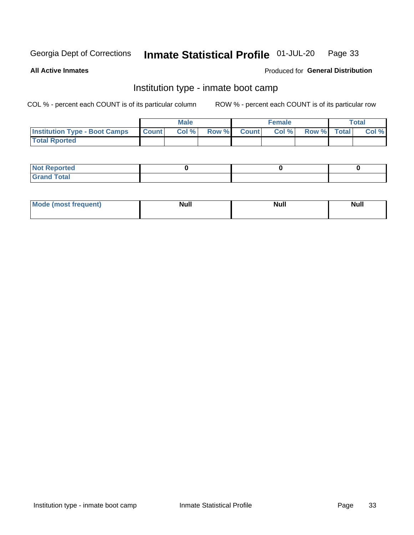#### Inmate Statistical Profile 01-JUL-20 Page 33

**All Active Inmates** 

#### Produced for General Distribution

## Institution type - inmate boot camp

COL % - percent each COUNT is of its particular column

|                                      | <b>Male</b>      |       |              | <b>Female</b> |       |             | <b>Total</b> |       |
|--------------------------------------|------------------|-------|--------------|---------------|-------|-------------|--------------|-------|
| <b>Institution Type - Boot Camps</b> | <b>I</b> Count I | Col % | <b>Row %</b> | <b>Count</b>  | Col % | Row % Total |              | Col % |
| <b>Total Rported</b>                 |                  |       |              |               |       |             |              |       |

| <b>Not Reported</b>            |  |  |
|--------------------------------|--|--|
| <b>Total</b><br>C <sub>r</sub> |  |  |

| Mod<br>uamo | Nul.<br>$- - - - - -$ | <b>Null</b> | <br>uu.<br>------ |
|-------------|-----------------------|-------------|-------------------|
|             |                       |             |                   |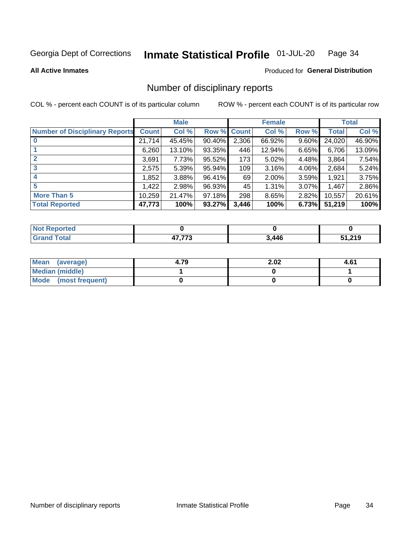#### Inmate Statistical Profile 01-JUL-20 Page 34

**All Active Inmates** 

#### Produced for General Distribution

## Number of disciplinary reports

COL % - percent each COUNT is of its particular column

|                                       |              | <b>Male</b> |        |       | <b>Female</b> |       |              | <b>Total</b> |
|---------------------------------------|--------------|-------------|--------|-------|---------------|-------|--------------|--------------|
| <b>Number of Disciplinary Reports</b> | <b>Count</b> | Col %       | Row %  | Count | Col %         | Row % | <b>Total</b> | Col %        |
| $\bf{0}$                              | 21,714       | 45.45%      | 90.40% | 2,306 | 66.92%        | 9.60% | 24,020       | 46.90%       |
|                                       | 6,260        | 13.10%      | 93.35% | 446   | 12.94%        | 6.65% | 6,706        | 13.09%       |
| $\mathbf{2}$                          | 3,691        | 7.73%       | 95.52% | 173   | 5.02%         | 4.48% | 3,864        | 7.54%        |
| 3                                     | 2,575        | 5.39%       | 95.94% | 109   | 3.16%         | 4.06% | 2,684        | 5.24%        |
| 4                                     | 1,852        | 3.88%       | 96.41% | 69    | 2.00%         | 3.59% | 1,921        | 3.75%        |
| 5                                     | 1,422        | 2.98%       | 96.93% | 45    | 1.31%         | 3.07% | 1,467        | 2.86%        |
| <b>More Than 5</b>                    | 10,259       | 21.47%      | 97.18% | 298   | 8.65%         | 2.82% | 10,557       | 20.61%       |
| <b>Total Reported</b>                 | 47,773       | 100%        | 93.27% | 3,446 | 100%          | 6.73% | 51,219       | 100%         |

| Reported<br><b>NOT</b> F |                    |       |        |
|--------------------------|--------------------|-------|--------|
| ™otaì                    | $- - - - -$<br>. . | 3,446 | 51,219 |

| Mean (average)       | 4.79 | 2.02 | 4.61 |
|----------------------|------|------|------|
| Median (middle)      |      |      |      |
| Mode (most frequent) |      |      |      |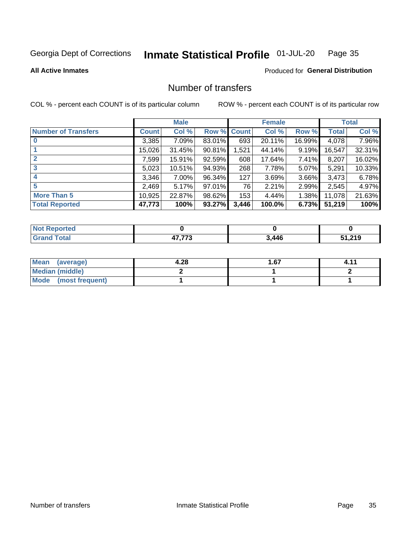#### Inmate Statistical Profile 01-JUL-20 Page 35

**All Active Inmates** 

#### **Produced for General Distribution**

## Number of transfers

COL % - percent each COUNT is of its particular column

|                            |         | <b>Male</b> |             |       | <b>Female</b> |          |        | <b>Total</b> |
|----------------------------|---------|-------------|-------------|-------|---------------|----------|--------|--------------|
| <b>Number of Transfers</b> | Count l | Col %       | Row % Count |       | Col %         | Row %    | Total  | Col %        |
|                            | 3,385   | 7.09%       | 83.01%      | 693   | 20.11%        | 16.99%   | 4,078  | 7.96%        |
|                            | 15,026  | 31.45%      | 90.81%      | 1,521 | 44.14%        | $9.19\%$ | 16,547 | 32.31%       |
| $\mathbf{2}$               | 7,599   | 15.91%      | 92.59%      | 608   | 17.64%        | 7.41%    | 8,207  | 16.02%       |
| 3                          | 5,023   | 10.51%      | 94.93%      | 268   | 7.78%         | 5.07%    | 5,291  | 10.33%       |
| 4                          | 3,346   | 7.00%       | 96.34%      | 127   | 3.69%         | 3.66%    | 3,473  | 6.78%        |
| 5                          | 2,469   | 5.17%       | 97.01%      | 76    | 2.21%         | 2.99%    | 2,545  | 4.97%        |
| <b>More Than 5</b>         | 10,925  | 22.87%      | 98.62%      | 153   | 4.44%         | $1.38\%$ | 11,078 | 21.63%       |
| <b>Total Reported</b>      | 47,773  | 100%        | 93.27%      | 3,446 | 100.0%        | 6.73%    | 51,219 | 100%         |

| Reported<br><b>NOT</b> F |                    |       |        |
|--------------------------|--------------------|-------|--------|
| ™otaì                    | $- - - - -$<br>. . | 3,446 | 51,219 |

| Mean (average)       | 4.28 | . 67 |  |
|----------------------|------|------|--|
| Median (middle)      |      |      |  |
| Mode (most frequent) |      |      |  |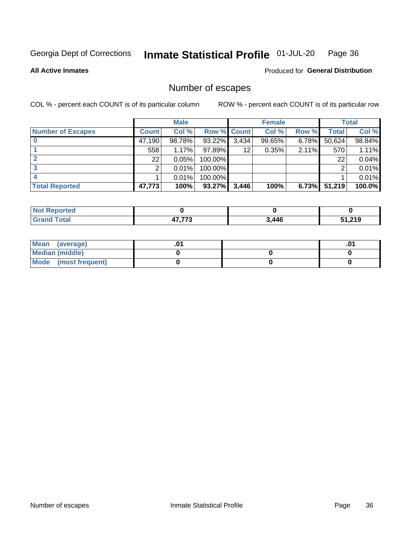#### Inmate Statistical Profile 01-JUL-20 Page 36

#### **All Active Inmates**

#### **Produced for General Distribution**

## Number of escapes

COL % - percent each COUNT is of its particular column

|                          |              | <b>Male</b> |             |       | <b>Female</b> |          |              | <b>Total</b> |
|--------------------------|--------------|-------------|-------------|-------|---------------|----------|--------------|--------------|
| <b>Number of Escapes</b> | <b>Count</b> | Col %       | Row % Count |       | Col %         | Row %    | <b>Total</b> | Col %        |
|                          | 47,190       | 98.78%      | 93.22%      | 3,434 | 99.65%        | 6.78%    | 50,624       | 98.84%       |
|                          | 558          | 1.17%       | 97.89%      | 12    | 0.35%         | 2.11%    | 570          | 1.11%        |
|                          | 22           | 0.05%       | 100.00%     |       |               |          | 22           | 0.04%        |
|                          | っ            | 0.01%       | 100.00%     |       |               |          | ົ            | 0.01%        |
|                          |              | 0.01%       | 100.00%     |       |               |          |              | $0.01\%$     |
| <b>Total Reported</b>    | 47,773       | 100%        | 93.27%      | 3,446 | 100%          | $6.73\%$ | 51,219       | $100.0\%$    |

| <b>Not Reported</b> |             |       |        |
|---------------------|-------------|-------|--------|
| $\tau$ otal $\;$    | $- - - - -$ | 3,446 | 51,219 |

| Mean (average)         |  | .ט |
|------------------------|--|----|
| <b>Median (middle)</b> |  |    |
| Mode (most frequent)   |  |    |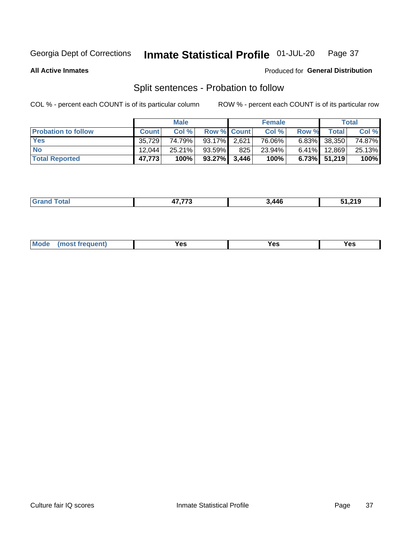#### Inmate Statistical Profile 01-JUL-20 Page 37

**All Active Inmates** 

#### Produced for General Distribution

## Split sentences - Probation to follow

COL % - percent each COUNT is of its particular column

|                            |              | <b>Male</b> |                    |     | <b>Female</b> |       |                 | <b>Total</b> |
|----------------------------|--------------|-------------|--------------------|-----|---------------|-------|-----------------|--------------|
| <b>Probation to follow</b> | <b>Count</b> | Col%        | <b>Row % Count</b> |     | Col %         | Row % | <b>Total</b>    | Col %        |
| <b>Yes</b>                 | 35.729       | 74.79%      | 93.17% 2.621       |     | 76.06%        |       | $6.83\%$ 38,350 | 74.87%       |
| <b>No</b>                  | 12.044       | 25.21%      | 93.59%             | 825 | 23.94%        |       | $6.41\%$ 12,869 | 25.13%       |
| <b>Total Reported</b>      | 47.773       | 100%        | $93.27\%$ 3,446    |     | 100%          |       | $6.73\%$ 51,219 | 100%         |

| ______ | --- | .446 | .24 <sub>0</sub> |
|--------|-----|------|------------------|
|        |     |      |                  |

| <b>Mode</b><br>reauent)<br>Yes<br>v^c<br>0٥<br>.<br>. .<br>$\sim$ |
|-------------------------------------------------------------------|
|-------------------------------------------------------------------|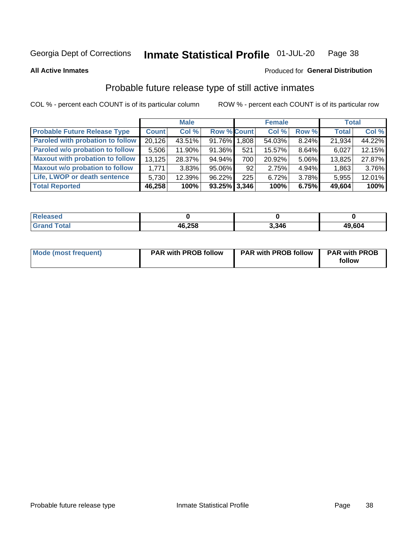#### Inmate Statistical Profile 01-JUL-20 Page 38

**All Active Inmates** 

### Produced for General Distribution

## Probable future release type of still active inmates

COL % - percent each COUNT is of its particular column

|                                         |              | <b>Male</b> |                    |     | <b>Female</b> |          | <b>Total</b> |        |
|-----------------------------------------|--------------|-------------|--------------------|-----|---------------|----------|--------------|--------|
| <b>Probable Future Release Type</b>     | <b>Count</b> | Col %       | <b>Row % Count</b> |     | Col %         | Row %    | <b>Total</b> | Col %  |
| <b>Paroled with probation to follow</b> | 20,126       | 43.51%      | 91.76% 1.808       |     | 54.03%        | 8.24%    | 21,934       | 44.22% |
| Paroled w/o probation to follow         | 5,506        | 11.90%      | 91.36%             | 521 | 15.57%        | 8.64%    | 6,027        | 12.15% |
| <b>Maxout with probation to follow</b>  | 13,125       | 28.37%      | 94.94%             | 700 | 20.92%        | 5.06%    | 13,825       | 27.87% |
| <b>Maxout w/o probation to follow</b>   | 1,771        | 3.83%       | 95.06%             | 92  | 2.75%         | 4.94%    | 1,863        | 3.76%  |
| Life, LWOP or death sentence            | 5.730        | 12.39%      | 96.22%             | 225 | 6.72%         | $3.78\%$ | 5,955        | 12.01% |
| <b>Total Reported</b>                   | 46,258       | 100%        | $93.25\%$ 3,346    |     | 100%          | 6.75%    | 49,604       | 100%   |

| <b>otal</b> | 46,258 | 3.346 | 49,604 |
|-------------|--------|-------|--------|

| <b>Mode (most frequent)</b> | <b>PAR with PROB follow</b> | <b>PAR with PROB follow</b> | <b>PAR with PROB</b> |
|-----------------------------|-----------------------------|-----------------------------|----------------------|
|                             |                             |                             | follow               |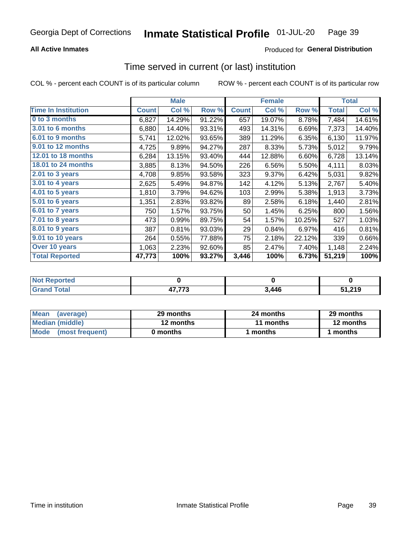## **All Active Inmates**

## Produced for General Distribution

## Time served in current (or last) institution

COL % - percent each COUNT is of its particular column

|                            |              | <b>Male</b> |        |              | <b>Female</b> |        |              | <b>Total</b> |
|----------------------------|--------------|-------------|--------|--------------|---------------|--------|--------------|--------------|
| <b>Time In Institution</b> | <b>Count</b> | Col %       | Row %  | <b>Count</b> | Col %         | Row %  | <b>Total</b> | Col %        |
| 0 to 3 months              | 6,827        | 14.29%      | 91.22% | 657          | 19.07%        | 8.78%  | 7,484        | 14.61%       |
| 3.01 to 6 months           | 6,880        | 14.40%      | 93.31% | 493          | 14.31%        | 6.69%  | 7,373        | 14.40%       |
| 6.01 to 9 months           | 5,741        | 12.02%      | 93.65% | 389          | 11.29%        | 6.35%  | 6,130        | 11.97%       |
| 9.01 to 12 months          | 4,725        | 9.89%       | 94.27% | 287          | 8.33%         | 5.73%  | 5,012        | 9.79%        |
| 12.01 to 18 months         | 6,284        | 13.15%      | 93.40% | 444          | 12.88%        | 6.60%  | 6,728        | 13.14%       |
| <b>18.01 to 24 months</b>  | 3,885        | 8.13%       | 94.50% | 226          | 6.56%         | 5.50%  | 4,111        | 8.03%        |
| $2.01$ to 3 years          | 4,708        | 9.85%       | 93.58% | 323          | 9.37%         | 6.42%  | 5,031        | 9.82%        |
| 3.01 to 4 years            | 2,625        | 5.49%       | 94.87% | 142          | 4.12%         | 5.13%  | 2,767        | 5.40%        |
| 4.01 to 5 years            | 1,810        | 3.79%       | 94.62% | 103          | 2.99%         | 5.38%  | 1,913        | 3.73%        |
| 5.01 to 6 years            | 1,351        | 2.83%       | 93.82% | 89           | 2.58%         | 6.18%  | 1,440        | 2.81%        |
| 6.01 to 7 years            | 750          | 1.57%       | 93.75% | 50           | 1.45%         | 6.25%  | 800          | 1.56%        |
| $7.01$ to 8 years          | 473          | 0.99%       | 89.75% | 54           | 1.57%         | 10.25% | 527          | 1.03%        |
| $8.01$ to 9 years          | 387          | 0.81%       | 93.03% | 29           | 0.84%         | 6.97%  | 416          | 0.81%        |
| 9.01 to 10 years           | 264          | 0.55%       | 77.88% | 75           | 2.18%         | 22.12% | 339          | 0.66%        |
| Over 10 years              | 1,063        | 2.23%       | 92.60% | 85           | 2.47%         | 7.40%  | 1,148        | 2.24%        |
| <b>Total Reported</b>      | 47,773       | 100%        | 93.27% | 3,446        | 100%          | 6.73%  | 51,219       | 100%         |

| orted<br><b>NOT</b> |                             |       |        |
|---------------------|-----------------------------|-------|--------|
| `otal               | 17.770<br>1 J<br>71 , 1 I V | 3,446 | 51,219 |

| <b>Mean</b><br>(average) | 29 months | 24 months | 29 months |
|--------------------------|-----------|-----------|-----------|
| Median (middle)          | 12 months | 11 months | 12 months |
| Mode<br>(most frequent)  | 0 months  | ∖ months  | months    |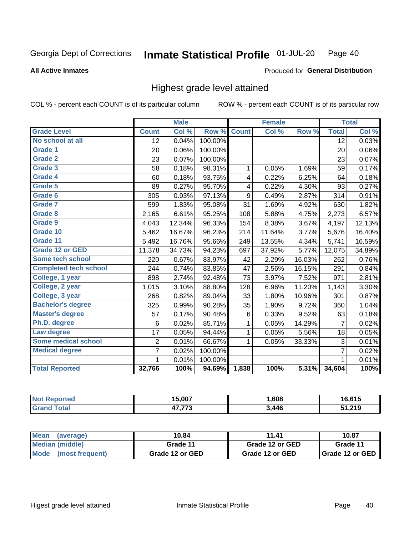### **All Active Inmates**

### Produced for General Distribution

## Highest grade level attained

COL % - percent each COUNT is of its particular column

|                              |                 | <b>Male</b> |         |              | <b>Female</b> |        |                 | <b>Total</b> |
|------------------------------|-----------------|-------------|---------|--------------|---------------|--------|-----------------|--------------|
| <b>Grade Level</b>           | <b>Count</b>    | Col %       | Row %   | <b>Count</b> | Col%          | Row %  | <b>Total</b>    | Col %        |
| No school at all             | $\overline{12}$ | 0.04%       | 100.00% |              |               |        | $\overline{12}$ | 0.03%        |
| <b>Grade 1</b>               | 20              | 0.06%       | 100.00% |              |               |        | 20              | 0.06%        |
| <b>Grade 2</b>               | 23              | 0.07%       | 100.00% |              |               |        | 23              | 0.07%        |
| Grade 3                      | 58              | 0.18%       | 98.31%  | 1            | 0.05%         | 1.69%  | 59              | 0.17%        |
| Grade 4                      | 60              | 0.18%       | 93.75%  | 4            | 0.22%         | 6.25%  | 64              | 0.18%        |
| Grade 5                      | 89              | 0.27%       | 95.70%  | 4            | 0.22%         | 4.30%  | 93              | 0.27%        |
| Grade 6                      | 305             | 0.93%       | 97.13%  | 9            | 0.49%         | 2.87%  | 314             | 0.91%        |
| <b>Grade 7</b>               | 599             | 1.83%       | 95.08%  | 31           | 1.69%         | 4.92%  | 630             | 1.82%        |
| Grade 8                      | 2,165           | 6.61%       | 95.25%  | 108          | 5.88%         | 4.75%  | 2,273           | 6.57%        |
| Grade 9                      | 4,043           | 12.34%      | 96.33%  | 154          | 8.38%         | 3.67%  | 4,197           | 12.13%       |
| Grade 10                     | 5,462           | 16.67%      | 96.23%  | 214          | 11.64%        | 3.77%  | 5,676           | 16.40%       |
| Grade 11                     | 5,492           | 16.76%      | 95.66%  | 249          | 13.55%        | 4.34%  | 5,741           | 16.59%       |
| <b>Grade 12 or GED</b>       | 11,378          | 34.73%      | 94.23%  | 697          | 37.92%        | 5.77%  | 12,075          | 34.89%       |
| <b>Some tech school</b>      | 220             | 0.67%       | 83.97%  | 42           | 2.29%         | 16.03% | 262             | 0.76%        |
| <b>Completed tech school</b> | 244             | 0.74%       | 83.85%  | 47           | 2.56%         | 16.15% | 291             | 0.84%        |
| College, 1 year              | 898             | 2.74%       | 92.48%  | 73           | 3.97%         | 7.52%  | 971             | 2.81%        |
| College, 2 year              | 1,015           | 3.10%       | 88.80%  | 128          | 6.96%         | 11.20% | 1,143           | 3.30%        |
| College, 3 year              | 268             | 0.82%       | 89.04%  | 33           | 1.80%         | 10.96% | 301             | 0.87%        |
| <b>Bachelor's degree</b>     | 325             | 0.99%       | 90.28%  | 35           | 1.90%         | 9.72%  | 360             | 1.04%        |
| <b>Master's degree</b>       | 57              | 0.17%       | 90.48%  | 6            | 0.33%         | 9.52%  | 63              | 0.18%        |
| Ph.D. degree                 | 6               | 0.02%       | 85.71%  | 1            | 0.05%         | 14.29% | $\overline{7}$  | 0.02%        |
| Law degree                   | 17              | 0.05%       | 94.44%  | $\mathbf{1}$ | 0.05%         | 5.56%  | 18              | 0.05%        |
| <b>Some medical school</b>   | $\overline{2}$  | 0.01%       | 66.67%  | 1            | 0.05%         | 33.33% | 3               | 0.01%        |
| <b>Medical degree</b>        | $\overline{7}$  | 0.02%       | 100.00% |              |               |        | $\overline{7}$  | 0.02%        |
|                              | $\mathbf 1$     | 0.01%       | 100.00% |              |               |        | 1               | 0.01%        |
| <b>Total Reported</b>        | 32,766          | 100%        | 94.69%  | 1,838        | 100%          | 5.31%  | 34,604          | 100%         |

| 15.007        | .608  | <b>CAE</b> |
|---------------|-------|------------|
| ィラ フフヘ<br>- 1 | 3,446 | ,219<br>E4 |

| Mean<br>(average)    | 10.84           | 11.41           | 10.87           |  |
|----------------------|-----------------|-----------------|-----------------|--|
| Median (middle)      | Grade 11        | Grade 12 or GED | Grade 11        |  |
| Mode (most frequent) | Grade 12 or GED | Grade 12 or GED | Grade 12 or GED |  |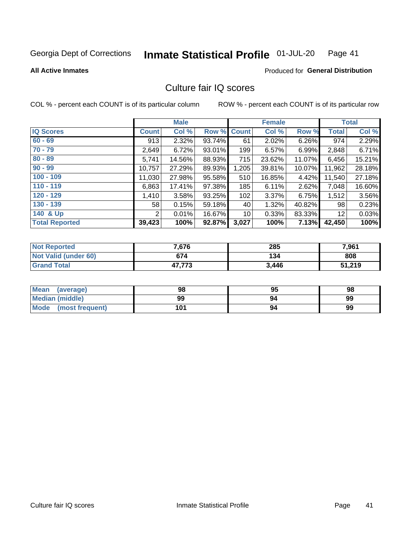#### Inmate Statistical Profile 01-JUL-20 Page 41

### **All Active Inmates**

### **Produced for General Distribution**

## Culture fair IQ scores

COL % - percent each COUNT is of its particular column

|                       |              | <b>Male</b> |        |              | <b>Female</b> |          |              | <b>Total</b> |
|-----------------------|--------------|-------------|--------|--------------|---------------|----------|--------------|--------------|
| <b>IQ Scores</b>      | <b>Count</b> | Col %       | Row %  | <b>Count</b> | Col %         | Row %    | <b>Total</b> | Col %        |
| $60 - 69$             | 913          | 2.32%       | 93.74% | 61           | 2.02%         | $6.26\%$ | 974          | 2.29%        |
| $70 - 79$             | 2,649        | 6.72%       | 93.01% | 199          | 6.57%         | 6.99%    | 2,848        | 6.71%        |
| $80 - 89$             | 5,741        | 14.56%      | 88.93% | 715          | 23.62%        | 11.07%   | 6,456        | 15.21%       |
| $90 - 99$             | 10,757       | 27.29%      | 89.93% | 1,205        | 39.81%        | 10.07%   | 11,962       | 28.18%       |
| $100 - 109$           | 11,030       | 27.98%      | 95.58% | 510          | 16.85%        | 4.42%    | 11,540       | 27.18%       |
| $110 - 119$           | 6,863        | 17.41%      | 97.38% | 185          | 6.11%         | 2.62%    | 7,048        | 16.60%       |
| $120 - 129$           | 1,410        | 3.58%       | 93.25% | 102          | 3.37%         | 6.75%    | 1,512        | 3.56%        |
| $130 - 139$           | 58           | 0.15%       | 59.18% | 40           | 1.32%         | 40.82%   | 98           | 0.23%        |
| 140 & Up              | 2            | 0.01%       | 16.67% | 10           | 0.33%         | 83.33%   | 12           | 0.03%        |
| <b>Total Reported</b> | 39,423       | 100%        | 92.87% | 3,027        | 100%          | 7.13%    | 42,450       | 100%         |

| <b>Not Reported</b>         | 7,676  | 285   | 7,961  |
|-----------------------------|--------|-------|--------|
| <b>Not Valid (under 60)</b> | 674    | 134   | 808    |
| <b>Grand Total</b>          | 47,773 | 3,446 | 51,219 |

| <b>Mean</b><br>(average) | 98  | 95 | 98 |
|--------------------------|-----|----|----|
| Median (middle)          | 99  | 94 | 99 |
| Mode<br>(most frequent)  | 101 | 94 | 99 |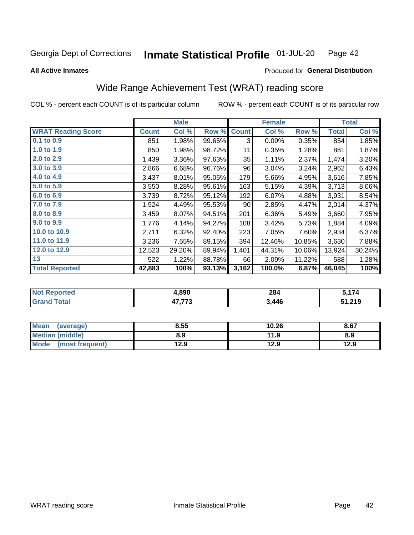#### Inmate Statistical Profile 01-JUL-20 Page 42

**All Active Inmates** 

## Produced for General Distribution

## Wide Range Achievement Test (WRAT) reading score

COL % - percent each COUNT is of its particular column

|                           |              | <b>Male</b> |        |              | <b>Female</b> |        |              | <b>Total</b> |
|---------------------------|--------------|-------------|--------|--------------|---------------|--------|--------------|--------------|
| <b>WRAT Reading Score</b> | <b>Count</b> | Col %       | Row %  | <b>Count</b> | Col %         | Row %  | <b>Total</b> | Col %        |
| $0.1$ to $0.9$            | 851          | 1.98%       | 99.65% | 3            | 0.09%         | 0.35%  | 854          | 1.85%        |
| 1.0 to 1.9                | 850          | 1.98%       | 98.72% | 11           | 0.35%         | 1.28%  | 861          | 1.87%        |
| 2.0 to 2.9                | 1,439        | 3.36%       | 97.63% | 35           | 1.11%         | 2.37%  | 1,474        | 3.20%        |
| 3.0 to 3.9                | 2,866        | 6.68%       | 96.76% | 96           | 3.04%         | 3.24%  | 2,962        | 6.43%        |
| 4.0 to 4.9                | 3,437        | 8.01%       | 95.05% | 179          | 5.66%         | 4.95%  | 3,616        | 7.85%        |
| 5.0 to 5.9                | 3,550        | 8.28%       | 95.61% | 163          | 5.15%         | 4.39%  | 3,713        | 8.06%        |
| 6.0 to 6.9                | 3,739        | 8.72%       | 95.12% | 192          | 6.07%         | 4.88%  | 3,931        | 8.54%        |
| 7.0 to 7.9                | 1,924        | 4.49%       | 95.53% | 90           | 2.85%         | 4.47%  | 2,014        | 4.37%        |
| 8.0 to 8.9                | 3,459        | 8.07%       | 94.51% | 201          | 6.36%         | 5.49%  | 3,660        | 7.95%        |
| 9.0 to 9.9                | 1,776        | 4.14%       | 94.27% | 108          | 3.42%         | 5.73%  | 1,884        | 4.09%        |
| 10.0 to 10.9              | 2,711        | 6.32%       | 92.40% | 223          | 7.05%         | 7.60%  | 2,934        | 6.37%        |
| 11.0 to 11.9              | 3,236        | 7.55%       | 89.15% | 394          | 12.46%        | 10.85% | 3,630        | 7.88%        |
| 12.0 to 12.9              | 12,523       | 29.20%      | 89.94% | 1,401        | 44.31%        | 10.06% | 13,924       | 30.24%       |
| 13                        | 522          | 1.22%       | 88.78% | 66           | 2.09%         | 11.22% | 588          | 1.28%        |
| <b>Total Reported</b>     | 42,883       | 100%        | 93.13% | 3,162        | 100.0%        | 6.87%  | 46,045       | 100%         |

| rted<br>NO       | 4,890            | 284   | $\rightarrow$<br>. |
|------------------|------------------|-------|--------------------|
| $F_{\mathbf{A}}$ | 17.770<br>41.119 | 446.د | 51,219             |

| <b>Mean</b><br>(average) | 8.55 | 10.26 | 8.67 |
|--------------------------|------|-------|------|
| Median (middle)          | 8.9  | 11.9  | 8.9  |
| Mode (most frequent)     | 12.9 | 12.9  | 12.9 |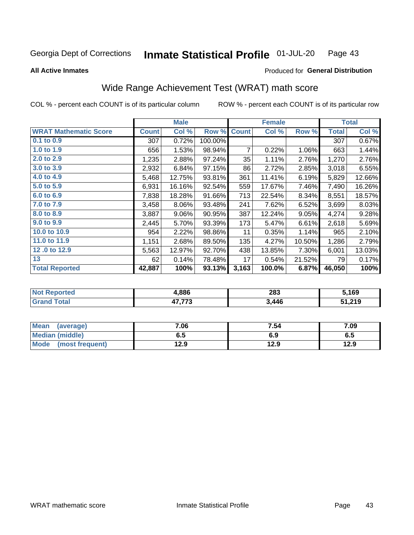#### Inmate Statistical Profile 01-JUL-20 Page 43

### **All Active Inmates**

## Produced for General Distribution

## Wide Range Achievement Test (WRAT) math score

COL % - percent each COUNT is of its particular column

|                              |              | <b>Male</b> |         |              | <b>Female</b> |        |              | <b>Total</b> |
|------------------------------|--------------|-------------|---------|--------------|---------------|--------|--------------|--------------|
| <b>WRAT Mathematic Score</b> | <b>Count</b> | Col %       | Row %   | <b>Count</b> | Col %         | Row %  | <b>Total</b> | Col %        |
| $0.1$ to $0.9$               | 307          | 0.72%       | 100.00% |              |               |        | 307          | 0.67%        |
| 1.0 to 1.9                   | 656          | 1.53%       | 98.94%  | 7            | 0.22%         | 1.06%  | 663          | 1.44%        |
| 2.0 to 2.9                   | 1,235        | 2.88%       | 97.24%  | 35           | 1.11%         | 2.76%  | 1,270        | 2.76%        |
| 3.0 to 3.9                   | 2,932        | 6.84%       | 97.15%  | 86           | 2.72%         | 2.85%  | 3,018        | 6.55%        |
| 4.0 to 4.9                   | 5,468        | 12.75%      | 93.81%  | 361          | 11.41%        | 6.19%  | 5,829        | 12.66%       |
| 5.0 to 5.9                   | 6,931        | 16.16%      | 92.54%  | 559          | 17.67%        | 7.46%  | 7,490        | 16.26%       |
| 6.0 to 6.9                   | 7,838        | 18.28%      | 91.66%  | 713          | 22.54%        | 8.34%  | 8,551        | 18.57%       |
| 7.0 to 7.9                   | 3,458        | 8.06%       | 93.48%  | 241          | 7.62%         | 6.52%  | 3,699        | 8.03%        |
| 8.0 to 8.9                   | 3,887        | 9.06%       | 90.95%  | 387          | 12.24%        | 9.05%  | 4,274        | 9.28%        |
| 9.0 to 9.9                   | 2,445        | 5.70%       | 93.39%  | 173          | 5.47%         | 6.61%  | 2,618        | 5.69%        |
| 10.0 to 10.9                 | 954          | 2.22%       | 98.86%  | 11           | 0.35%         | 1.14%  | 965          | 2.10%        |
| 11.0 to 11.9                 | 1,151        | 2.68%       | 89.50%  | 135          | 4.27%         | 10.50% | 1,286        | 2.79%        |
| 12.0 to 12.9                 | 5,563        | 12.97%      | 92.70%  | 438          | 13.85%        | 7.30%  | 6,001        | 13.03%       |
| 13                           | 62           | 0.14%       | 78.48%  | 17           | 0.54%         | 21.52% | 79           | 0.17%        |
| <b>Total Reported</b>        | 42,887       | 100%        | 93.13%  | 3,163        | 100.0%        | 6.87%  | 46,050       | 100%         |

| Teu.<br>NO | 1,886        | 283   | 5,169  |
|------------|--------------|-------|--------|
|            | 17.770<br>15 | 3,446 | 51,219 |

| <b>Mean</b><br>(average) | 7.06 | 7.54 | 7.09 |
|--------------------------|------|------|------|
| Median (middle)          | 6.5  | 6.9  | ხ.ე  |
| Mode (most frequent)     | 12.9 | 12.9 | 12.9 |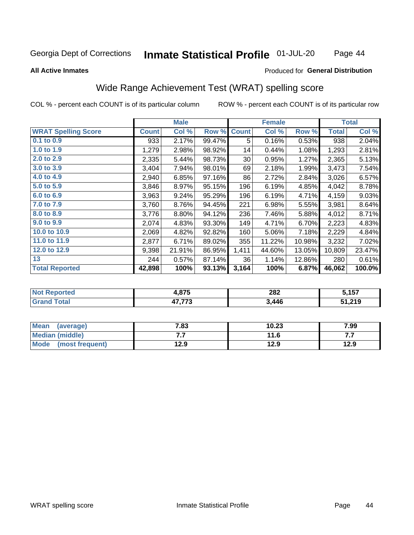#### Inmate Statistical Profile 01-JUL-20 Page 44

### **All Active Inmates**

## Produced for General Distribution

## Wide Range Achievement Test (WRAT) spelling score

COL % - percent each COUNT is of its particular column

|                            |              | <b>Male</b> |        |              | <b>Female</b> |        |              | <b>Total</b> |
|----------------------------|--------------|-------------|--------|--------------|---------------|--------|--------------|--------------|
| <b>WRAT Spelling Score</b> | <b>Count</b> | Col %       | Row %  | <b>Count</b> | Col %         | Row %  | <b>Total</b> | Col %        |
| $0.1$ to $0.9$             | 933          | 2.17%       | 99.47% | 5            | 0.16%         | 0.53%  | 938          | 2.04%        |
| 1.0 to 1.9                 | 1,279        | 2.98%       | 98.92% | 14           | 0.44%         | 1.08%  | 1,293        | 2.81%        |
| 2.0 to 2.9                 | 2,335        | 5.44%       | 98.73% | 30           | 0.95%         | 1.27%  | 2,365        | 5.13%        |
| 3.0 to 3.9                 | 3,404        | 7.94%       | 98.01% | 69           | 2.18%         | 1.99%  | 3,473        | 7.54%        |
| 4.0 to 4.9                 | 2,940        | 6.85%       | 97.16% | 86           | 2.72%         | 2.84%  | 3,026        | 6.57%        |
| 5.0 to 5.9                 | 3,846        | 8.97%       | 95.15% | 196          | 6.19%         | 4.85%  | 4,042        | 8.78%        |
| 6.0 to 6.9                 | 3,963        | 9.24%       | 95.29% | 196          | 6.19%         | 4.71%  | 4,159        | 9.03%        |
| 7.0 to 7.9                 | 3,760        | 8.76%       | 94.45% | 221          | 6.98%         | 5.55%  | 3,981        | 8.64%        |
| 8.0 to 8.9                 | 3,776        | 8.80%       | 94.12% | 236          | 7.46%         | 5.88%  | 4,012        | 8.71%        |
| 9.0 to 9.9                 | 2,074        | 4.83%       | 93.30% | 149          | 4.71%         | 6.70%  | 2,223        | 4.83%        |
| 10.0 to 10.9               | 2,069        | 4.82%       | 92.82% | 160          | 5.06%         | 7.18%  | 2,229        | 4.84%        |
| 11.0 to 11.9               | 2,877        | 6.71%       | 89.02% | 355          | 11.22%        | 10.98% | 3,232        | 7.02%        |
| 12.0 to 12.9               | 9,398        | 21.91%      | 86.95% | 1,411        | 44.60%        | 13.05% | 10,809       | 23.47%       |
| 13                         | 244          | 0.57%       | 87.14% | 36           | 1.14%         | 12.86% | 280          | 0.61%        |
| <b>Total Reported</b>      | 42,898       | 100%        | 93.13% | 3,164        | 100%          | 6.87%  | 46,062       | 100.0%       |

| rted             | 07 <sub>E</sub>  | 282   | $'$ 4 E $7$ |
|------------------|------------------|-------|-------------|
| NO               | 7.07J            |       | J.IJI       |
| $F_{\mathbf{A}}$ | 17.770<br>41.119 | 446.ر | 51,219      |

| <b>Mean</b><br>(average) | 7.83 | 10.23 | 7.99 |
|--------------------------|------|-------|------|
| Median (middle)          | .    | 11.6  | .    |
| Mode<br>(most frequent)  | 12.9 | 12.9  | 12.9 |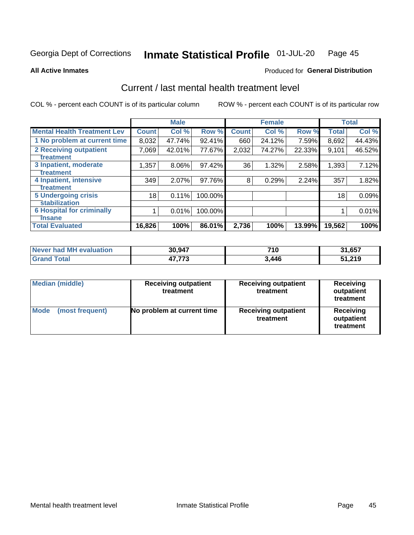#### Inmate Statistical Profile 01-JUL-20 Page 45

**All Active Inmates** 

## **Produced for General Distribution**

## Current / last mental health treatment level

COL % - percent each COUNT is of its particular column

|                                    |              | <b>Male</b> |         |              | <b>Female</b> |        |              | <b>Total</b> |
|------------------------------------|--------------|-------------|---------|--------------|---------------|--------|--------------|--------------|
| <b>Mental Health Treatment Lev</b> | <b>Count</b> | Col %       | Row %   | <b>Count</b> | Col %         | Row %  | <b>Total</b> | Col %        |
| 1 No problem at current time       | 8,032        | 47.74%      | 92.41%  | 660          | 24.12%        | 7.59%  | 8,692        | 44.43%       |
| 2 Receiving outpatient             | 7,069        | 42.01%      | 77.67%  | 2,032        | 74.27%        | 22.33% | 9,101        | 46.52%       |
| <b>Treatment</b>                   |              |             |         |              |               |        |              |              |
| 3 Inpatient, moderate              | 1,357        | 8.06%       | 97.42%  | 36           | 1.32%         | 2.58%  | 1,393        | 7.12%        |
| <b>Treatment</b>                   |              |             |         |              |               |        |              |              |
| 4 Inpatient, intensive             | 349          | 2.07%       | 97.76%  | 8            | 0.29%         | 2.24%  | 357          | 1.82%        |
| <b>Treatment</b>                   |              |             |         |              |               |        |              |              |
| <b>5 Undergoing crisis</b>         | 18           | 0.11%       | 100.00% |              |               |        | 18           | 0.09%        |
| <b>stabilization</b>               |              |             |         |              |               |        |              |              |
| <b>6 Hospital for criminally</b>   |              | 0.01%       | 100.00% |              |               |        |              | 0.01%        |
| <b>Tinsane</b>                     |              |             |         |              |               |        |              |              |
| <b>Total Evaluated</b>             | 16,826       | 100%        | 86.01%  | 2,736        | 100%          | 13.99% | 19,562       | 100%         |

| Never had MH evaluation | 30,947        | 710   | 31,657 |
|-------------------------|---------------|-------|--------|
| $\tau$ otal             | ィフ フフヘ<br>ن ا | 3.446 | 51,219 |

| Median (middle)                | <b>Receiving outpatient</b><br>treatment | <b>Receiving outpatient</b><br>treatment | <b>Receiving</b><br>outpatient<br>treatment |  |  |
|--------------------------------|------------------------------------------|------------------------------------------|---------------------------------------------|--|--|
| <b>Mode</b><br>(most frequent) | No problem at current time               | <b>Receiving outpatient</b><br>treatment | Receiving<br>outpatient<br>treatment        |  |  |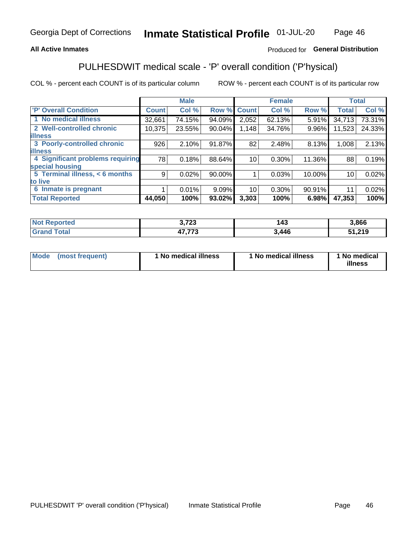## **All Active Inmates**

## Produced for General Distribution

## PULHESDWIT medical scale - 'P' overall condition ('P'hysical)

COL % - percent each COUNT is of its particular column

|                                  |              | <b>Male</b> |          |                 | <b>Female</b> |        |              | <b>Total</b> |
|----------------------------------|--------------|-------------|----------|-----------------|---------------|--------|--------------|--------------|
| <b>P' Overall Condition</b>      | <b>Count</b> | Col %       | Row %    | <b>Count</b>    | Col %         | Row %  | <b>Total</b> | Col %        |
| 1 No medical illness             | 32,661       | 74.15%      | 94.09%   | 2,052           | 62.13%        | 5.91%  | 34,713       | 73.31%       |
| 2 Well-controlled chronic        | 10,375       | 23.55%      | 90.04%   | 1,148           | 34.76%        | 9.96%  | 11,523       | 24.33%       |
| <b>lilness</b>                   |              |             |          |                 |               |        |              |              |
| 3 Poorly-controlled chronic      | 926          | 2.10%       | 91.87%   | 82              | 2.48%         | 8.13%  | 1,008        | 2.13%        |
| <b>illness</b>                   |              |             |          |                 |               |        |              |              |
| 4 Significant problems requiring | 78           | 0.18%       | 88.64%   | 10 <sup>1</sup> | 0.30%         | 11.36% | 88           | 0.19%        |
| special housing                  |              |             |          |                 |               |        |              |              |
| 5 Terminal illness, < 6 months   | 9            | 0.02%       | 90.00%   |                 | 0.03%         | 10.00% | 10           | 0.02%        |
| to live                          |              |             |          |                 |               |        |              |              |
| 6 Inmate is pregnant             |              | $0.01\%$    | $9.09\%$ | 10 <sup>1</sup> | $0.30\%$      | 90.91% | 11           | 0.02%        |
| <b>Total Reported</b>            | 44,050       | 100%        | 93.02%   | 3,303           | 100%          | 6.98%  | 47,353       | 100%         |

| rted | 0.700<br>72J | .<br>. | 3,866               |
|------|--------------|--------|---------------------|
|      | ィラ ララヘ       | 446    | 24C<br>- 1<br>1.ZTY |

| Mode | (most frequent) | 1 No medical illness | 1 No medical illness | 1 No medical<br>illness |
|------|-----------------|----------------------|----------------------|-------------------------|
|------|-----------------|----------------------|----------------------|-------------------------|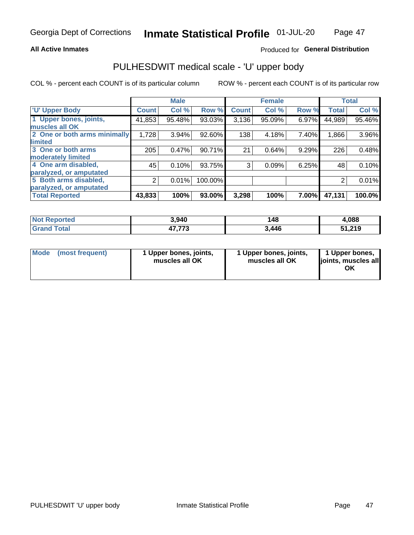### **All Active Inmates**

## Produced for General Distribution

# PULHESDWIT medical scale - 'U' upper body

COL % - percent each COUNT is of its particular column

|                              |              | <b>Male</b> |         |              | <b>Female</b> |       |              | <b>Total</b> |
|------------------------------|--------------|-------------|---------|--------------|---------------|-------|--------------|--------------|
| <b>U' Upper Body</b>         | <b>Count</b> | Col %       | Row %   | <b>Count</b> | Col %         | Row % | <b>Total</b> | Col %        |
| 1 Upper bones, joints,       | 41,853       | 95.48%      | 93.03%  | 3,136        | 95.09%        | 6.97% | 44,989       | 95.46%       |
| muscles all OK               |              |             |         |              |               |       |              |              |
| 2 One or both arms minimally | 1,728        | 3.94%       | 92.60%  | 138          | 4.18%         | 7.40% | 1,866        | 3.96%        |
| limited                      |              |             |         |              |               |       |              |              |
| 3 One or both arms           | 205          | 0.47%       | 90.71%  | 21           | 0.64%         | 9.29% | 226          | 0.48%        |
| <b>moderately limited</b>    |              |             |         |              |               |       |              |              |
| 4 One arm disabled,          | 45           | 0.10%       | 93.75%  | 3            | 0.09%         | 6.25% | 48           | 0.10%        |
| paralyzed, or amputated      |              |             |         |              |               |       |              |              |
| 5 Both arms disabled,        | 2            | 0.01%       | 100.00% |              |               |       | 2            | 0.01%        |
| paralyzed, or amputated      |              |             |         |              |               |       |              |              |
| <b>Total Reported</b>        | 43,833       | 100%        | 93.00%  | 3,298        | 100%          | 7.00% | 47,131       | 100.0%       |

| <b>Not Reported</b> | 3,940            | 148   | 1,088  |
|---------------------|------------------|-------|--------|
| <b>Grand Total</b>  | 17 772<br>41,113 | 3,446 | 51,219 |

|  | Mode (most frequent) | 1 Upper bones, joints,<br>muscles all OK | 1 Upper bones, joints,<br>muscles all OK | 1 Upper bones,<br>ljoints, muscles all<br>ΟK |
|--|----------------------|------------------------------------------|------------------------------------------|----------------------------------------------|
|--|----------------------|------------------------------------------|------------------------------------------|----------------------------------------------|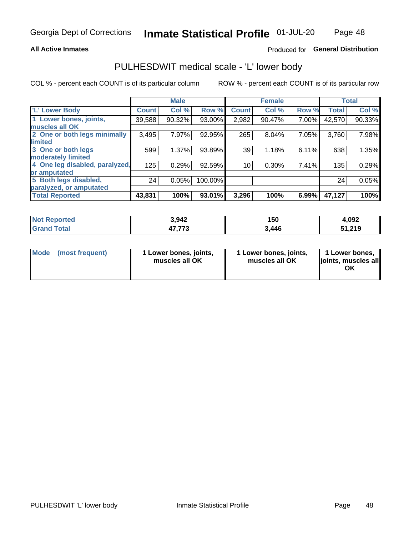### **All Active Inmates**

## Produced for General Distribution

## PULHESDWIT medical scale - 'L' lower body

COL % - percent each COUNT is of its particular column

|                                |              | <b>Male</b> |         |              | <b>Female</b> |       |              | <b>Total</b> |
|--------------------------------|--------------|-------------|---------|--------------|---------------|-------|--------------|--------------|
| 'L' Lower Body                 | <b>Count</b> | Col %       | Row %   | <b>Count</b> | Col %         | Row % | <b>Total</b> | Col %        |
| 1 Lower bones, joints,         | 39,588       | 90.32%      | 93.00%  | 2,982        | 90.47%        | 7.00% | 42,570       | 90.33%       |
| muscles all OK                 |              |             |         |              |               |       |              |              |
| 2 One or both legs minimally   | 3,495        | 7.97%       | 92.95%  | 265          | $8.04\%$      | 7.05% | 3,760        | 7.98%        |
| limited                        |              |             |         |              |               |       |              |              |
| 3 One or both legs             | 599          | 1.37%       | 93.89%  | 39           | 1.18%         | 6.11% | 638          | 1.35%        |
| moderately limited             |              |             |         |              |               |       |              |              |
| 4 One leg disabled, paralyzed, | 125          | 0.29%       | 92.59%  | 10           | 0.30%         | 7.41% | 135          | 0.29%        |
| or amputated                   |              |             |         |              |               |       |              |              |
| 5 Both legs disabled,          | 24           | 0.05%       | 100.00% |              |               |       | 24           | 0.05%        |
| paralyzed, or amputated        |              |             |         |              |               |       |              |              |
| <b>Total Reported</b>          | 43,831       | 100%        | 93.01%  | 3,296        | 100%          | 6.99% | 47,127       | 100%         |

| <b>Not Reported</b>   | 3,942            | 150   | 4.092  |
|-----------------------|------------------|-------|--------|
| <b>Total</b><br>Grand | ィフ フフヘ<br>41,113 | 3,446 | 51,219 |

|  | Mode (most frequent) | 1 Lower bones, joints,<br>muscles all OK | 1 Lower bones, joints,<br>muscles all OK | 1 Lower bones,<br>joints, muscles all<br>ΟK |
|--|----------------------|------------------------------------------|------------------------------------------|---------------------------------------------|
|--|----------------------|------------------------------------------|------------------------------------------|---------------------------------------------|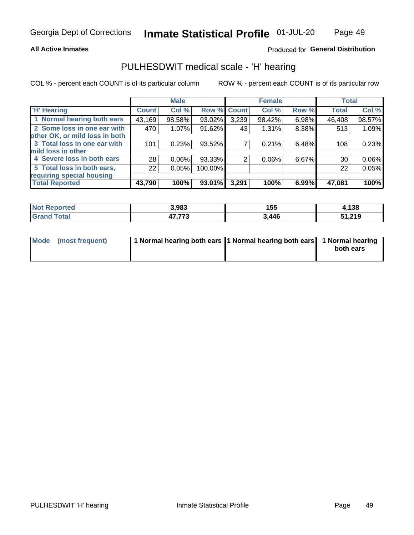### **All Active Inmates**

## Produced for General Distribution

## PULHESDWIT medical scale - 'H' hearing

COL % - percent each COUNT is of its particular column

|                                |              | <b>Male</b> |             |       | <b>Female</b> |       | <b>Total</b> |        |
|--------------------------------|--------------|-------------|-------------|-------|---------------|-------|--------------|--------|
| <b>'H' Hearing</b>             | <b>Count</b> | Col %       | Row % Count |       | Col %         | Row % | <b>Total</b> | Col %  |
| 1 Normal hearing both ears     | 43,169       | 98.58%      | 93.02%      | 3,239 | 98.42%        | 6.98% | 46,408       | 98.57% |
| 2 Some loss in one ear with    | 470          | 1.07%       | 91.62%      | 43    | 1.31%         | 8.38% | 513          | 1.09%  |
| other OK, or mild loss in both |              |             |             |       |               |       |              |        |
| 3 Total loss in one ear with   | 101          | 0.23%       | $93.52\%$   |       | 0.21%         | 6.48% | 108          | 0.23%  |
| mild loss in other             |              |             |             |       |               |       |              |        |
| 4 Severe loss in both ears     | 28           | 0.06%       | $93.33\%$   | 2     | $0.06\%$      | 6.67% | 30           | 0.06%  |
| 5 Total loss in both ears,     | 22           | 0.05%       | 100.00%     |       |               |       | 22           | 0.05%  |
| requiring special housing      |              |             |             |       |               |       |              |        |
| <b>Total Reported</b>          | 43,790       | 100%        | 93.01%      | 3,291 | 100%          | 6.99% | 47,081       | 100%   |

| <b>Not Renc</b><br>anorted and | 3,983  | 155   | 138    |
|--------------------------------|--------|-------|--------|
| <b>Total</b>                   | ィラ ララヘ | 3,446 | 51,219 |

| Mode (most frequent) | 1 Normal hearing both ears 11 Normal hearing both ears 1 Normal hearing | both ears |
|----------------------|-------------------------------------------------------------------------|-----------|
|                      |                                                                         |           |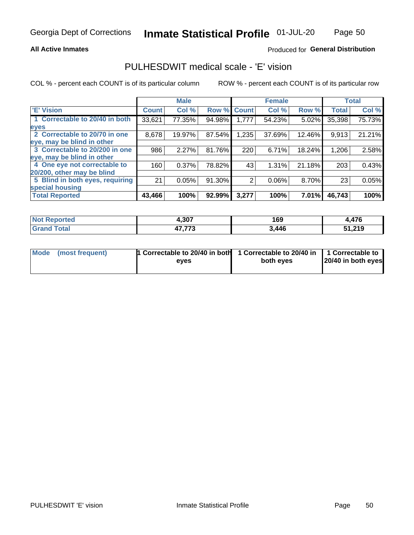**All Active Inmates** 

## Produced for General Distribution

## PULHESDWIT medical scale - 'E' vision

COL % - percent each COUNT is of its particular column

|                                 |              | <b>Male</b> |        |              | <b>Female</b> |        |              | <b>Total</b> |
|---------------------------------|--------------|-------------|--------|--------------|---------------|--------|--------------|--------------|
| 'E' Vision                      | <b>Count</b> | Col %       | Row %  | <b>Count</b> | Col %         | Row %  | <b>Total</b> | Col %        |
| 1 Correctable to 20/40 in both  | 33,621       | 77.35%      | 94.98% | 1,777        | 54.23%        | 5.02%  | 35,398       | 75.73%       |
| eyes                            |              |             |        |              |               |        |              |              |
| 2 Correctable to 20/70 in one   | 8,678        | 19.97%      | 87.54% | 1,235        | 37.69%        | 12.46% | 9,913        | 21.21%       |
| eye, may be blind in other      |              |             |        |              |               |        |              |              |
| 3 Correctable to 20/200 in one  | 986          | 2.27%       | 81.76% | 220          | 6.71%         | 18.24% | 1,206        | 2.58%        |
| eye, may be blind in other      |              |             |        |              |               |        |              |              |
| 4 One eye not correctable to    | 160          | 0.37%       | 78.82% | 43           | 1.31%         | 21.18% | 203          | 0.43%        |
| 20/200, other may be blind      |              |             |        |              |               |        |              |              |
| 5 Blind in both eyes, requiring | 21           | 0.05%       | 91.30% | 2            | 0.06%         | 8.70%  | 23           | 0.05%        |
| special housing                 |              |             |        |              |               |        |              |              |
| <b>Total Reported</b>           | 43,466       | 100%        | 92.99% | 3,277        | 100%          | 7.01%  | 46,743       | 100%         |

| <b>Not Reported</b> | 4,307            | 169   | l.476  |
|---------------------|------------------|-------|--------|
| Total<br>Grand      | ハフ フフク<br>11,11J | 3,446 | 51,219 |

| Mode (most frequent) | 1 Correctable to 20/40 in both<br>eves | 1 Correctable to 20/40 in   1 Correctable to  <br>both eves | 20/40 in both eyes |
|----------------------|----------------------------------------|-------------------------------------------------------------|--------------------|
|                      |                                        |                                                             |                    |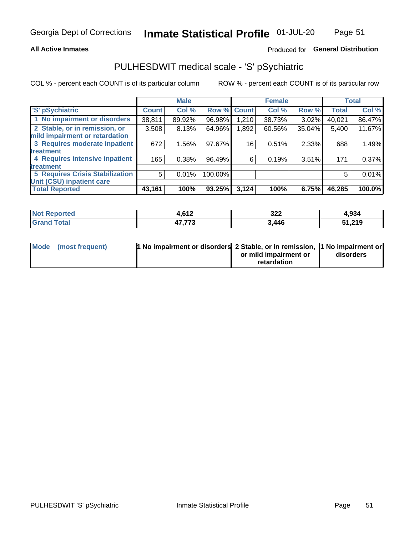### **All Active Inmates**

## Produced for General Distribution

## PULHESDWIT medical scale - 'S' pSychiatric

COL % - percent each COUNT is of its particular column

|                                        |              | <b>Male</b> |         |              | <b>Female</b> |        |              | <b>Total</b> |
|----------------------------------------|--------------|-------------|---------|--------------|---------------|--------|--------------|--------------|
| 'S' pSychiatric                        | <b>Count</b> | Col %       | Row %   | <b>Count</b> | Col %         | Row %  | <b>Total</b> | Col %        |
| 1 No impairment or disorders           | 38,811       | 89.92%      | 96.98%  | 1,210        | 38.73%        | 3.02%  | 40,021       | 86.47%       |
| 2 Stable, or in remission, or          | 3,508        | 8.13%       | 64.96%  | 1,892        | 60.56%        | 35.04% | 5,400        | 11.67%       |
| mild impairment or retardation         |              |             |         |              |               |        |              |              |
| 3 Requires moderate inpatient          | 672          | 1.56%       | 97.67%  | 16           | 0.51%         | 2.33%  | 688          | 1.49%        |
| treatment                              |              |             |         |              |               |        |              |              |
| 4 Requires intensive inpatient         | 165          | 0.38%       | 96.49%  | 6            | 0.19%         | 3.51%  | 171          | 0.37%        |
| treatment                              |              |             |         |              |               |        |              |              |
| <b>5 Requires Crisis Stabilization</b> | 5            | 0.01%       | 100.00% |              |               |        | 5            | 0.01%        |
| Unit (CSU) inpatient care              |              |             |         |              |               |        |              |              |
| <b>Total Reported</b>                  | 43,161       | 100%        | 93.25%  | 3,124        | 100%          | 6.75%  | 46,285       | 100.0%       |

| <b>Not Reported</b> | 642<br>4.014 | 322   | 4,934  |
|---------------------|--------------|-------|--------|
| <b>Grand Total</b>  | 17 772       | 3,446 | 51,219 |

| Mode (most frequent) | <b>1 No impairment or disorders 2 Stable, or in remission, 1 No impairment or</b> |                       |           |
|----------------------|-----------------------------------------------------------------------------------|-----------------------|-----------|
|                      |                                                                                   | or mild impairment or | disorders |
|                      |                                                                                   | retardation           |           |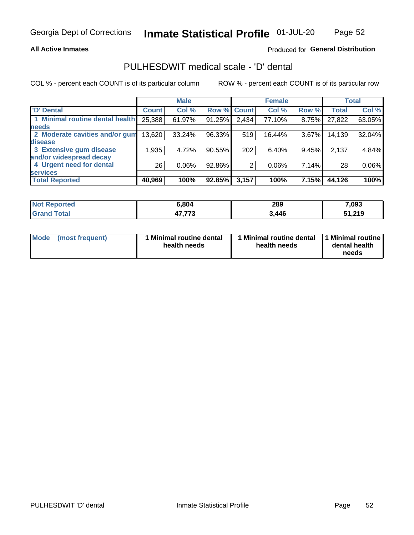### **All Active Inmates**

## Produced for General Distribution

## PULHESDWIT medical scale - 'D' dental

COL % - percent each COUNT is of its particular column

|                                 |              | <b>Male</b> |        |              | <b>Female</b> |          |              | <b>Total</b> |
|---------------------------------|--------------|-------------|--------|--------------|---------------|----------|--------------|--------------|
| <b>D'</b> Dental                | <b>Count</b> | Col %       | Row %  | <b>Count</b> | Col %         | Row %    | <b>Total</b> | Col %        |
| 1 Minimal routine dental health | 25,388       | 61.97%      | 91.25% | 2,434        | 77.10%        | $8.75\%$ | 27,822       | 63.05%       |
| <b>needs</b>                    |              |             |        |              |               |          |              |              |
| 2 Moderate cavities and/or gum  | 13,620       | 33.24%      | 96.33% | 519          | 16.44%        | $3.67\%$ | 14,139       | 32.04%       |
| disease                         |              |             |        |              |               |          |              |              |
| 3 Extensive gum disease         | 1.935        | 4.72%       | 90.55% | 202          | 6.40%         | 9.45%    | 2,137        | 4.84%        |
| and/or widespread decay         |              |             |        |              |               |          |              |              |
| 4 Urgent need for dental        | 26           | $0.06\%$    | 92.86% | 2            | 0.06%         | 7.14%    | 28           | 0.06%        |
| <b>services</b>                 |              |             |        |              |               |          |              |              |
| <b>Total Reported</b>           | 40,969       | 100%        | 92.85% | 3,157        | 100%          | 7.15%    | 44,126       | 100%         |

| <b>No</b><br>Reported | 6,804  | 289   | 7,093         |
|-----------------------|--------|-------|---------------|
| `otal                 | ィラ ララヘ | 3,446 | 51 21Q        |
| Grand                 | 77.7J  |       | <u>JI.ZIJ</u> |

| Mode | (most frequent) | <b>Minimal routine dental</b><br>health needs | 1 Minimal routine dental 1 Minimal routine<br>health needs | dental health<br>needs |
|------|-----------------|-----------------------------------------------|------------------------------------------------------------|------------------------|
|------|-----------------|-----------------------------------------------|------------------------------------------------------------|------------------------|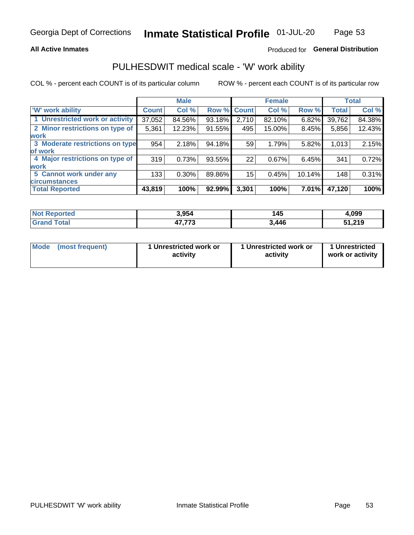### **All Active Inmates**

## Produced for General Distribution

## PULHESDWIT medical scale - 'W' work ability

COL % - percent each COUNT is of its particular column

|                                 |              | <b>Male</b> |        |             | <b>Female</b> |          |              | <b>Total</b> |
|---------------------------------|--------------|-------------|--------|-------------|---------------|----------|--------------|--------------|
| <b>W' work ability</b>          | <b>Count</b> | Col %       |        | Row % Count | Col %         | Row %    | <b>Total</b> | Col %        |
| 1 Unrestricted work or activity | 37,052       | 84.56%      | 93.18% | 2,710       | 82.10%        | $6.82\%$ | 39,762       | 84.38%       |
| 2 Minor restrictions on type of | 5,361        | 12.23%      | 91.55% | 495         | 15.00%        | 8.45%    | 5,856        | 12.43%       |
| <b>work</b>                     |              |             |        |             |               |          |              |              |
| 3 Moderate restrictions on type | 954          | 2.18%       | 94.18% | 59          | 1.79%         | 5.82%    | 1,013        | 2.15%        |
| lof work                        |              |             |        |             |               |          |              |              |
| 4 Major restrictions on type of | 319          | 0.73%       | 93.55% | 22          | 0.67%         | 6.45%    | 341          | 0.72%        |
| <b>work</b>                     |              |             |        |             |               |          |              |              |
| 5 Cannot work under any         | 133          | $0.30\%$    | 89.86% | 15          | 0.45%         | 10.14%   | 148          | 0.31%        |
| <b>circumstances</b>            |              |             |        |             |               |          |              |              |
| <b>Total Reported</b>           | 43,819       | 100%        | 92.99% | 3,301       | 100%          | 7.01%    | 47,120       | 100%         |

| <b>Not Reported</b>    | 3.954  | .<br>145 | 1,099  |
|------------------------|--------|----------|--------|
| <b>Total</b><br>'Grand | ィラ ララヘ | 3,446    | 51,219 |

| <b>Mode</b>     | 1 Unrestricted work or | 1 Unrestricted work or | 1 Unrestricted   |
|-----------------|------------------------|------------------------|------------------|
| (most frequent) | activity               | activity               | work or activity |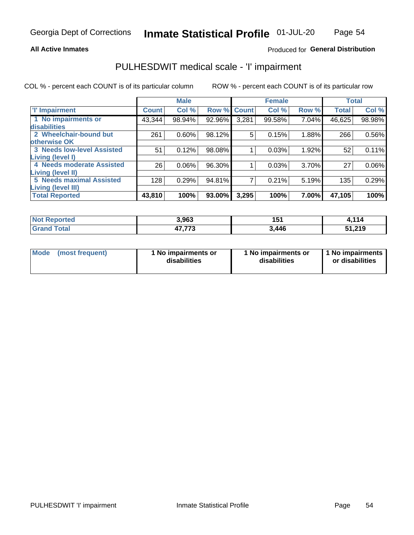### **All Active Inmates**

## Produced for General Distribution

## PULHESDWIT medical scale - 'I' impairment

COL % - percent each COUNT is of its particular column

|                                   |              | <b>Male</b> |        |             | <b>Female</b> |       |              | <b>Total</b> |
|-----------------------------------|--------------|-------------|--------|-------------|---------------|-------|--------------|--------------|
| <b>T' Impairment</b>              | <b>Count</b> | Col %       |        | Row % Count | Col %         | Row % | <b>Total</b> | Col %        |
| 1 No impairments or               | 43,344       | 98.94%      | 92.96% | 3,281       | 99.58%        | 7.04% | 46,625       | 98.98%       |
| disabilities                      |              |             |        |             |               |       |              |              |
| 2 Wheelchair-bound but            | 261          | 0.60%       | 98.12% | 5           | 0.15%         | 1.88% | 266          | 0.56%        |
| otherwise OK                      |              |             |        |             |               |       |              |              |
| <b>3 Needs low-level Assisted</b> | 51           | 0.12%       | 98.08% |             | 0.03%         | 1.92% | 52           | 0.11%        |
| Living (level I)                  |              |             |        |             |               |       |              |              |
| 4 Needs moderate Assisted         | 26           | 0.06%       | 96.30% |             | 0.03%         | 3.70% | 27           | $0.06\%$     |
| <b>Living (level II)</b>          |              |             |        |             |               |       |              |              |
| <b>5 Needs maximal Assisted</b>   | 128          | 0.29%       | 94.81% | 7           | 0.21%         | 5.19% | 135          | 0.29%        |
| Living (level III)                |              |             |        |             |               |       |              |              |
| <b>Total Reported</b>             | 43,810       | 100%        | 93.00% | 3,295       | 100%          | 7.00% | 47,105       | 100%         |

| <b>Not</b>                  | 3,963         | 151   | 1,114        |
|-----------------------------|---------------|-------|--------------|
| Reported                    |               | 1 J I | $\mathbf{r}$ |
| <b>Total</b><br><b>Gran</b> | パラ ララヘ<br>د ا | 3,446 | 51,219       |

| Mode | (most frequent) | 1 No impairments or<br>disabilities | 1 No impairments or<br>disabilities | 1 No impairments<br>or disabilities |
|------|-----------------|-------------------------------------|-------------------------------------|-------------------------------------|
|------|-----------------|-------------------------------------|-------------------------------------|-------------------------------------|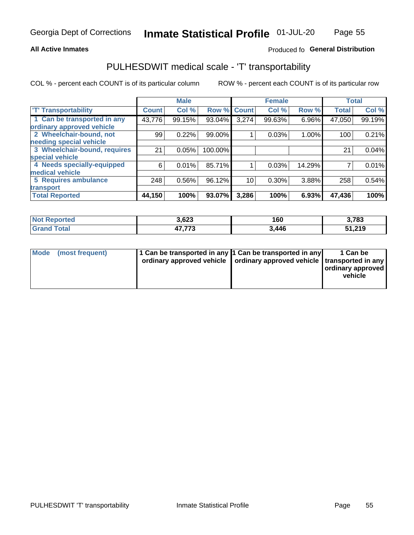### **All Active Inmates**

## Produced fo General Distribution

## PULHESDWIT medical scale - 'T' transportability

COL % - percent each COUNT is of its particular column

|                              |                    | <b>Male</b> |         |              | <b>Female</b> |        |              | <b>Total</b> |
|------------------------------|--------------------|-------------|---------|--------------|---------------|--------|--------------|--------------|
| <b>T' Transportability</b>   | Count <sup>!</sup> | Col %       | Row %   | <b>Count</b> | Col %         | Row %  | <b>Total</b> | Col %        |
| 1 Can be transported in any  | 43,776             | 99.15%      | 93.04%  | 3,274        | 99.63%        | 6.96%  | 47,050       | 99.19%       |
| ordinary approved vehicle    |                    |             |         |              |               |        |              |              |
| 2 Wheelchair-bound, not      | 99                 | 0.22%       | 99.00%  |              | 0.03%         | 1.00%  | 100          | 0.21%        |
| needing special vehicle      |                    |             |         |              |               |        |              |              |
| 3 Wheelchair-bound, requires | 21                 | 0.05%       | 100.00% |              |               |        | 21           | 0.04%        |
| special vehicle              |                    |             |         |              |               |        |              |              |
| 4 Needs specially-equipped   | 6                  | 0.01%       | 85.71%  |              | 0.03%         | 14.29% |              | 0.01%        |
| medical vehicle              |                    |             |         |              |               |        |              |              |
| <b>5 Requires ambulance</b>  | 248                | 0.56%       | 96.12%  | 10           | 0.30%         | 3.88%  | 258          | 0.54%        |
| transport                    |                    |             |         |              |               |        |              |              |
| <b>Total Reported</b>        | 44,150             | 100%        | 93.07%  | 3,286        | 100%          | 6.93%  | 47,436       | 100%         |

| orted       | 3,623  | 160   | 3,783  |
|-------------|--------|-------|--------|
| <b>otal</b> | ィラ ララヘ | 3,446 | 51,219 |

|  | Mode (most frequent) | 1 Can be transported in any 1 Can be transported in any<br>ordinary approved vehicle   ordinary approved vehicle   transported in any |  | 1 Can be<br>  ordinary approved  <br>vehicle |
|--|----------------------|---------------------------------------------------------------------------------------------------------------------------------------|--|----------------------------------------------|
|--|----------------------|---------------------------------------------------------------------------------------------------------------------------------------|--|----------------------------------------------|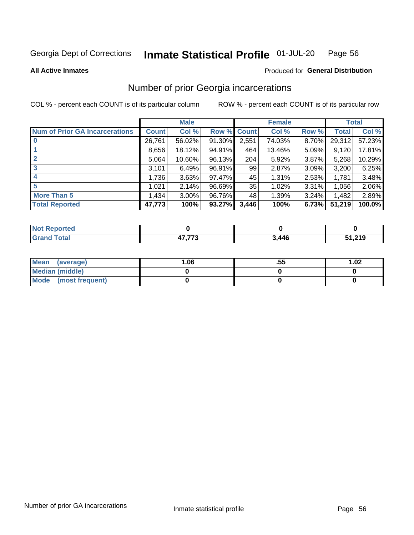#### Inmate Statistical Profile 01-JUL-20 Page 56

**All Active Inmates** 

### **Produced for General Distribution**

## Number of prior Georgia incarcerations

COL % - percent each COUNT is of its particular column

|                                       |              | <b>Male</b> |                    |       | <b>Female</b> |       |        | <b>Total</b> |
|---------------------------------------|--------------|-------------|--------------------|-------|---------------|-------|--------|--------------|
| <b>Num of Prior GA Incarcerations</b> | <b>Count</b> | Col %       | <b>Row % Count</b> |       | Col %         | Row % | Total  | Col %        |
| $\bf{0}$                              | 26,761       | 56.02%      | 91.30%             | 2,551 | 74.03%        | 8.70% | 29,312 | 57.23%       |
|                                       | 8,656        | 18.12%      | 94.91%             | 464   | 13.46%        | 5.09% | 9,120  | 17.81%       |
| 2                                     | 5,064        | 10.60%      | 96.13%             | 204   | 5.92%         | 3.87% | 5,268  | 10.29%       |
| 3                                     | 3,101        | 6.49%       | 96.91%             | 99    | 2.87%         | 3.09% | 3,200  | 6.25%        |
| 4                                     | 1,736        | 3.63%       | 97.47%             | 45    | 1.31%         | 2.53% | 1,781  | 3.48%        |
| 5                                     | 1,021        | 2.14%       | 96.69%             | 35    | 1.02%         | 3.31% | 1,056  | 2.06%        |
| <b>More Than 5</b>                    | 1,434        | $3.00\%$    | 96.76%             | 48    | 1.39%         | 3.24% | 1,482  | 2.89%        |
| <b>Total Reported</b>                 | 47,773       | 100%        | 93.27%             | 3,446 | 100%          | 6.73% | 51,219 | 100.0%       |

| <b>orted</b><br><b>N</b> |             |       |        |  |
|--------------------------|-------------|-------|--------|--|
| <b>cotal</b>             | $- - - - -$ | 3,446 | 51,219 |  |

| Mean (average)         | .06 | .55 | 1.02 |
|------------------------|-----|-----|------|
| <b>Median (middle)</b> |     |     |      |
| Mode (most frequent)   |     |     |      |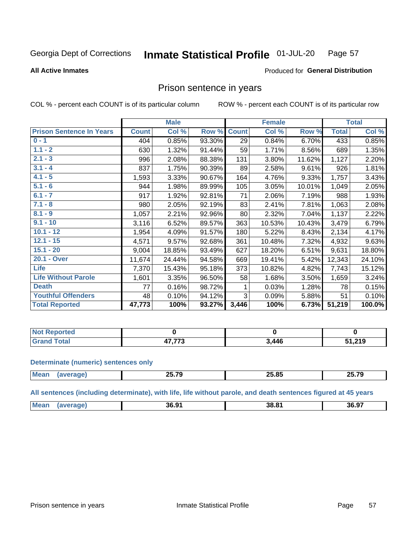#### Inmate Statistical Profile 01-JUL-20 Page 57

**All Active Inmates** 

### Produced for General Distribution

## Prison sentence in years

COL % - percent each COUNT is of its particular column

ROW % - percent each COUNT is of its particular row

|                                 |              | <b>Male</b> |        |              | <b>Female</b> |        |              | <b>Total</b> |
|---------------------------------|--------------|-------------|--------|--------------|---------------|--------|--------------|--------------|
| <b>Prison Sentence In Years</b> | <b>Count</b> | Col %       | Row %  | <b>Count</b> | Col %         | Row %  | <b>Total</b> | Col %        |
| $0 - 1$                         | 404          | 0.85%       | 93.30% | 29           | 0.84%         | 6.70%  | 433          | 0.85%        |
| $1.1 - 2$                       | 630          | 1.32%       | 91.44% | 59           | 1.71%         | 8.56%  | 689          | 1.35%        |
| $2.1 - 3$                       | 996          | 2.08%       | 88.38% | 131          | 3.80%         | 11.62% | 1,127        | 2.20%        |
| $3.1 - 4$                       | 837          | 1.75%       | 90.39% | 89           | 2.58%         | 9.61%  | 926          | 1.81%        |
| $4.1 - 5$                       | 1,593        | 3.33%       | 90.67% | 164          | 4.76%         | 9.33%  | 1,757        | 3.43%        |
| $5.1 - 6$                       | 944          | 1.98%       | 89.99% | 105          | 3.05%         | 10.01% | 1,049        | 2.05%        |
| $6.1 - 7$                       | 917          | 1.92%       | 92.81% | 71           | 2.06%         | 7.19%  | 988          | 1.93%        |
| $7.1 - 8$                       | 980          | 2.05%       | 92.19% | 83           | 2.41%         | 7.81%  | 1,063        | 2.08%        |
| $8.1 - 9$                       | 1,057        | 2.21%       | 92.96% | 80           | 2.32%         | 7.04%  | 1,137        | 2.22%        |
| $9.1 - 10$                      | 3,116        | 6.52%       | 89.57% | 363          | 10.53%        | 10.43% | 3,479        | 6.79%        |
| $10.1 - 12$                     | 1,954        | 4.09%       | 91.57% | 180          | 5.22%         | 8.43%  | 2,134        | 4.17%        |
| $12.1 - 15$                     | 4,571        | 9.57%       | 92.68% | 361          | 10.48%        | 7.32%  | 4,932        | 9.63%        |
| $15.1 - 20$                     | 9,004        | 18.85%      | 93.49% | 627          | 18.20%        | 6.51%  | 9,631        | 18.80%       |
| 20.1 - Over                     | 11,674       | 24.44%      | 94.58% | 669          | 19.41%        | 5.42%  | 12,343       | 24.10%       |
| <b>Life</b>                     | 7,370        | 15.43%      | 95.18% | 373          | 10.82%        | 4.82%  | 7,743        | 15.12%       |
| <b>Life Without Parole</b>      | 1,601        | 3.35%       | 96.50% | 58           | 1.68%         | 3.50%  | 1,659        | 3.24%        |
| <b>Death</b>                    | 77           | 0.16%       | 98.72% |              | 0.03%         | 1.28%  | 78           | 0.15%        |
| <b>Youthful Offenders</b>       | 48           | 0.10%       | 94.12% | 3            | 0.09%         | 5.88%  | 51           | 0.10%        |
| <b>Total Reported</b>           | 47,773       | 100%        | 93.27% | 3,446        | 100%          | 6.73%  | 51,219       | 100.0%       |

| <b>Not Reported</b> |        |                |      |
|---------------------|--------|----------------|------|
| <b>Total</b>        | ィラ ララヘ | $\overline{A}$ | ,219 |

### **Determinate (numeric) sentences only**

| <b>Mean</b> | $\sim$ $ \sim$<br>71<br>---- | $\mathbf{r}$<br>n F<br>- 505 | 25 70<br>69.I |
|-------------|------------------------------|------------------------------|---------------|
|             |                              |                              |               |

All sentences (including determinate), with life, life without parole, and death sentences figured at 45 years

| 36.97<br>Me:<br>גה הה<br>36.9'<br>38 |  |  |  |
|--------------------------------------|--|--|--|
|                                      |  |  |  |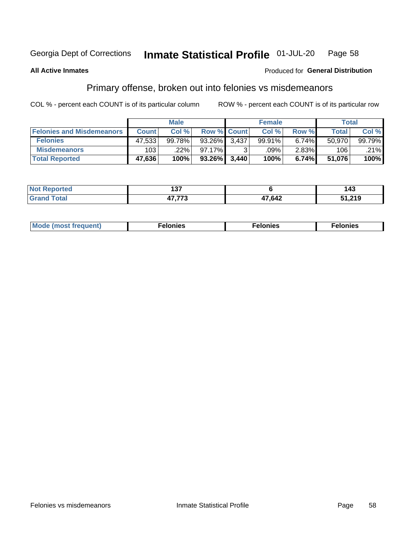#### Inmate Statistical Profile 01-JUL-20 Page 58

### **All Active Inmates**

### **Produced for General Distribution**

## Primary offense, broken out into felonies vs misdemeanors

COL % - percent each COUNT is of its particular column

|                                  |              | <b>Male</b> |             |       | <b>Female</b> |          |        | Total  |
|----------------------------------|--------------|-------------|-------------|-------|---------------|----------|--------|--------|
| <b>Felonies and Misdemeanors</b> | <b>Count</b> | Col %       | Row % Count |       | Col %         | Row %    | Total  | Col%   |
| <b>Felonies</b>                  | 47,533       | 99.78%      | 93.26%      | 3.437 | 99.91%        | $6.74\%$ | 50.970 | 99.79% |
| <b>Misdemeanors</b>              | 103          | .22%        | $97.17\%$   |       | .09%          | $2.83\%$ | 106    | .21%   |
| <b>Total Reported</b>            | 47,636       | 100%        | $93.26\%$   | 3.440 | 100%          | 6.74%    | 51,076 | 100%   |

| <b>Not Reported</b>              | ---<br>ישו |        | <br>د14           |
|----------------------------------|------------|--------|-------------------|
| <b>Gran</b><br><sup>-</sup> otal | ----       | 47,642 | 210<br>J I .Z I J |

| Mo | ____ | 11 C.S<br>. | onies<br>. |
|----|------|-------------|------------|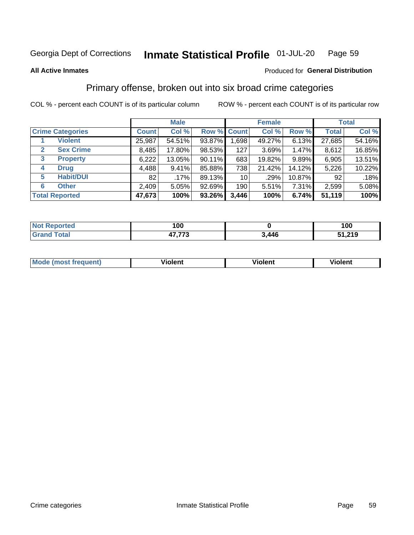#### Inmate Statistical Profile 01-JUL-20 Page 59

### **All Active Inmates**

## **Produced for General Distribution**

## Primary offense, broken out into six broad crime categories

COL % - percent each COUNT is of its particular column

|                                 | <b>Male</b>  |         |           | <b>Female</b>   |        |        | <b>Total</b> |        |
|---------------------------------|--------------|---------|-----------|-----------------|--------|--------|--------------|--------|
| <b>Crime Categories</b>         | <b>Count</b> | Col %   |           | Row % Count     | Col %  | Row %  | <b>Total</b> | Col %  |
| <b>Violent</b>                  | 25,987       | 54.51%  | 93.87%    | 1,698           | 49.27% | 6.13%  | 27,685       | 54.16% |
| <b>Sex Crime</b><br>2           | 8,485        | 17.80%  | 98.53%    | 127             | 3.69%  | 1.47%  | 8,612        | 16.85% |
| $\mathbf{3}$<br><b>Property</b> | 6,222        | 13.05%  | 90.11%    | 683             | 19.82% | 9.89%  | 6,905        | 13.51% |
| <b>Drug</b><br>4                | 4,488        | 9.41%   | 85.88%    | 738             | 21.42% | 14.12% | 5,226        | 10.22% |
| <b>Habit/DUI</b><br>5           | 82           | $.17\%$ | 89.13%    | 10 <sub>1</sub> | .29%   | 10.87% | 92           | .18%   |
| <b>Other</b><br>6               | 2,409        | 5.05%   | $92.69\%$ | 190             | 5.51%  | 7.31%  | 2,599        | 5.08%  |
| <b>Total Reported</b>           | 47,673       | 100%    | $93.26\%$ | 3,446           | 100%   | 6.74%  | 51,119       | 100%   |

| rtea<br>NO  | 100                      |                | 100    |
|-------------|--------------------------|----------------|--------|
| <b>Tata</b> | $- - - - -$<br>. .<br>., | $\overline{A}$ | 51,219 |

| Mo<br>uent)<br>nos | .<br>/iolent | <br>Violent | - --<br><b>Tiolent</b> |
|--------------------|--------------|-------------|------------------------|
|                    |              |             |                        |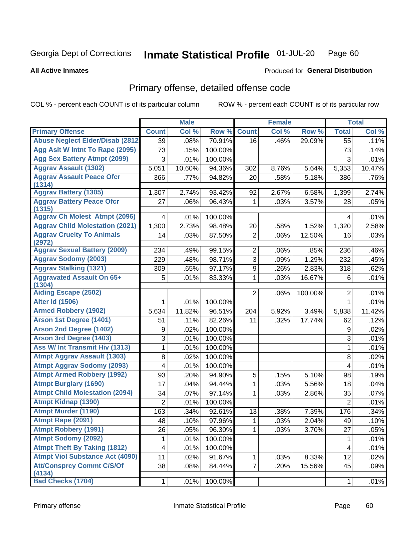#### Inmate Statistical Profile 01-JUL-20 Page 60

### **All Active Inmates**

## **Produced for General Distribution**

## Primary offense, detailed offense code

COL % - percent each COUNT is of its particular column

|                                            |                 | <b>Male</b> |         |                | <b>Female</b> |         |                          | <b>Total</b> |
|--------------------------------------------|-----------------|-------------|---------|----------------|---------------|---------|--------------------------|--------------|
| <b>Primary Offense</b>                     | <b>Count</b>    | Col %       | Row %   | <b>Count</b>   | Col %         | Row %   | <b>Total</b>             | Col %        |
| <b>Abuse Neglect Elder/Disab (2812)</b>    | $\overline{39}$ | .08%        | 70.91%  | 16             | .46%          | 29.09%  | 55                       | .11%         |
| Agg Aslt W Intnt To Rape (2095)            | 73              | .15%        | 100.00% |                |               |         | 73                       | .14%         |
| <b>Agg Sex Battery Atmpt (2099)</b>        | 3               | .01%        | 100.00% |                |               |         | 3                        | .01%         |
| <b>Aggrav Assault (1302)</b>               | 5,051           | 10.60%      | 94.36%  | 302            | 8.76%         | 5.64%   | 5,353                    | 10.47%       |
| <b>Aggrav Assault Peace Ofcr</b><br>(1314) | 366             | .77%        | 94.82%  | 20             | .58%          | 5.18%   | 386                      | .76%         |
| <b>Aggrav Battery (1305)</b>               | 1,307           | 2.74%       | 93.42%  | 92             | 2.67%         | 6.58%   | 1,399                    | 2.74%        |
| <b>Aggrav Battery Peace Ofcr</b><br>(1315) | 27              | .06%        | 96.43%  | 1              | .03%          | 3.57%   | 28                       | .05%         |
| <b>Aggrav Ch Molest Atmpt (2096)</b>       | 4               | .01%        | 100.00% |                |               |         | 4                        | .01%         |
| <b>Aggrav Child Molestation (2021)</b>     | 1,300           | 2.73%       | 98.48%  | 20             | .58%          | 1.52%   | 1,320                    | 2.58%        |
| <b>Aggrav Cruelty To Animals</b><br>(2972) | 14              | .03%        | 87.50%  | $\overline{2}$ | .06%          | 12.50%  | 16                       | .03%         |
| <b>Aggrav Sexual Battery (2009)</b>        | 234             | .49%        | 99.15%  | $\overline{2}$ | .06%          | .85%    | 236                      | .46%         |
| <b>Aggrav Sodomy (2003)</b>                | 229             | .48%        | 98.71%  | 3              | .09%          | 1.29%   | 232                      | .45%         |
| <b>Aggrav Stalking (1321)</b>              | 309             | .65%        | 97.17%  | 9              | .26%          | 2.83%   | 318                      | .62%         |
| <b>Aggravated Assault On 65+</b><br>(1304) | 5               | .01%        | 83.33%  | 1              | .03%          | 16.67%  | 6                        | .01%         |
| <b>Aiding Escape (2502)</b>                |                 |             |         | $\overline{2}$ | .06%          | 100.00% | $\overline{2}$           | .01%         |
| <b>Alter Id (1506)</b>                     | 1               | .01%        | 100.00% |                |               |         | 1                        | .01%         |
| <b>Armed Robbery (1902)</b>                | 5,634           | 11.82%      | 96.51%  | 204            | 5.92%         | 3.49%   | 5,838                    | 11.42%       |
| Arson 1st Degree (1401)                    | 51              | .11%        | 82.26%  | 11             | .32%          | 17.74%  | 62                       | .12%         |
| <b>Arson 2nd Degree (1402)</b>             | 9               | .02%        | 100.00% |                |               |         | 9                        | .02%         |
| <b>Arson 3rd Degree (1403)</b>             | 3               | .01%        | 100.00% |                |               |         | $\sqrt{3}$               | .01%         |
| <b>Ass W/ Int Transmit Hiv (1313)</b>      | 1               | .01%        | 100.00% |                |               |         | $\mathbf{1}$             | .01%         |
| <b>Atmpt Aggrav Assault (1303)</b>         | 8               | .02%        | 100.00% |                |               |         | 8                        | .02%         |
| <b>Atmpt Aggrav Sodomy (2093)</b>          | 4               | .01%        | 100.00% |                |               |         | 4                        | .01%         |
| <b>Atmpt Armed Robbery (1992)</b>          | 93              | .20%        | 94.90%  | 5              | .15%          | 5.10%   | 98                       | .19%         |
| <b>Atmpt Burglary (1690)</b>               | 17              | .04%        | 94.44%  | 1              | .03%          | 5.56%   | 18                       | .04%         |
| <b>Atmpt Child Molestation (2094)</b>      | 34              | .07%        | 97.14%  | 1              | .03%          | 2.86%   | 35                       | .07%         |
| <b>Atmpt Kidnap (1390)</b>                 | $\overline{2}$  | .01%        | 100.00% |                |               |         | $\overline{2}$           | .01%         |
| <b>Atmpt Murder (1190)</b>                 | 163             | .34%        | 92.61%  | 13             | .38%          | 7.39%   | 176                      | .34%         |
| Atmpt Rape (2091)                          | 48              | .10%        | 97.96%  | 1              | .03%          | 2.04%   | 49                       | .10%         |
| <b>Atmpt Robbery (1991)</b>                | 26              | .05%        | 96.30%  | 1              | .03%          | 3.70%   | 27                       | .05%         |
| <b>Atmpt Sodomy (2092)</b>                 | 1               | .01%        | 100.00% |                |               |         | 1                        | .01%         |
| <b>Atmpt Theft By Taking (1812)</b>        | 4               | .01%        | 100.00% |                |               |         | $\overline{\mathcal{A}}$ | .01%         |
| <b>Atmpt Viol Substance Act (4090)</b>     | 11              | .02%        | 91.67%  | 1              | .03%          | 8.33%   | 12                       | .02%         |
| <b>Att/Consprcy Commt C/S/Of</b><br>(4134) | 38              | .08%        | 84.44%  | $\overline{7}$ | .20%          | 15.56%  | 45                       | .09%         |
| <b>Bad Checks (1704)</b>                   | $\mathbf{1}$    | .01%        | 100.00% |                |               |         | $\mathbf{1}$             | .01%         |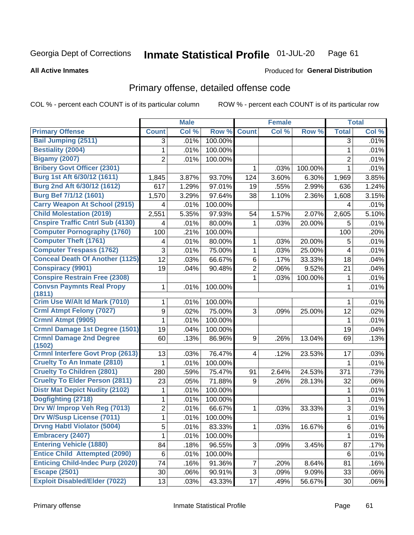#### Inmate Statistical Profile 01-JUL-20 Page 61

### **All Active Inmates**

## **Produced for General Distribution**

## Primary offense, detailed offense code

COL % - percent each COUNT is of its particular column

|                                          |                | <b>Male</b> |         |                         | <b>Female</b> |         |                | <b>Total</b> |
|------------------------------------------|----------------|-------------|---------|-------------------------|---------------|---------|----------------|--------------|
| <b>Primary Offense</b>                   | <b>Count</b>   | Col %       | Row %   | <b>Count</b>            | Col %         | Row %   | <b>Total</b>   | Col %        |
| <b>Bail Jumping (2511)</b>               | 3              | .01%        | 100.00% |                         |               |         | 3              | .01%         |
| <b>Bestiality (2004)</b>                 | 1              | .01%        | 100.00% |                         |               |         | 1              | .01%         |
| <b>Bigamy (2007)</b>                     | 2              | .01%        | 100.00% |                         |               |         | $\overline{2}$ | .01%         |
| <b>Bribery Govt Officer (2301)</b>       |                |             |         | 1                       | .03%          | 100.00% | 1              | .01%         |
| Burg 1st Aft 6/30/12 (1611)              | 1,845          | 3.87%       | 93.70%  | 124                     | 3.60%         | 6.30%   | 1,969          | 3.85%        |
| Burg 2nd Aft 6/30/12 (1612)              | 617            | 1.29%       | 97.01%  | 19                      | .55%          | 2.99%   | 636            | 1.24%        |
| Burg Bef 7/1/12 (1601)                   | 1,570          | 3.29%       | 97.64%  | 38                      | 1.10%         | 2.36%   | 1,608          | 3.15%        |
| <b>Carry Weapon At School (2915)</b>     | 4              | .01%        | 100.00% |                         |               |         | 4              | .01%         |
| <b>Child Molestation (2019)</b>          | 2,551          | 5.35%       | 97.93%  | 54                      | 1.57%         | 2.07%   | 2,605          | 5.10%        |
| <b>Cnspire Traffic Cntrl Sub (4130)</b>  | 4              | .01%        | 80.00%  | 1                       | .03%          | 20.00%  | 5              | .01%         |
| <b>Computer Pornography (1760)</b>       | 100            | .21%        | 100.00% |                         |               |         | 100            | .20%         |
| <b>Computer Theft (1761)</b>             | 4              | .01%        | 80.00%  | 1                       | .03%          | 20.00%  | 5              | .01%         |
| <b>Computer Trespass (1762)</b>          | 3              | .01%        | 75.00%  | 1                       | .03%          | 25.00%  | 4              | .01%         |
| <b>Conceal Death Of Another (1125)</b>   | 12             | .03%        | 66.67%  | 6                       | .17%          | 33.33%  | 18             | .04%         |
| <b>Conspiracy (9901)</b>                 | 19             | .04%        | 90.48%  | $\overline{2}$          | .06%          | 9.52%   | 21             | .04%         |
| <b>Conspire Restrain Free (2308)</b>     |                |             |         | 1                       | .03%          | 100.00% | 1              | .01%         |
| <b>Convsn Paymnts Real Propy</b>         | 1              | .01%        | 100.00% |                         |               |         | 1              | .01%         |
| (1811)                                   |                |             |         |                         |               |         |                |              |
| Crim Use W/Alt Id Mark (7010)            | 1              | .01%        | 100.00% |                         |               |         | 1              | .01%         |
| <b>Crml Atmpt Felony (7027)</b>          | 9              | .02%        | 75.00%  | 3                       | .09%          | 25.00%  | 12             | .02%         |
| Crmnl Atmpt (9905)                       | 1              | .01%        | 100.00% |                         |               |         | 1              | .01%         |
| Crmnl Damage 1st Degree (1501)           | 19             | .04%        | 100.00% |                         |               |         | 19             | .04%         |
| <b>Crmnl Damage 2nd Degree</b><br>(1502) | 60             | .13%        | 86.96%  | 9                       | .26%          | 13.04%  | 69             | .13%         |
| <b>Crmnl Interfere Govt Prop (2613)</b>  | 13             | .03%        | 76.47%  | $\overline{\mathbf{4}}$ | .12%          | 23.53%  | 17             | .03%         |
| <b>Cruelty To An Inmate (2810)</b>       | 1              | .01%        | 100.00% |                         |               |         | 1              | .01%         |
| <b>Cruelty To Children (2801)</b>        | 280            | .59%        | 75.47%  | 91                      | 2.64%         | 24.53%  | 371            | .73%         |
| <b>Cruelty To Elder Person (2811)</b>    | 23             | .05%        | 71.88%  | 9                       | .26%          | 28.13%  | 32             | .06%         |
| <b>Distr Mat Depict Nudity (2102)</b>    | 1              | .01%        | 100.00% |                         |               |         | 1              | .01%         |
| Dogfighting (2718)                       | 1              | .01%        | 100.00% |                         |               |         | 1              | .01%         |
| Drv W/ Improp Veh Reg (7013)             | $\overline{2}$ | .01%        | 66.67%  | 1                       | .03%          | 33.33%  | 3              | .01%         |
| <b>Drv W/Susp License (7011)</b>         | $\mathbf{1}$   | .01%        | 100.00% |                         |               |         | 1              | .01%         |
| <b>Drvng Habtl Violator (5004)</b>       | 5              | .01%        | 83.33%  | 1                       | .03%          | 16.67%  | 6              | .01%         |
| <b>Embracery (2407)</b>                  | 1.             | .01%        | 100.00% |                         |               |         | 1              | .01%         |
| <b>Entering Vehicle (1880)</b>           | 84             | .18%        | 96.55%  | 3                       | .09%          | 3.45%   | 87             | .17%         |
| <b>Entice Child Attempted (2090)</b>     | 6              | .01%        | 100.00% |                         |               |         | 6              | .01%         |
| <b>Enticing Child-Indec Purp (2020)</b>  | 74             | .16%        | 91.36%  | $\overline{7}$          | .20%          | 8.64%   | 81             | .16%         |
| <b>Escape (2501)</b>                     | 30             | .06%        | 90.91%  | 3                       | .09%          | 9.09%   | 33             | .06%         |
| <b>Exploit Disabled/Elder (7022)</b>     | 13             | .03%        | 43.33%  | 17                      | .49%          | 56.67%  | 30             | .06%         |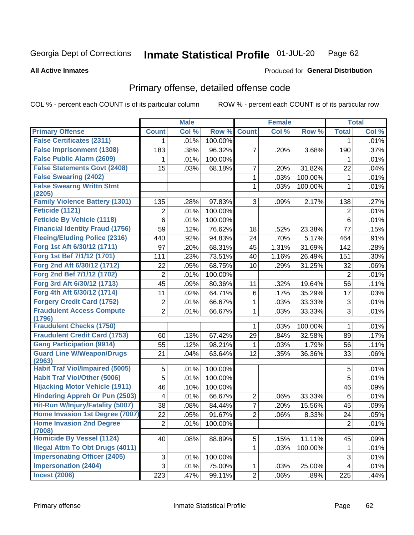#### Inmate Statistical Profile 01-JUL-20 Page 62

### **All Active Inmates**

## **Produced for General Distribution**

## Primary offense, detailed offense code

COL % - percent each COUNT is of its particular column

|                                            |                 | <b>Male</b> |         |                | <b>Female</b> |                     |                | <b>Total</b> |
|--------------------------------------------|-----------------|-------------|---------|----------------|---------------|---------------------|----------------|--------------|
| <b>Primary Offense</b>                     | <b>Count</b>    | Col %       | Row %   | <b>Count</b>   | Col %         | Row %               | <b>Total</b>   | Col %        |
| <b>False Certificates (2311)</b>           | 1               | .01%        | 100.00% |                |               |                     | 1              | .01%         |
| <b>False Imprisonment (1308)</b>           | 183             | .38%        | 96.32%  | $\overline{7}$ | .20%          | 3.68%               | 190            | .37%         |
| <b>False Public Alarm (2609)</b>           | 1               | .01%        | 100.00% |                |               |                     | 1              | .01%         |
| <b>False Statements Govt (2408)</b>        | 15              | .03%        | 68.18%  | $\overline{7}$ | .20%          | 31.82%              | 22             | .04%         |
| <b>False Swearing (2402)</b>               |                 |             |         | $\mathbf{1}$   | .03%          | 100.00%             | 1              | .01%         |
| <b>False Swearng Writtn Stmt</b><br>(2205) |                 |             |         | $\mathbf{1}$   | .03%          | 100.00%             | 1              | .01%         |
| <b>Family Violence Battery (1301)</b>      | 135             | .28%        | 97.83%  | 3              | .09%          | 2.17%               | 138            | .27%         |
| Feticide (1121)                            | $\overline{2}$  | .01%        | 100.00% |                |               |                     | $\overline{2}$ | .01%         |
| <b>Feticide By Vehicle (1118)</b>          | 6               | .01%        | 100.00% |                |               |                     | 6              | .01%         |
| <b>Financial Identity Fraud (1756)</b>     | 59              | .12%        | 76.62%  | 18             | .52%          | 23.38%              | 77             | .15%         |
| <b>Fleeing/Eluding Police (2316)</b>       | 440             | .92%        | 94.83%  | 24             | .70%          | $\overline{5.17\%}$ | 464            | .91%         |
| Forg 1st Aft 6/30/12 (1711)                | 97              | .20%        | 68.31%  | 45             | 1.31%         | 31.69%              | 142            | .28%         |
| Forg 1st Bef 7/1/12 (1701)                 | 111             | .23%        | 73.51%  | 40             | 1.16%         | 26.49%              | 151            | .30%         |
| Forg 2nd Aft 6/30/12 (1712)                | 22              | .05%        | 68.75%  | 10             | .29%          | 31.25%              | 32             | .06%         |
| Forg 2nd Bef 7/1/12 (1702)                 | 2               | .01%        | 100.00% |                |               |                     | $\overline{2}$ | .01%         |
| Forg 3rd Aft 6/30/12 (1713)                | $\overline{45}$ | .09%        | 80.36%  | 11             | .32%          | 19.64%              | 56             | .11%         |
| Forg 4th Aft 6/30/12 (1714)                | 11              | .02%        | 64.71%  | 6              | .17%          | 35.29%              | 17             | .03%         |
| <b>Forgery Credit Card (1752)</b>          | $\overline{c}$  | .01%        | 66.67%  | $\mathbf{1}$   | .03%          | 33.33%              | $\sqrt{3}$     | .01%         |
| <b>Fraudulent Access Compute</b>           | $\overline{2}$  | .01%        | 66.67%  | 1              | .03%          | 33.33%              | 3              | .01%         |
| (1796)<br><b>Fraudulent Checks (1750)</b>  |                 |             |         |                |               |                     |                |              |
| <b>Fraudulent Credit Card (1753)</b>       |                 |             |         | 1              | .03%          | 100.00%             | 1              | .01%         |
|                                            | 60              | .13%        | 67.42%  | 29             | .84%          | 32.58%              | 89             | .17%         |
| <b>Gang Participation (9914)</b>           | 55              | .12%        | 98.21%  | 1              | .03%          | 1.79%               | 56             | .11%         |
| <b>Guard Line W/Weapon/Drugs</b><br>(2963) | 21              | .04%        | 63.64%  | 12             | .35%          | 36.36%              | 33             | .06%         |
| <b>Habit Traf Viol/Impaired (5005)</b>     | 5               | .01%        | 100.00% |                |               |                     | 5              | .01%         |
| <b>Habit Traf Viol/Other (5006)</b>        | 5               | .01%        | 100.00% |                |               |                     | $\overline{5}$ | .01%         |
| <b>Hijacking Motor Vehicle (1911)</b>      | 46              | .10%        | 100.00% |                |               |                     | 46             | .09%         |
| <b>Hindering Appreh Or Pun (2503)</b>      | 4               | .01%        | 66.67%  | $\overline{c}$ | .06%          | 33.33%              | 6              | .01%         |
| Hit-Run W/Injury/Fatality (5007)           | 38              | .08%        | 84.44%  | $\overline{7}$ | .20%          | 15.56%              | 45             | .09%         |
| Home Invasion 1st Degree (7007)            | 22              | .05%        | 91.67%  | $\overline{2}$ | .06%          | 8.33%               | 24             | .05%         |
| <b>Home Invasion 2nd Degree</b><br>(7008)  | 2               | .01%        | 100.00% |                |               |                     | $\overline{c}$ | .01%         |
| <b>Homicide By Vessel (1124)</b>           | 40              | .08%        | 88.89%  | 5 <sup>1</sup> | .15%          | 11.11%              | 45             | .09%         |
| <b>Illegal Attm To Obt Drugs (4011)</b>    |                 |             |         | $\mathbf{1}$   | .03%          | 100.00%             | 1              | .01%         |
| <b>Impersonating Officer (2405)</b>        | 3               | .01%        | 100.00% |                |               |                     | $\sqrt{3}$     | .01%         |
| <b>Impersonation (2404)</b>                | $\overline{3}$  | .01%        | 75.00%  | $\mathbf{1}$   | .03%          | 25.00%              | 4              | .01%         |
| <b>Incest (2006)</b>                       | 223             | .47%        | 99.11%  | 2              | .06%          | .89%                | 225            | .44%         |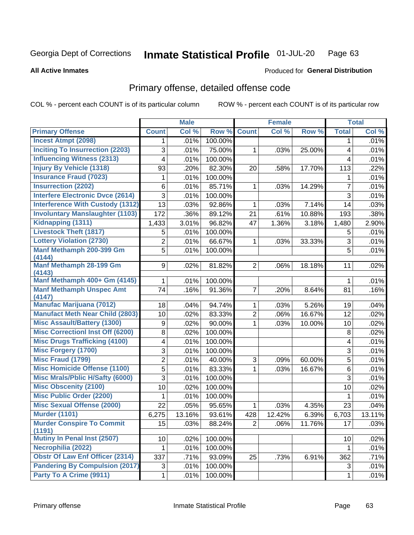#### Inmate Statistical Profile 01-JUL-20 Page 63

### **All Active Inmates**

### **Produced for General Distribution**

## Primary offense, detailed offense code

COL % - percent each COUNT is of its particular column

|                                            |                | <b>Male</b> |         |                | <b>Female</b> |        |                | <b>Total</b> |
|--------------------------------------------|----------------|-------------|---------|----------------|---------------|--------|----------------|--------------|
| <b>Primary Offense</b>                     | <b>Count</b>   | Col %       | Row %   | <b>Count</b>   | Col %         | Row %  | <b>Total</b>   | Col %        |
| <b>Incest Atmpt (2098)</b>                 | 1.             | .01%        | 100.00% |                |               |        | $\mathbf 1$    | .01%         |
| <b>Inciting To Insurrection (2203)</b>     | 3              | .01%        | 75.00%  | $\mathbf{1}$   | .03%          | 25.00% | 4              | .01%         |
| <b>Influencing Witness (2313)</b>          | 4              | .01%        | 100.00% |                |               |        | 4              | .01%         |
| <b>Injury By Vehicle (1318)</b>            | 93             | .20%        | 82.30%  | 20             | .58%          | 17.70% | 113            | .22%         |
| <b>Insurance Fraud (7023)</b>              | 1              | .01%        | 100.00% |                |               |        | 1              | .01%         |
| <b>Insurrection (2202)</b>                 | 6              | .01%        | 85.71%  | $\mathbf{1}$   | .03%          | 14.29% | $\overline{7}$ | .01%         |
| <b>Interfere Electronic Dvce (2614)</b>    | 3              | .01%        | 100.00% |                |               |        | 3              | .01%         |
| <b>Interference With Custody (1312)</b>    | 13             | .03%        | 92.86%  | $\mathbf{1}$   | .03%          | 7.14%  | 14             | .03%         |
| <b>Involuntary Manslaughter (1103)</b>     | 172            | .36%        | 89.12%  | 21             | .61%          | 10.88% | 193            | .38%         |
| Kidnapping (1311)                          | 1,433          | 3.01%       | 96.82%  | 47             | 1.36%         | 3.18%  | 1,480          | 2.90%        |
| <b>Livestock Theft (1817)</b>              | 5              | .01%        | 100.00% |                |               |        | 5              | .01%         |
| <b>Lottery Violation (2730)</b>            | $\overline{2}$ | .01%        | 66.67%  | $\mathbf{1}$   | .03%          | 33.33% | 3              | .01%         |
| Manf Methamph 200-399 Gm                   | 5              | .01%        | 100.00% |                |               |        | 5              | .01%         |
| (4144)                                     |                |             |         |                |               |        |                |              |
| Manf Methamph 28-199 Gm<br>(4143)          | 9              | .02%        | 81.82%  | $\overline{2}$ | .06%          | 18.18% | 11             | .02%         |
| Manf Methamph 400+ Gm (4145)               | 1              | .01%        | 100.00% |                |               |        | 1              | .01%         |
| <b>Manf Methamph Unspec Amt</b>            | 74             | .16%        | 91.36%  | $\overline{7}$ | .20%          | 8.64%  | 81             | .16%         |
| (4147)                                     |                |             |         |                |               |        |                |              |
| <b>Manufac Marijuana (7012)</b>            | 18             | .04%        | 94.74%  | $\mathbf 1$    | .03%          | 5.26%  | 19             | .04%         |
| <b>Manufact Meth Near Child (2803)</b>     | 10             | .02%        | 83.33%  | $\overline{2}$ | .06%          | 16.67% | 12             | .02%         |
| <b>Misc Assault/Battery (1300)</b>         | 9              | .02%        | 90.00%  | $\mathbf 1$    | .03%          | 10.00% | 10             | .02%         |
| <b>Misc Correctionl Inst Off (6200)</b>    | 8              | .02%        | 100.00% |                |               |        | 8              | .02%         |
| <b>Misc Drugs Trafficking (4100)</b>       | 4              | .01%        | 100.00% |                |               |        | 4              | .01%         |
| <b>Misc Forgery (1700)</b>                 | 3              | .01%        | 100.00% |                |               |        | 3              | .01%         |
| <b>Misc Fraud (1799)</b>                   | 2              | .01%        | 40.00%  | 3              | .09%          | 60.00% | 5              | .01%         |
| <b>Misc Homicide Offense (1100)</b>        | 5              | .01%        | 83.33%  | 1              | .03%          | 16.67% | 6              | .01%         |
| <b>Misc Mrals/Pblic H/Safty (6000)</b>     | 3              | .01%        | 100.00% |                |               |        | 3              | .01%         |
| <b>Misc Obscenity (2100)</b>               | 10             | .02%        | 100.00% |                |               |        | 10             | .02%         |
| <b>Misc Public Order (2200)</b>            | 1              | .01%        | 100.00% |                |               |        | 1              | .01%         |
| <b>Misc Sexual Offense (2000)</b>          | 22             | .05%        | 95.65%  | $\mathbf{1}$   | .03%          | 4.35%  | 23             | .04%         |
| <b>Murder (1101)</b>                       | 6,275          | 13.16%      | 93.61%  | 428            | 12.42%        | 6.39%  | 6,703          | 13.11%       |
| <b>Murder Conspire To Commit</b><br>(1191) | 15             | .03%        | 88.24%  | 2 <sup>1</sup> | .06%          | 11.76% | 17             | .03%         |
| <b>Mutiny In Penal Inst (2507)</b>         | 10             | .02%        | 100.00% |                |               |        | 10             | .02%         |
| Necrophilia (2022)                         | 1              | .01%        | 100.00% |                |               |        | $\mathbf 1$    | .01%         |
| <b>Obstr Of Law Enf Officer (2314)</b>     | 337            | .71%        | 93.09%  | 25             | .73%          | 6.91%  | 362            | .71%         |
| <b>Pandering By Compulsion (2017)</b>      | 3              | .01%        | 100.00% |                |               |        | 3              | .01%         |
| Party To A Crime (9911)                    | 1              | .01%        | 100.00% |                |               |        | $\mathbf 1$    | .01%         |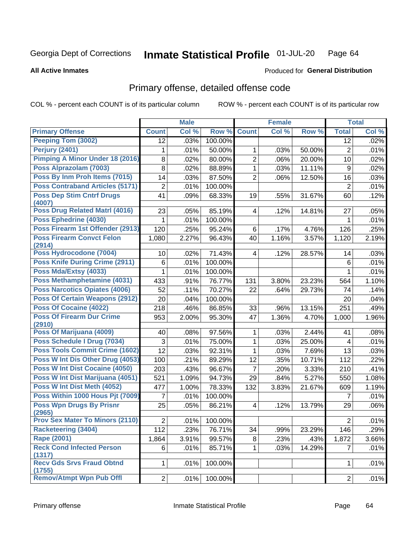#### Inmate Statistical Profile 01-JUL-20 Page 64

**All Active Inmates** 

## **Produced for General Distribution**

## Primary offense, detailed offense code

COL % - percent each COUNT is of its particular column

|                                            |              | <b>Male</b> |                 |                | <b>Female</b> |        |                | <b>Total</b> |
|--------------------------------------------|--------------|-------------|-----------------|----------------|---------------|--------|----------------|--------------|
| <b>Primary Offense</b>                     | <b>Count</b> | Col %       | Row %           | <b>Count</b>   | Col %         | Row %  | <b>Total</b>   | Col %        |
| <b>Peeping Tom (3002)</b>                  | 12           | .03%        | 100.00%         |                |               |        | 12             | .02%         |
| Perjury (2401)                             | 1            | .01%        | 50.00%          | 1              | .03%          | 50.00% | $\overline{2}$ | .01%         |
| Pimping A Minor Under 18 (2016)            | 8            | .02%        | 80.00%          | $\overline{2}$ | .06%          | 20.00% | 10             | .02%         |
| Poss Alprazolam (7003)                     | 8            | .02%        | 88.89%          | $\mathbf{1}$   | .03%          | 11.11% | 9              | .02%         |
| Poss By Inm Proh Items (7015)              | 14           | .03%        | 87.50%          | $\overline{2}$ | .06%          | 12.50% | 16             | .03%         |
| <b>Poss Contraband Articles (5171)</b>     | 2            | .01%        | 100.00%         |                |               |        | $\overline{2}$ | .01%         |
| <b>Poss Dep Stim Cntrf Drugs</b><br>(4007) | 41           | .09%        | 68.33%          | 19             | .55%          | 31.67% | 60             | .12%         |
| Poss Drug Related Matrl (4016)             | 23           | .05%        | 85.19%          | 4              | .12%          | 14.81% | 27             | .05%         |
| Poss Ephedrine (4030)                      |              | .01%        | 100.00%         |                |               |        | 1              | .01%         |
| Poss Firearm 1st Offender (2913)           | 120          | .25%        | 95.24%          | 6              | .17%          | 4.76%  | 126            | .25%         |
| <b>Poss Firearm Convct Felon</b><br>(2914) | 1,080        | 2.27%       | 96.43%          | 40             | 1.16%         | 3.57%  | 1,120          | 2.19%        |
| Poss Hydrocodone (7004)                    | 10           | .02%        | 71.43%          | 4              | .12%          | 28.57% | 14             | .03%         |
| <b>Poss Knife During Crime (2911)</b>      | 6            | .01%        | 100.00%         |                |               |        | 6              | .01%         |
| Poss Mda/Extsy (4033)                      | 1            | .01%        | 100.00%         |                |               |        | 1              | .01%         |
| Poss Methamphetamine (4031)                | 433          | .91%        | 76.77%          | 131            | 3.80%         | 23.23% | 564            | 1.10%        |
| Poss Narcotics Opiates (4006)              | 52           | .11%        | 70.27%          | 22             | .64%          | 29.73% | 74             | .14%         |
| <b>Poss Of Certain Weapons (2912)</b>      | 20           | .04%        | 100.00%         |                |               |        | 20             | .04%         |
| Poss Of Cocaine (4022)                     | 218          | .46%        | 86.85%          | 33             | .96%          | 13.15% | 251            | .49%         |
| <b>Poss Of Firearm Dur Crime</b><br>(2910) | 953          | 2.00%       | 95.30%          | 47             | 1.36%         | 4.70%  | 1,000          | 1.96%        |
| Poss Of Marijuana (4009)                   | 40           | .08%        | 97.56%          | 1              | .03%          | 2.44%  | 41             | .08%         |
| Poss Schedule I Drug (7034)                | 3            | .01%        | 75.00%          | 1              | .03%          | 25.00% | 4              | .01%         |
| <b>Poss Tools Commit Crime (1602)</b>      | 12           | .03%        | 92.31%          | $\mathbf 1$    | .03%          | 7.69%  | 13             | .03%         |
| Poss W Int Dis Other Drug (4053)           | 100          | .21%        | 89.29%          | 12             | .35%          | 10.71% | 112            | .22%         |
| <b>Poss W Int Dist Cocaine (4050)</b>      | 203          | .43%        | 96.67%          | $\overline{7}$ | .20%          | 3.33%  | 210            | .41%         |
| Poss W Int Dist Marijuana (4051)           | 521          | 1.09%       | 94.73%          | 29             | .84%          | 5.27%  | 550            | 1.08%        |
| Poss W Int Dist Meth (4052)                | 477          | 1.00%       | 78.33%          | 132            | 3.83%         | 21.67% | 609            | 1.19%        |
| Poss Within 1000 Hous Pit (7009)           | 7            | .01%        | 100.00%         |                |               |        | 7              | .01%         |
| <b>Poss Wpn Drugs By Prisnr</b><br>(2965)  | 25           | .05%        | 86.21%          | 4              | .12%          | 13.79% | 29             | .06%         |
| <b>Prov Sex Mater To Minors (2110)</b>     | $2\vert$     |             | $.01\%$ 100.00% |                |               |        | $2\vert$       | .01%         |
| <b>Racketeering (3404)</b>                 | 112          | .23%        | 76.71%          | 34             | .99%          | 23.29% | 146            | .29%         |
| <b>Rape (2001)</b>                         | 1,864        | 3.91%       | 99.57%          | 8              | .23%          | .43%   | 1,872          | 3.66%        |
| <b>Reck Cond Infected Person</b><br>(1317) | 6            | .01%        | 85.71%          | $\mathbf{1}$   | .03%          | 14.29% | $\overline{7}$ | .01%         |
| <b>Recv Gds Srvs Fraud Obtnd</b><br>(1755) | $\mathbf{1}$ | .01%        | 100.00%         |                |               |        | 1              | .01%         |
| <b>Remov/Atmpt Wpn Pub Offl</b>            | 2            | .01%        | 100.00%         |                |               |        | $\overline{2}$ | .01%         |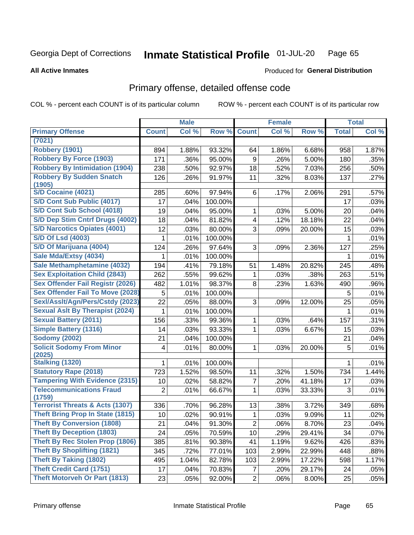#### **Inmate Statistical Profile 01-JUL-20** Page 65

### **All Active Inmates**

### Produced for General Distribution

## Primary offense, detailed offense code

COL % - percent each COUNT is of its particular column

|                                                      |              | <b>Male</b> |         |                         | <b>Female</b> |        |              | <b>Total</b> |
|------------------------------------------------------|--------------|-------------|---------|-------------------------|---------------|--------|--------------|--------------|
| <b>Primary Offense</b>                               | <b>Count</b> | Col %       | Row %   | <b>Count</b>            | Col %         | Row %  | <b>Total</b> | Col %        |
| (7021)                                               |              |             |         |                         |               |        |              |              |
| <b>Robbery (1901)</b>                                | 894          | 1.88%       | 93.32%  | 64                      | 1.86%         | 6.68%  | 958          | 1.87%        |
| <b>Robbery By Force (1903)</b>                       | 171          | .36%        | 95.00%  | 9                       | .26%          | 5.00%  | 180          | .35%         |
| <b>Robbery By Intimidation (1904)</b>                | 238          | .50%        | 92.97%  | 18                      | .52%          | 7.03%  | 256          | .50%         |
| <b>Robbery By Sudden Snatch</b>                      | 126          | .26%        | 91.97%  | 11                      | .32%          | 8.03%  | 137          | .27%         |
| (1905)                                               |              |             |         |                         |               |        |              |              |
| S/D Cocaine (4021)                                   | 285          | .60%        | 97.94%  | 6                       | .17%          | 2.06%  | 291          | .57%         |
| S/D Cont Sub Public (4017)                           | 17           | .04%        | 100.00% |                         |               |        | 17           | .03%         |
| S/D Cont Sub School (4018)                           | 19           | .04%        | 95.00%  | 1                       | .03%          | 5.00%  | 20           | .04%         |
| S/D Dep Stim Cntrf Drugs (4002)                      | 18           | .04%        | 81.82%  | $\overline{\mathbf{4}}$ | .12%          | 18.18% | 22           | .04%         |
| <b>S/D Narcotics Opiates (4001)</b>                  | 12           | .03%        | 80.00%  | 3                       | .09%          | 20.00% | 15           | .03%         |
| <b>S/D Of Lsd (4003)</b>                             | 1            | .01%        | 100.00% |                         |               |        | 1            | .01%         |
| S/D Of Marijuana (4004)                              | 124          | .26%        | 97.64%  | 3                       | .09%          | 2.36%  | 127          | .25%         |
| Sale Mda/Extsy (4034)                                | 1            | .01%        | 100.00% |                         |               |        | 1            | .01%         |
| Sale Methamphetamine (4032)                          | 194          | .41%        | 79.18%  | 51                      | 1.48%         | 20.82% | 245          | .48%         |
| <b>Sex Exploitation Child (2843)</b>                 | 262          | .55%        | 99.62%  | 1                       | .03%          | .38%   | 263          | .51%         |
| <b>Sex Offender Fail Registr (2026)</b>              | 482          | 1.01%       | 98.37%  | 8                       | .23%          | 1.63%  | 490          | .96%         |
| <b>Sex Offender Fail To Move (2028)</b>              | 5            | .01%        | 100.00% |                         |               |        | 5            | .01%         |
| Sexl/Asslt/Agn/Pers/Cstdy (2023)                     | 22           | .05%        | 88.00%  | 3                       | .09%          | 12.00% | 25           | .05%         |
| <b>Sexual Aslt By Therapist (2024)</b>               | 1            | .01%        | 100.00% |                         |               |        | 1            | .01%         |
| <b>Sexual Battery (2011)</b>                         | 156          | .33%        | 99.36%  | 1                       | .03%          | .64%   | 157          | .31%         |
| <b>Simple Battery (1316)</b>                         | 14           | .03%        | 93.33%  | 1                       | .03%          | 6.67%  | 15           | .03%         |
| <b>Sodomy (2002)</b>                                 | 21           | .04%        | 100.00% |                         |               |        | 21           | .04%         |
| <b>Solicit Sodomy From Minor</b>                     | 4            | .01%        | 80.00%  | 1                       | .03%          | 20.00% | 5            | .01%         |
| (2025)                                               |              |             |         |                         |               |        |              |              |
| Stalking (1320)                                      | 1.           | .01%        | 100.00% |                         |               |        | 1            | .01%         |
| <b>Statutory Rape (2018)</b>                         | 723          | 1.52%       | 98.50%  | 11                      | .32%          | 1.50%  | 734          | 1.44%        |
| <b>Tampering With Evidence (2315)</b>                | 10           | .02%        | 58.82%  | $\overline{7}$          | .20%          | 41.18% | 17           | .03%         |
| <b>Telecommunications Fraud</b>                      | 2            | .01%        | 66.67%  | 1                       | .03%          | 33.33% | 3            | .01%         |
| (1759)<br><b>Terrorist Threats &amp; Acts (1307)</b> | 336          | .70%        | 96.28%  | 13                      | .38%          | 3.72%  | 349          | .68%         |
| <b>Theft Bring Prop In State (1815)</b>              | 10           | .02%        | 90.91%  | 1                       | .03%          | 9.09%  | 11           | .02%         |
| Theft By Conversion (1808)                           | 21           | .04%        | 91.30%  | 2                       | .06%          | 8.70%  | 23           | .04%         |
| <b>Theft By Deception (1803)</b>                     | 24           | .05%        | 70.59%  | 10                      | .29%          | 29.41% | 34           | .07%         |
| Theft By Rec Stolen Prop (1806)                      | 385          | .81%        | 90.38%  | 41                      | 1.19%         | 9.62%  | 426          | .83%         |
| <b>Theft By Shoplifting (1821)</b>                   |              |             |         |                         |               |        |              |              |
| <b>Theft By Taking (1802)</b>                        | 345          | .72%        | 77.01%  | 103                     | 2.99%         | 22.99% | 448          | .88%         |
| <b>Theft Credit Card (1751)</b>                      | 495          | 1.04%       | 82.78%  | 103                     | 2.99%         | 17.22% | 598          | 1.17%        |
|                                                      | 17           | .04%        | 70.83%  | $\overline{7}$          | .20%          | 29.17% | 24           | .05%         |
| <b>Theft Motorveh Or Part (1813)</b>                 | 23           | .05%        | 92.00%  | $\overline{2}$          | .06%          | 8.00%  | 25           | .05%         |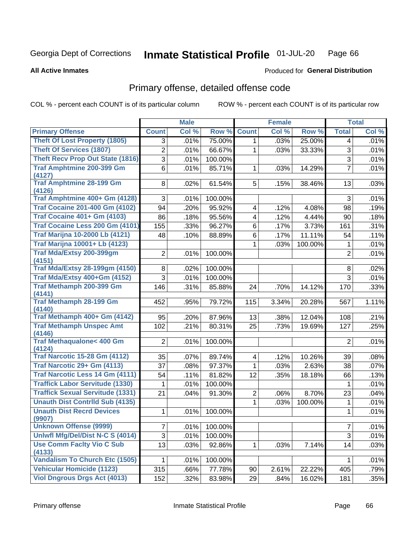#### Inmate Statistical Profile 01-JUL-20 Page 66

### **All Active Inmates**

## **Produced for General Distribution**

## Primary offense, detailed offense code

COL % - percent each COUNT is of its particular column

|                                               |                | <b>Male</b> |         |                | <b>Female</b> |         |                | <b>Total</b> |
|-----------------------------------------------|----------------|-------------|---------|----------------|---------------|---------|----------------|--------------|
| <b>Primary Offense</b>                        | <b>Count</b>   | Col %       | Row %   | <b>Count</b>   | Col %         | Row %   | <b>Total</b>   | Col %        |
| <b>Theft Of Lost Property (1805)</b>          | 3              | .01%        | 75.00%  | 1              | .03%          | 25.00%  | 4              | .01%         |
| <b>Theft Of Services (1807)</b>               | $\overline{c}$ | .01%        | 66.67%  | 1              | .03%          | 33.33%  | 3              | .01%         |
| <b>Theft Recv Prop Out State (1816)</b>       | $\overline{3}$ | .01%        | 100.00% |                |               |         | $\overline{3}$ | .01%         |
| <b>Traf Amphtmine 200-399 Gm</b>              | 6              | .01%        | 85.71%  | 1              | .03%          | 14.29%  | $\overline{7}$ | .01%         |
| (4127)                                        |                |             |         |                |               |         |                |              |
| <b>Traf Amphtmine 28-199 Gm</b><br>(4126)     | 8              | .02%        | 61.54%  | 5              | .15%          | 38.46%  | 13             | .03%         |
| Traf Amphtmine 400+ Gm (4128)                 | 3              | .01%        | 100.00% |                |               |         | 3              | .01%         |
| <b>Traf Cocaine 201-400 Gm (4102)</b>         | 94             | .20%        | 95.92%  | 4              | .12%          | 4.08%   | 98             | .19%         |
| <b>Traf Cocaine 401+ Gm (4103)</b>            | 86             | .18%        | 95.56%  | 4              | .12%          | 4.44%   | 90             | .18%         |
| Traf Cocaine Less 200 Gm (4101)               | 155            | .33%        | 96.27%  | 6              | .17%          | 3.73%   | 161            | .31%         |
| <b>Traf Marijna 10-2000 Lb (4121)</b>         | 48             | .10%        | 88.89%  | 6              | .17%          | 11.11%  | 54             | .11%         |
| <b>Traf Marijna 10001+ Lb (4123)</b>          |                |             |         | 1              | .03%          | 100.00% | 1              | .01%         |
| Traf Mda/Extsy 200-399gm                      | $\overline{2}$ | .01%        | 100.00% |                |               |         | $\overline{2}$ | .01%         |
| (4151)                                        |                |             |         |                |               |         |                |              |
| <b>Traf Mda/Extsy 28-199gm (4150)</b>         | 8              | .02%        | 100.00% |                |               |         | 8              | .02%         |
| Traf Mda/Extsy 400+Gm (4152)                  | 3              | .01%        | 100.00% |                |               |         | 3              | .01%         |
| Traf Methamph 200-399 Gm<br>(4141)            | 146            | .31%        | 85.88%  | 24             | .70%          | 14.12%  | 170            | .33%         |
| <b>Traf Methamph 28-199 Gm</b>                | 452            | .95%        | 79.72%  | 115            | 3.34%         | 20.28%  | 567            | 1.11%        |
| (4140)                                        |                |             |         |                |               |         |                |              |
| Traf Methamph 400+ Gm (4142)                  | 95             | .20%        | 87.96%  | 13             | .38%          | 12.04%  | 108            | .21%         |
| <b>Traf Methamph Unspec Amt</b><br>(4146)     | 102            | .21%        | 80.31%  | 25             | .73%          | 19.69%  | 127            | .25%         |
| <b>Traf Methaqualone&lt; 400 Gm</b><br>(4124) | $\overline{2}$ | .01%        | 100.00% |                |               |         | $\overline{2}$ | .01%         |
| <b>Traf Narcotic 15-28 Gm (4112)</b>          | 35             | .07%        | 89.74%  | 4              | .12%          | 10.26%  | 39             | .08%         |
| Traf Narcotic 29+ Gm (4113)                   | 37             | .08%        | 97.37%  | 1              | .03%          | 2.63%   | 38             | .07%         |
| <b>Traf Narcotic Less 14 Gm (4111)</b>        | 54             | .11%        | 81.82%  | 12             | .35%          | 18.18%  | 66             | .13%         |
| <b>Traffick Labor Servitude (1330)</b>        | 1              | .01%        | 100.00% |                |               |         | $\mathbf 1$    | .01%         |
| <b>Traffick Sexual Servitude (1331)</b>       | 21             | .04%        | 91.30%  | $\overline{2}$ | .06%          | 8.70%   | 23             | .04%         |
| <b>Unauth Dist Contrild Sub (4135)</b>        |                |             |         | 1              | .03%          | 100.00% | $\mathbf 1$    | .01%         |
| <b>Unauth Dist Recrd Devices</b><br>(9907)    | 1              | .01%        | 100.00% |                |               |         | 1              | .01%         |
| <b>Unknown Offense (9999)</b>                 | 7              | .01%        | 100.00% |                |               |         | $\overline{7}$ | .01%         |
| Uniwfl Mfg/Del/Dist N-C S (4014)              | $\sqrt{3}$     | .01%        | 100.00% |                |               |         | 3              | .01%         |
| <b>Use Comm Facity Vio C Sub</b>              | 13             | .03%        | 92.86%  | 1              | .03%          | 7.14%   | 14             | .03%         |
| (4133)                                        |                |             |         |                |               |         |                |              |
| <b>Vandalism To Church Etc (1505)</b>         | 1              | .01%        | 100.00% |                |               |         | 1              | .01%         |
| <b>Vehicular Homicide (1123)</b>              | 315            | .66%        | 77.78%  | 90             | 2.61%         | 22.22%  | 405            | .79%         |
| <b>Viol Dngrous Drgs Act (4013)</b>           | 152            | .32%        | 83.98%  | 29             | .84%          | 16.02%  | 181            | .35%         |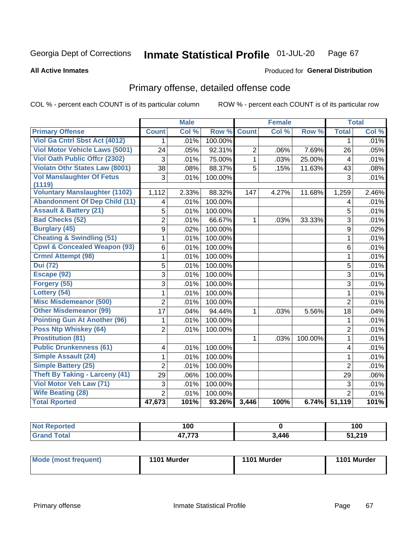#### Inmate Statistical Profile 01-JUL-20 Page 67

### **All Active Inmates**

# **Produced for General Distribution**

## Primary offense, detailed offense code

COL % - percent each COUNT is of its particular column

|                                         |                 | <b>Male</b> |         |                | <b>Female</b> |         |                | <b>Total</b> |
|-----------------------------------------|-----------------|-------------|---------|----------------|---------------|---------|----------------|--------------|
| <b>Primary Offense</b>                  | <b>Count</b>    | Col %       | Row %   | <b>Count</b>   | Col %         | Row %   | <b>Total</b>   | Col %        |
| Viol Ga Cntrl Sbst Act (4012)           | $\mathbf{1}$    | .01%        | 100.00% |                |               |         | 1              | .01%         |
| <b>Viol Motor Vehicle Laws (5001)</b>   | 24              | .05%        | 92.31%  | $\overline{2}$ | .06%          | 7.69%   | 26             | .05%         |
| <b>Viol Oath Public Offer (2302)</b>    | 3               | .01%        | 75.00%  | $\mathbf 1$    | .03%          | 25.00%  | 4              | .01%         |
| <b>Violatn Othr States Law (8001)</b>   | $\overline{38}$ | .08%        | 88.37%  | $\overline{5}$ | .15%          | 11.63%  | 43             | .08%         |
| <b>Vol Manslaughter Of Fetus</b>        | 3               | .01%        | 100.00% |                |               |         | 3              | .01%         |
| (1119)                                  |                 |             |         |                |               |         |                |              |
| <b>Voluntary Manslaughter (1102)</b>    | 1,112           | 2.33%       | 88.32%  | 147            | 4.27%         | 11.68%  | 1,259          | 2.46%        |
| <b>Abandonment Of Dep Child (11)</b>    | 4               | .01%        | 100.00% |                |               |         | 4              | .01%         |
| <b>Assault &amp; Battery (21)</b>       | 5               | .01%        | 100.00% |                |               |         | 5              | .01%         |
| <b>Bad Checks (52)</b>                  | $\overline{2}$  | .01%        | 66.67%  | 1              | .03%          | 33.33%  | $\overline{3}$ | .01%         |
| <b>Burglary (45)</b>                    | 9               | .02%        | 100.00% |                |               |         | 9              | .02%         |
| <b>Cheating &amp; Swindling (51)</b>    | 1               | .01%        | 100.00% |                |               |         | $\mathbf{1}$   | .01%         |
| <b>Cpwl &amp; Concealed Weapon (93)</b> | $6\phantom{a}$  | .01%        | 100.00% |                |               |         | 6              | .01%         |
| <b>Crmnl Attempt (98)</b>               | 1               | .01%        | 100.00% |                |               |         | $\mathbf{1}$   | .01%         |
| <b>Dui</b> (72)                         | 5               | .01%        | 100.00% |                |               |         | 5              | .01%         |
| Escape (92)                             | $\overline{3}$  | .01%        | 100.00% |                |               |         | $\overline{3}$ | .01%         |
| Forgery (55)                            | 3               | .01%        | 100.00% |                |               |         | 3              | .01%         |
| Lottery (54)                            | 1               | .01%        | 100.00% |                |               |         | $\mathbf{1}$   | .01%         |
| <b>Misc Misdemeanor (500)</b>           | $\overline{2}$  | .01%        | 100.00% |                |               |         | $\overline{2}$ | .01%         |
| <b>Other Misdemeanor (99)</b>           | 17              | .04%        | 94.44%  | 1              | .03%          | 5.56%   | 18             | .04%         |
| <b>Pointing Gun At Another (96)</b>     | 1               | .01%        | 100.00% |                |               |         | 1              | .01%         |
| <b>Poss Ntp Whiskey (64)</b>            | $\overline{2}$  | .01%        | 100.00% |                |               |         | $\overline{2}$ | .01%         |
| <b>Prostitution (81)</b>                |                 |             |         | 1              | .03%          | 100.00% | $\mathbf{1}$   | .01%         |
| <b>Public Drunkenness (61)</b>          | 4               | .01%        | 100.00% |                |               |         | 4              | .01%         |
| <b>Simple Assault (24)</b>              | 1               | .01%        | 100.00% |                |               |         | $\mathbf{1}$   | .01%         |
| <b>Simple Battery (25)</b>              | $\overline{2}$  | .01%        | 100.00% |                |               |         | $\overline{2}$ | .01%         |
| <b>Theft By Taking - Larceny (41)</b>   | 29              | .06%        | 100.00% |                |               |         | 29             | .06%         |
| Viol Motor Veh Law (71)                 | 3               | .01%        | 100.00% |                |               |         | 3              | .01%         |
| <b>Wife Beating (28)</b>                | $\overline{2}$  | .01%        | 100.00% |                |               |         | $\overline{2}$ | .01%         |
| <b>Total Rported</b>                    | 47,673          | 101%        | 93.26%  | 3,446          | 100%          | 6.74%   | 51,119         | 101%         |

| Reported<br>NO. | 100    |       | 100    |
|-----------------|--------|-------|--------|
| <b>Tota</b>     | ィラ ララヘ | 3,446 | 51,219 |

| Mode (most frequent) | 1101 Murder | 1101 Murder | 1101 Murder |
|----------------------|-------------|-------------|-------------|
|----------------------|-------------|-------------|-------------|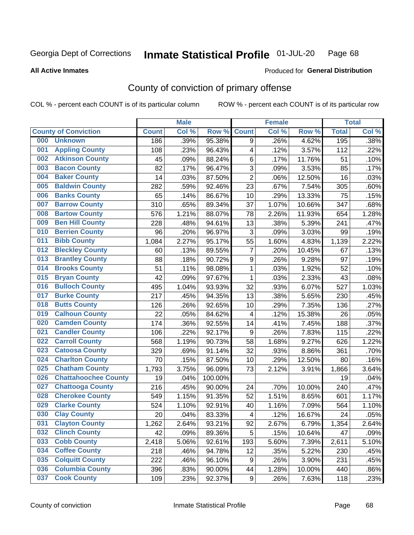#### Inmate Statistical Profile 01-JUL-20 Page 68

### **All Active Inmates**

# Produced for General Distribution

## County of conviction of primary offense

COL % - percent each COUNT is of its particular column

|     |                             |              | <b>Male</b> |         |                         | <b>Female</b> |        |              | <b>Total</b> |
|-----|-----------------------------|--------------|-------------|---------|-------------------------|---------------|--------|--------------|--------------|
|     | <b>County of Conviction</b> | <b>Count</b> | Col %       | Row %   | <b>Count</b>            | Col %         | Row %  | <b>Total</b> | Col %        |
| 000 | <b>Unknown</b>              | 186          | .39%        | 95.38%  | 9                       | .26%          | 4.62%  | 195          | .38%         |
| 001 | <b>Appling County</b>       | 108          | .23%        | 96.43%  | 4                       | .12%          | 3.57%  | 112          | .22%         |
| 002 | <b>Atkinson County</b>      | 45           | .09%        | 88.24%  | 6                       | .17%          | 11.76% | 51           | .10%         |
| 003 | <b>Bacon County</b>         | 82           | .17%        | 96.47%  | 3                       | .09%          | 3.53%  | 85           | .17%         |
| 004 | <b>Baker County</b>         | 14           | .03%        | 87.50%  | $\overline{2}$          | .06%          | 12.50% | 16           | .03%         |
| 005 | <b>Baldwin County</b>       | 282          | .59%        | 92.46%  | 23                      | .67%          | 7.54%  | 305          | .60%         |
| 006 | <b>Banks County</b>         | 65           | .14%        | 86.67%  | 10                      | .29%          | 13.33% | 75           | .15%         |
| 007 | <b>Barrow County</b>        | 310          | .65%        | 89.34%  | 37                      | 1.07%         | 10.66% | 347          | .68%         |
| 008 | <b>Bartow County</b>        | 576          | 1.21%       | 88.07%  | 78                      | 2.26%         | 11.93% | 654          | 1.28%        |
| 009 | <b>Ben Hill County</b>      | 228          | .48%        | 94.61%  | 13                      | .38%          | 5.39%  | 241          | .47%         |
| 010 | <b>Berrien County</b>       | 96           | .20%        | 96.97%  | 3                       | .09%          | 3.03%  | 99           | .19%         |
| 011 | <b>Bibb County</b>          | 1,084        | 2.27%       | 95.17%  | 55                      | 1.60%         | 4.83%  | 1,139        | 2.22%        |
| 012 | <b>Bleckley County</b>      | 60           | .13%        | 89.55%  | $\overline{7}$          | .20%          | 10.45% | 67           | .13%         |
| 013 | <b>Brantley County</b>      | 88           | .18%        | 90.72%  | 9                       | .26%          | 9.28%  | 97           | .19%         |
| 014 | <b>Brooks County</b>        | 51           | .11%        | 98.08%  | $\mathbf 1$             | .03%          | 1.92%  | 52           | .10%         |
| 015 | <b>Bryan County</b>         | 42           | .09%        | 97.67%  | 1                       | .03%          | 2.33%  | 43           | .08%         |
| 016 | <b>Bulloch County</b>       | 495          | 1.04%       | 93.93%  | 32                      | .93%          | 6.07%  | 527          | 1.03%        |
| 017 | <b>Burke County</b>         | 217          | .45%        | 94.35%  | 13                      | .38%          | 5.65%  | 230          | .45%         |
| 018 | <b>Butts County</b>         | 126          | .26%        | 92.65%  | 10                      | .29%          | 7.35%  | 136          | .27%         |
| 019 | <b>Calhoun County</b>       | 22           | .05%        | 84.62%  | $\overline{\mathbf{4}}$ | .12%          | 15.38% | 26           | .05%         |
| 020 | <b>Camden County</b>        | 174          | .36%        | 92.55%  | 14                      | .41%          | 7.45%  | 188          | .37%         |
| 021 | <b>Candler County</b>       | 106          | .22%        | 92.17%  | $\boldsymbol{9}$        | .26%          | 7.83%  | 115          | .22%         |
| 022 | <b>Carroll County</b>       | 568          | 1.19%       | 90.73%  | 58                      | 1.68%         | 9.27%  | 626          | 1.22%        |
| 023 | <b>Catoosa County</b>       | 329          | .69%        | 91.14%  | 32                      | .93%          | 8.86%  | 361          | .70%         |
| 024 | <b>Charlton County</b>      | 70           | .15%        | 87.50%  | 10                      | .29%          | 12.50% | 80           | .16%         |
| 025 | <b>Chatham County</b>       | 1,793        | 3.75%       | 96.09%  | 73                      | 2.12%         | 3.91%  | 1,866        | 3.64%        |
| 026 | <b>Chattahoochee County</b> | 19           | .04%        | 100.00% |                         |               |        | 19           | .04%         |
| 027 | <b>Chattooga County</b>     | 216          | .45%        | 90.00%  | 24                      | .70%          | 10.00% | 240          | .47%         |
| 028 | <b>Cherokee County</b>      | 549          | 1.15%       | 91.35%  | 52                      | 1.51%         | 8.65%  | 601          | 1.17%        |
| 029 | <b>Clarke County</b>        | 524          | 1.10%       | 92.91%  | 40                      | 1.16%         | 7.09%  | 564          | 1.10%        |
| 030 | <b>Clay County</b>          | 20           | .04%        | 83.33%  | 4                       | .12%          | 16.67% | 24           | .05%         |
| 031 | <b>Clayton County</b>       | 1,262        | 2.64%       | 93.21%  | 92                      | 2.67%         | 6.79%  | 1,354        | 2.64%        |
| 032 | <b>Clinch County</b>        | 42           | .09%        | 89.36%  | 5                       | .15%          | 10.64% | 47           | .09%         |
| 033 | <b>Cobb County</b>          | 2,418        | 5.06%       | 92.61%  | 193                     | 5.60%         | 7.39%  | 2,611        | 5.10%        |
| 034 | <b>Coffee County</b>        | 218          | .46%        | 94.78%  | 12                      | .35%          | 5.22%  | 230          | .45%         |
| 035 | <b>Colquitt County</b>      | 222          | .46%        | 96.10%  | 9                       | .26%          | 3.90%  | 231          | .45%         |
| 036 | <b>Columbia County</b>      | 396          | .83%        | 90.00%  | 44                      | 1.28%         | 10.00% | 440          | .86%         |
| 037 | <b>Cook County</b>          | 109          | .23%        | 92.37%  | 9                       | .26%          | 7.63%  | 118          | .23%         |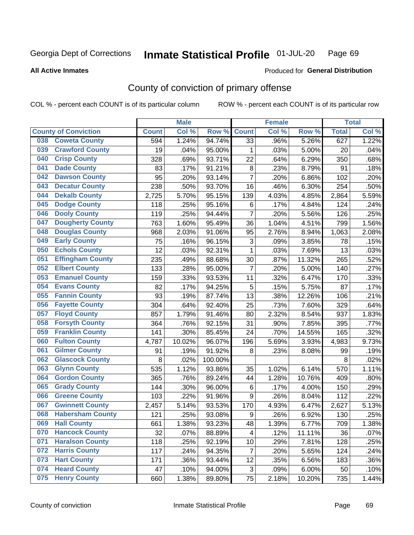#### Inmate Statistical Profile 01-JUL-20 Page 69

### **All Active Inmates**

## Produced for General Distribution

## County of conviction of primary offense

COL % - percent each COUNT is of its particular column

|                             |                         |              | <b>Male</b> |         |                           | <b>Female</b> |        |              | <b>Total</b> |
|-----------------------------|-------------------------|--------------|-------------|---------|---------------------------|---------------|--------|--------------|--------------|
| <b>County of Conviction</b> |                         | <b>Count</b> | Col %       | Row %   | <b>Count</b>              | Col %         | Row %  | <b>Total</b> | Col %        |
| 038                         | <b>Coweta County</b>    | 594          | 1.24%       | 94.74%  | 33                        | .96%          | 5.26%  | 627          | 1.22%        |
| 039                         | <b>Crawford County</b>  | 19           | .04%        | 95.00%  | 1                         | .03%          | 5.00%  | 20           | .04%         |
| 040                         | <b>Crisp County</b>     | 328          | .69%        | 93.71%  | 22                        | .64%          | 6.29%  | 350          | .68%         |
| 041                         | <b>Dade County</b>      | 83           | .17%        | 91.21%  | 8                         | .23%          | 8.79%  | 91           | .18%         |
| 042                         | <b>Dawson County</b>    | 95           | .20%        | 93.14%  | $\overline{7}$            | .20%          | 6.86%  | 102          | .20%         |
| 043                         | <b>Decatur County</b>   | 238          | .50%        | 93.70%  | 16                        | .46%          | 6.30%  | 254          | .50%         |
| 044                         | <b>Dekalb County</b>    | 2,725        | 5.70%       | 95.15%  | 139                       | 4.03%         | 4.85%  | 2,864        | 5.59%        |
| 045                         | <b>Dodge County</b>     | 118          | .25%        | 95.16%  | 6                         | .17%          | 4.84%  | 124          | .24%         |
| 046                         | <b>Dooly County</b>     | 119          | .25%        | 94.44%  | $\overline{7}$            | .20%          | 5.56%  | 126          | .25%         |
| 047                         | <b>Dougherty County</b> | 763          | 1.60%       | 95.49%  | 36                        | 1.04%         | 4.51%  | 799          | 1.56%        |
| 048                         | <b>Douglas County</b>   | 968          | 2.03%       | 91.06%  | 95                        | 2.76%         | 8.94%  | 1,063        | 2.08%        |
| 049                         | <b>Early County</b>     | 75           | .16%        | 96.15%  | $\ensuremath{\mathsf{3}}$ | .09%          | 3.85%  | 78           | .15%         |
| 050                         | <b>Echols County</b>    | 12           | .03%        | 92.31%  | 1                         | .03%          | 7.69%  | 13           | .03%         |
| 051                         | <b>Effingham County</b> | 235          | .49%        | 88.68%  | 30                        | .87%          | 11.32% | 265          | .52%         |
| 052                         | <b>Elbert County</b>    | 133          | .28%        | 95.00%  | $\overline{7}$            | .20%          | 5.00%  | 140          | .27%         |
| 053                         | <b>Emanuel County</b>   | 159          | .33%        | 93.53%  | 11                        | .32%          | 6.47%  | 170          | .33%         |
| 054                         | <b>Evans County</b>     | 82           | .17%        | 94.25%  | 5                         | .15%          | 5.75%  | 87           | .17%         |
| 055                         | <b>Fannin County</b>    | 93           | .19%        | 87.74%  | 13                        | .38%          | 12.26% | 106          | .21%         |
| 056                         | <b>Fayette County</b>   | 304          | .64%        | 92.40%  | 25                        | .73%          | 7.60%  | 329          | .64%         |
| 057                         | <b>Floyd County</b>     | 857          | 1.79%       | 91.46%  | 80                        | 2.32%         | 8.54%  | 937          | 1.83%        |
| 058                         | <b>Forsyth County</b>   | 364          | .76%        | 92.15%  | 31                        | .90%          | 7.85%  | 395          | .77%         |
| 059                         | <b>Franklin County</b>  | 141          | .30%        | 85.45%  | 24                        | .70%          | 14.55% | 165          | .32%         |
| 060                         | <b>Fulton County</b>    | 4,787        | 10.02%      | 96.07%  | 196                       | 5.69%         | 3.93%  | 4,983        | 9.73%        |
| 061                         | <b>Gilmer County</b>    | 91           | .19%        | 91.92%  | 8                         | .23%          | 8.08%  | 99           | .19%         |
| 062                         | <b>Glascock County</b>  | 8            | .02%        | 100.00% |                           |               |        | 8            | .02%         |
| 063                         | <b>Glynn County</b>     | 535          | 1.12%       | 93.86%  | 35                        | 1.02%         | 6.14%  | 570          | 1.11%        |
| 064                         | <b>Gordon County</b>    | 365          | .76%        | 89.24%  | 44                        | 1.28%         | 10.76% | 409          | .80%         |
| 065                         | <b>Grady County</b>     | 144          | .30%        | 96.00%  | 6                         | .17%          | 4.00%  | 150          | .29%         |
| 066                         | <b>Greene County</b>    | 103          | .22%        | 91.96%  | 9                         | .26%          | 8.04%  | 112          | .22%         |
| 067                         | <b>Gwinnett County</b>  | 2,457        | 5.14%       | 93.53%  | 170                       | 4.93%         | 6.47%  | 2,627        | 5.13%        |
| 068                         | <b>Habersham County</b> | 121          | .25%        | 93.08%  | 9                         | .26%          | 6.92%  | 130          | .25%         |
| 069<br><b>Hall County</b>   |                         | 661          | 1.38%       | 93.23%  | 48                        | 1.39%         | 6.77%  | 709          | 1.38%        |
| 070                         | <b>Hancock County</b>   | 32           | .07%        | 88.89%  | 4                         | .12%          | 11.11% | 36           | .07%         |
| 071                         | <b>Haralson County</b>  | 118          | .25%        | 92.19%  | 10                        | .29%          | 7.81%  | 128          | .25%         |
| 072                         | <b>Harris County</b>    | 117          | .24%        | 94.35%  | $\overline{7}$            | .20%          | 5.65%  | 124          | .24%         |
| 073                         | <b>Hart County</b>      | 171          | .36%        | 93.44%  | 12                        | .35%          | 6.56%  | 183          | .36%         |
| 074                         | <b>Heard County</b>     | 47           | .10%        | 94.00%  | 3                         | .09%          | 6.00%  | 50           | .10%         |
| 075                         | <b>Henry County</b>     | 660          | 1.38%       | 89.80%  | 75                        | 2.18%         | 10.20% | 735          | 1.44%        |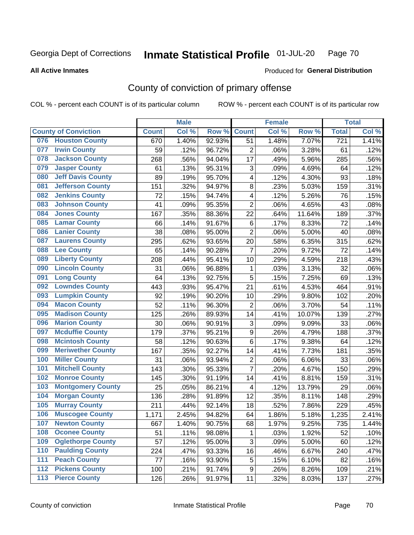#### Inmate Statistical Profile 01-JUL-20 Page 70

### **All Active Inmates**

# Produced for General Distribution

## County of conviction of primary offense

COL % - percent each COUNT is of its particular column

|       |                             |              | <b>Male</b> |        |                           | <b>Female</b> |        |                  | <b>Total</b> |
|-------|-----------------------------|--------------|-------------|--------|---------------------------|---------------|--------|------------------|--------------|
|       | <b>County of Conviction</b> | <b>Count</b> | Col %       | Row %  | <b>Count</b>              | Col %         | Row %  | <b>Total</b>     | Col %        |
| 076   | <b>Houston County</b>       | 670          | 1.40%       | 92.93% | 51                        | 1.48%         | 7.07%  | $\overline{721}$ | 1.41%        |
| 077   | <b>Irwin County</b>         | 59           | .12%        | 96.72% | $\overline{2}$            | .06%          | 3.28%  | 61               | .12%         |
| 078   | <b>Jackson County</b>       | 268          | .56%        | 94.04% | 17                        | .49%          | 5.96%  | 285              | .56%         |
| 079   | <b>Jasper County</b>        | 61           | .13%        | 95.31% | $\ensuremath{\mathsf{3}}$ | .09%          | 4.69%  | 64               | .12%         |
| 080   | <b>Jeff Davis County</b>    | 89           | .19%        | 95.70% | 4                         | .12%          | 4.30%  | 93               | .18%         |
| 081   | <b>Jefferson County</b>     | 151          | .32%        | 94.97% | 8                         | .23%          | 5.03%  | 159              | .31%         |
| 082   | <b>Jenkins County</b>       | 72           | .15%        | 94.74% | 4                         | .12%          | 5.26%  | 76               | .15%         |
| 083   | <b>Johnson County</b>       | 41           | .09%        | 95.35% | $\overline{2}$            | .06%          | 4.65%  | 43               | .08%         |
| 084   | <b>Jones County</b>         | 167          | .35%        | 88.36% | 22                        | .64%          | 11.64% | 189              | .37%         |
| 085   | <b>Lamar County</b>         | 66           | .14%        | 91.67% | 6                         | .17%          | 8.33%  | 72               | .14%         |
| 086   | <b>Lanier County</b>        | 38           | .08%        | 95.00% | $\overline{2}$            | .06%          | 5.00%  | 40               | .08%         |
| 087   | <b>Laurens County</b>       | 295          | .62%        | 93.65% | 20                        | .58%          | 6.35%  | 315              | .62%         |
| 088   | <b>Lee County</b>           | 65           | .14%        | 90.28% | $\overline{7}$            | .20%          | 9.72%  | 72               | .14%         |
| 089   | <b>Liberty County</b>       | 208          | .44%        | 95.41% | 10                        | .29%          | 4.59%  | 218              | .43%         |
| 090   | <b>Lincoln County</b>       | 31           | .06%        | 96.88% | 1                         | .03%          | 3.13%  | 32               | .06%         |
| 091   | <b>Long County</b>          | 64           | .13%        | 92.75% | 5                         | .15%          | 7.25%  | 69               | .13%         |
| 092   | <b>Lowndes County</b>       | 443          | .93%        | 95.47% | 21                        | .61%          | 4.53%  | 464              | .91%         |
| 093   | <b>Lumpkin County</b>       | 92           | .19%        | 90.20% | 10                        | .29%          | 9.80%  | 102              | .20%         |
| 094   | <b>Macon County</b>         | 52           | .11%        | 96.30% | $\overline{2}$            | .06%          | 3.70%  | 54               | .11%         |
| 095   | <b>Madison County</b>       | 125          | .26%        | 89.93% | 14                        | .41%          | 10.07% | 139              | .27%         |
| 096   | <b>Marion County</b>        | 30           | .06%        | 90.91% | 3                         | .09%          | 9.09%  | 33               | .06%         |
| 097   | <b>Mcduffie County</b>      | 179          | .37%        | 95.21% | 9                         | .26%          | 4.79%  | 188              | .37%         |
| 098   | <b>Mcintosh County</b>      | 58           | .12%        | 90.63% | 6                         | .17%          | 9.38%  | 64               | .12%         |
| 099   | <b>Meriwether County</b>    | 167          | .35%        | 92.27% | 14                        | .41%          | 7.73%  | 181              | .35%         |
| 100   | <b>Miller County</b>        | 31           | .06%        | 93.94% | $\mathbf 2$               | .06%          | 6.06%  | 33               | .06%         |
| 101   | <b>Mitchell County</b>      | 143          | .30%        | 95.33% | $\overline{7}$            | .20%          | 4.67%  | 150              | .29%         |
| 102   | <b>Monroe County</b>        | 145          | .30%        | 91.19% | 14                        | .41%          | 8.81%  | 159              | .31%         |
| 103   | <b>Montgomery County</b>    | 25           | .05%        | 86.21% | 4                         | .12%          | 13.79% | 29               | .06%         |
| 104   | <b>Morgan County</b>        | 136          | .28%        | 91.89% | 12                        | .35%          | 8.11%  | 148              | .29%         |
| 105   | <b>Murray County</b>        | 211          | .44%        | 92.14% | 18                        | .52%          | 7.86%  | 229              | .45%         |
| 106   | <b>Muscogee County</b>      | 1,171        | 2.45%       | 94.82% | 64                        | 1.86%         | 5.18%  | 1,235            | 2.41%        |
| 107   | <b>Newton County</b>        | 667          | 1.40%       | 90.75% | 68                        | 1.97%         | 9.25%  | 735              | 1.44%        |
| 108   | <b>Oconee County</b>        | 51           | .11%        | 98.08% | 1                         | .03%          | 1.92%  | 52               | .10%         |
| 109   | <b>Oglethorpe County</b>    | 57           | .12%        | 95.00% | 3                         | .09%          | 5.00%  | 60               | .12%         |
| 110   | <b>Paulding County</b>      | 224          | .47%        | 93.33% | 16                        | .46%          | 6.67%  | 240              | .47%         |
| 111   | <b>Peach County</b>         | 77           | .16%        | 93.90% | 5                         | .15%          | 6.10%  | 82               | .16%         |
| 112   | <b>Pickens County</b>       | 100          | .21%        | 91.74% | 9                         | .26%          | 8.26%  | 109              | .21%         |
| $113$ | <b>Pierce County</b>        | 126          | .26%        | 91.97% | 11                        | .32%          | 8.03%  | 137              | .27%         |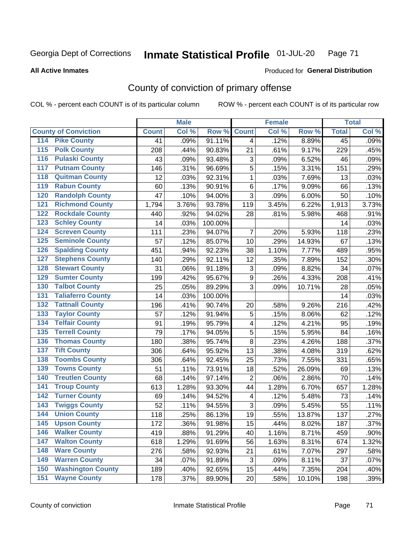#### Inmate Statistical Profile 01-JUL-20 Page 71

### **All Active Inmates**

## Produced for General Distribution

## County of conviction of primary offense

COL % - percent each COUNT is of its particular column

|                                          |              | <b>Male</b> |         |                           | <b>Female</b> |        |                 | <b>Total</b> |
|------------------------------------------|--------------|-------------|---------|---------------------------|---------------|--------|-----------------|--------------|
| <b>County of Conviction</b>              | <b>Count</b> | Col %       | Row %   | <b>Count</b>              | Col %         | Row %  | <b>Total</b>    | Col %        |
| <b>Pike County</b><br>114                | 41           | .09%        | 91.11%  | 4                         | .12%          | 8.89%  | $\overline{45}$ | .09%         |
| <b>Polk County</b><br>$\overline{115}$   | 208          | .44%        | 90.83%  | 21                        | .61%          | 9.17%  | 229             | .45%         |
| <b>Pulaski County</b><br>116             | 43           | .09%        | 93.48%  | 3                         | .09%          | 6.52%  | 46              | .09%         |
| <b>Putnam County</b><br>117              | 146          | .31%        | 96.69%  | 5                         | .15%          | 3.31%  | 151             | .29%         |
| <b>Quitman County</b><br>118             | 12           | .03%        | 92.31%  | $\mathbf{1}$              | .03%          | 7.69%  | 13              | .03%         |
| <b>Rabun County</b><br>119               | 60           | .13%        | 90.91%  | $\,6$                     | .17%          | 9.09%  | 66              | .13%         |
| <b>Randolph County</b><br>120            | 47           | .10%        | 94.00%  | 3                         | .09%          | 6.00%  | 50              | .10%         |
| <b>Richmond County</b><br>121            | 1,794        | 3.76%       | 93.78%  | 119                       | 3.45%         | 6.22%  | 1,913           | 3.73%        |
| <b>Rockdale County</b><br>122            | 440          | .92%        | 94.02%  | 28                        | .81%          | 5.98%  | 468             | .91%         |
| 123<br><b>Schley County</b>              | 14           | .03%        | 100.00% |                           |               |        | 14              | .03%         |
| <b>Screven County</b><br>124             | 111          | .23%        | 94.07%  | $\overline{7}$            | .20%          | 5.93%  | 118             | .23%         |
| <b>Seminole County</b><br>125            | 57           | .12%        | 85.07%  | 10                        | .29%          | 14.93% | 67              | .13%         |
| <b>Spalding County</b><br>126            | 451          | .94%        | 92.23%  | 38                        | 1.10%         | 7.77%  | 489             | .95%         |
| 127<br><b>Stephens County</b>            | 140          | .29%        | 92.11%  | 12                        | .35%          | 7.89%  | 152             | .30%         |
| <b>Stewart County</b><br>128             | 31           | .06%        | 91.18%  | $\ensuremath{\mathsf{3}}$ | .09%          | 8.82%  | 34              | .07%         |
| <b>Sumter County</b><br>129              | 199          | .42%        | 95.67%  | $\boldsymbol{9}$          | .26%          | 4.33%  | 208             | .41%         |
| <b>Talbot County</b><br>130              | 25           | .05%        | 89.29%  | 3                         | .09%          | 10.71% | 28              | .05%         |
| <b>Taliaferro County</b><br>131          | 14           | .03%        | 100.00% |                           |               |        | 14              | .03%         |
| <b>Tattnall County</b><br>132            | 196          | .41%        | 90.74%  | 20                        | .58%          | 9.26%  | 216             | .42%         |
| 133<br><b>Taylor County</b>              | 57           | .12%        | 91.94%  | $\mathbf 5$               | .15%          | 8.06%  | 62              | .12%         |
| <b>Telfair County</b><br>134             | 91           | .19%        | 95.79%  | 4                         | .12%          | 4.21%  | 95              | .19%         |
| <b>Terrell County</b><br>135             | 79           | .17%        | 94.05%  | $\sqrt{5}$                | .15%          | 5.95%  | 84              | .16%         |
| <b>Thomas County</b><br>136              | 180          | .38%        | 95.74%  | 8                         | .23%          | 4.26%  | 188             | .37%         |
| <b>Tift County</b><br>137                | 306          | .64%        | 95.92%  | 13                        | .38%          | 4.08%  | 319             | .62%         |
| <b>Toombs County</b><br>138              | 306          | .64%        | 92.45%  | 25                        | .73%          | 7.55%  | 331             | .65%         |
| <b>Towns County</b><br>139               | 51           | .11%        | 73.91%  | 18                        | .52%          | 26.09% | 69              | .13%         |
| <b>Treutlen County</b><br>140            | 68           | .14%        | 97.14%  | $\overline{2}$            | .06%          | 2.86%  | 70              | .14%         |
| <b>Troup County</b><br>141               | 613          | 1.28%       | 93.30%  | 44                        | 1.28%         | 6.70%  | 657             | 1.28%        |
| <b>Turner County</b><br>142              | 69           | .14%        | 94.52%  | $\overline{\mathbf{4}}$   | .12%          | 5.48%  | 73              | .14%         |
| $\overline{143}$<br><b>Twiggs County</b> | 52           | .11%        | 94.55%  | $\sqrt{3}$                | .09%          | 5.45%  | 55              | .11%         |
| <b>Union County</b><br>144               | 118          | .25%        | 86.13%  | 19                        | .55%          | 13.87% | 137             | .27%         |
| 145<br><b>Upson County</b>               | 172          | .36%        | 91.98%  | 15                        | .44%          | 8.02%  | 187             | .37%         |
| <b>Walker County</b><br>146              | 419          | .88%        | 91.29%  | 40                        | 1.16%         | 8.71%  | 459             | .90%         |
| 147<br><b>Walton County</b>              | 618          | 1.29%       | 91.69%  | 56                        | 1.63%         | 8.31%  | 674             | 1.32%        |
| <b>Ware County</b><br>148                | 276          | .58%        | 92.93%  | 21                        | .61%          | 7.07%  | 297             | .58%         |
| <b>Warren County</b><br>149              | 34           | .07%        | 91.89%  | 3                         | .09%          | 8.11%  | 37              | .07%         |
| <b>Washington County</b><br>150          | 189          | .40%        | 92.65%  | 15                        | .44%          | 7.35%  | 204             | .40%         |
| <b>Wayne County</b><br>151               | 178          | .37%        | 89.90%  | 20                        | .58%          | 10.10% | 198             | .39%         |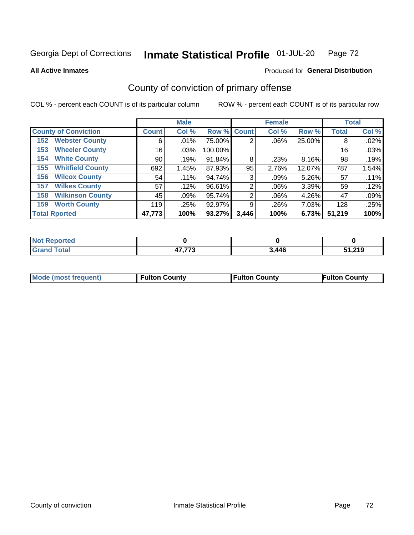#### Inmate Statistical Profile 01-JUL-20 Page 72

**All Active Inmates** 

### Produced for General Distribution

## County of conviction of primary offense

COL % - percent each COUNT is of its particular column

|                                |              | <b>Male</b> |             |       | <b>Female</b> |        |              | <b>Total</b> |
|--------------------------------|--------------|-------------|-------------|-------|---------------|--------|--------------|--------------|
| <b>County of Conviction</b>    | <b>Count</b> | Col %       | Row % Count |       | Col %         | Row %  | <b>Total</b> | Col %        |
| <b>Webster County</b><br>152   | 6            | $.01\%$     | 75.00%      | 2     | $.06\%$       | 25.00% | 8            | .02%         |
| <b>Wheeler County</b><br>153   | 16           | $.03\%$     | 100.00%     |       |               |        | 16           | .03%         |
| <b>White County</b><br>154     | 90           | .19%        | 91.84%      | 8     | .23%          | 8.16%  | 98           | .19%         |
| <b>Whitfield County</b><br>155 | 692          | 1.45%       | 87.93%      | 95    | 2.76%         | 12.07% | 787          | 1.54%        |
| <b>Wilcox County</b><br>156    | 54           | .11%        | 94.74%      | 3     | $.09\%$       | 5.26%  | 57           | .11%         |
| <b>Wilkes County</b><br>157    | 57           | .12%        | 96.61%      | 2     | $.06\%$       | 3.39%  | 59           | .12%         |
| <b>Wilkinson County</b><br>158 | 45           | .09%        | 95.74%      | 2     | $.06\%$       | 4.26%  | 47           | .09%         |
| <b>Worth County</b><br>159     | 119          | .25%        | 92.97%      | 9     | .26%          | 7.03%  | 128          | .25%         |
| <b>Total Rported</b>           | 47,773       | 100%        | 93.27%      | 3,446 | 100%          | 6.73%  | 51,219       | 100%         |

| <b>Not Reported</b> |                         |       |        |
|---------------------|-------------------------|-------|--------|
| <b>Grand Total</b>  | ハフ フフク<br>л /<br>41.IIJ | 3,446 | 51,219 |

| <b>Mode (most frequent)</b> | <b>Fulton County</b> | <b>Fulton County</b> | <b>Fulton County</b> |
|-----------------------------|----------------------|----------------------|----------------------|
|                             |                      |                      |                      |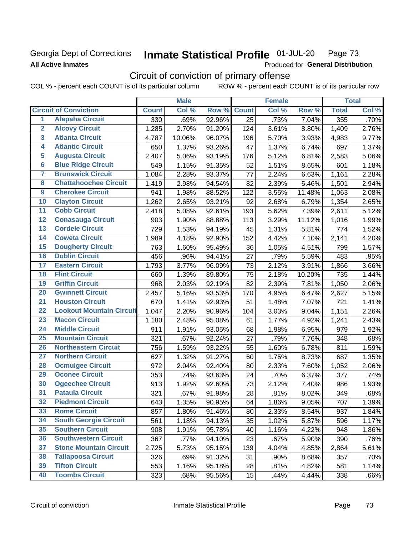## Georgia Dept of Corrections **All Active Inmates**

#### Inmate Statistical Profile 01-JUL-20 Page 73

Produced for General Distribution

# Circuit of conviction of primary offense

COL % - percent each COUNT is of its particular column ROW % - percent each COUNT is of its particular row

|                         |                                 | <b>Male</b>  |        |        | <b>Female</b> |       |        | <b>Total</b> |       |
|-------------------------|---------------------------------|--------------|--------|--------|---------------|-------|--------|--------------|-------|
|                         | <b>Circuit of Conviction</b>    | <b>Count</b> | Col %  | Row %  | <b>Count</b>  | Col % | Row %  | <b>Total</b> | Col % |
| 1                       | <b>Alapaha Circuit</b>          | 330          | .69%   | 92.96% | 25            | .73%  | 7.04%  | 355          | .70%  |
| $\overline{2}$          | <b>Alcovy Circuit</b>           | 1,285        | 2.70%  | 91.20% | 124           | 3.61% | 8.80%  | 1,409        | 2.76% |
| $\overline{\mathbf{3}}$ | <b>Atlanta Circuit</b>          | 4,787        | 10.06% | 96.07% | 196           | 5.70% | 3.93%  | 4,983        | 9.77% |
| 4                       | <b>Atlantic Circuit</b>         | 650          | 1.37%  | 93.26% | 47            | 1.37% | 6.74%  | 697          | 1.37% |
| 5                       | <b>Augusta Circuit</b>          | 2,407        | 5.06%  | 93.19% | 176           | 5.12% | 6.81%  | 2,583        | 5.06% |
| $\overline{\bf{6}}$     | <b>Blue Ridge Circuit</b>       | 549          | 1.15%  | 91.35% | 52            | 1.51% | 8.65%  | 601          | 1.18% |
| 7                       | <b>Brunswick Circuit</b>        | 1,084        | 2.28%  | 93.37% | 77            | 2.24% | 6.63%  | 1,161        | 2.28% |
| $\overline{\mathbf{8}}$ | <b>Chattahoochee Circuit</b>    | 1,419        | 2.98%  | 94.54% | 82            | 2.39% | 5.46%  | 1,501        | 2.94% |
| $\overline{9}$          | <b>Cherokee Circuit</b>         | 941          | 1.98%  | 88.52% | 122           | 3.55% | 11.48% | 1,063        | 2.08% |
| 10                      | <b>Clayton Circuit</b>          | 1,262        | 2.65%  | 93.21% | 92            | 2.68% | 6.79%  | 1,354        | 2.65% |
| $\overline{11}$         | <b>Cobb Circuit</b>             | 2,418        | 5.08%  | 92.61% | 193           | 5.62% | 7.39%  | 2,611        | 5.12% |
| $\overline{12}$         | <b>Conasauga Circuit</b>        | 903          | 1.90%  | 88.88% | 113           | 3.29% | 11.12% | 1,016        | 1.99% |
| 13                      | <b>Cordele Circuit</b>          | 729          | 1.53%  | 94.19% | 45            | 1.31% | 5.81%  | 774          | 1.52% |
| $\overline{14}$         | <b>Coweta Circuit</b>           | 1,989        | 4.18%  | 92.90% | 152           | 4.42% | 7.10%  | 2,141        | 4.20% |
| 15                      | <b>Dougherty Circuit</b>        | 763          | 1.60%  | 95.49% | 36            | 1.05% | 4.51%  | 799          | 1.57% |
| 16                      | <b>Dublin Circuit</b>           | 456          | .96%   | 94.41% | 27            | .79%  | 5.59%  | 483          | .95%  |
| 17                      | <b>Eastern Circuit</b>          | 1,793        | 3.77%  | 96.09% | 73            | 2.12% | 3.91%  | 1,866        | 3.66% |
| $\overline{18}$         | <b>Flint Circuit</b>            | 660          | 1.39%  | 89.80% | 75            | 2.18% | 10.20% | 735          | 1.44% |
| 19                      | <b>Griffin Circuit</b>          | 968          | 2.03%  | 92.19% | 82            | 2.39% | 7.81%  | 1,050        | 2.06% |
| $\overline{20}$         | <b>Gwinnett Circuit</b>         | 2,457        | 5.16%  | 93.53% | 170           | 4.95% | 6.47%  | 2,627        | 5.15% |
| $\overline{21}$         | <b>Houston Circuit</b>          | 670          | 1.41%  | 92.93% | 51            | 1.48% | 7.07%  | 721          | 1.41% |
| $\overline{22}$         | <b>Lookout Mountain Circuit</b> | 1,047        | 2.20%  | 90.96% | 104           | 3.03% | 9.04%  | 1,151        | 2.26% |
| 23                      | <b>Macon Circuit</b>            | 1,180        | 2.48%  | 95.08% | 61            | 1.77% | 4.92%  | 1,241        | 2.43% |
| $\overline{24}$         | <b>Middle Circuit</b>           | 911          | 1.91%  | 93.05% | 68            | 1.98% | 6.95%  | 979          | 1.92% |
| $\overline{25}$         | <b>Mountain Circuit</b>         | 321          | .67%   | 92.24% | 27            | .79%  | 7.76%  | 348          | .68%  |
| 26                      | <b>Northeastern Circuit</b>     | 756          | 1.59%  | 93.22% | 55            | 1.60% | 6.78%  | 811          | 1.59% |
| $\overline{27}$         | <b>Northern Circuit</b>         | 627          | 1.32%  | 91.27% | 60            | 1.75% | 8.73%  | 687          | 1.35% |
| 28                      | <b>Ocmulgee Circuit</b>         | 972          | 2.04%  | 92.40% | 80            | 2.33% | 7.60%  | 1,052        | 2.06% |
| 29                      | <b>Oconee Circuit</b>           | 353          | .74%   | 93.63% | 24            | .70%  | 6.37%  | 377          | .74%  |
| 30                      | <b>Ogeechee Circuit</b>         | 913          | 1.92%  | 92.60% | 73            | 2.12% | 7.40%  | 986          | 1.93% |
| $\overline{31}$         | <b>Pataula Circuit</b>          | 321          | .67%   | 91.98% | 28            | .81%  | 8.02%  | 349          | .68%  |
| 32                      | <b>Piedmont Circuit</b>         | 643          | 1.35%  | 90.95% | 64            | 1.86% | 9.05%  | 707          | 1.39% |
| 33                      | <b>Rome Circuit</b>             | 857          | 1.80%  | 91.46% | 80            | 2.33% | 8.54%  | 937          | 1.84% |
| 34                      | <b>South Georgia Circuit</b>    | 561          | 1.18%  | 94.13% | 35            | 1.02% | 5.87%  | 596          | 1.17% |
| 35                      | <b>Southern Circuit</b>         | 908          | 1.91%  | 95.78% | 40            | 1.16% | 4.22%  | 948          | 1.86% |
| 36                      | <b>Southwestern Circuit</b>     | 367          | .77%   | 94.10% | 23            | .67%  | 5.90%  | 390          | .76%  |
| 37                      | <b>Stone Mountain Circuit</b>   | 2,725        | 5.73%  | 95.15% | 139           | 4.04% | 4.85%  | 2,864        | 5.61% |
| 38                      | <b>Tallapoosa Circuit</b>       | 326          | .69%   | 91.32% | 31            | .90%  | 8.68%  | 357          | .70%  |
| 39                      | <b>Tifton Circuit</b>           | 553          | 1.16%  | 95.18% | 28            | .81%  | 4.82%  | 581          | 1.14% |
| 40                      | <b>Toombs Circuit</b>           | 323          | .68%   | 95.56% | 15            | .44%  | 4.44%  | 338          | .66%  |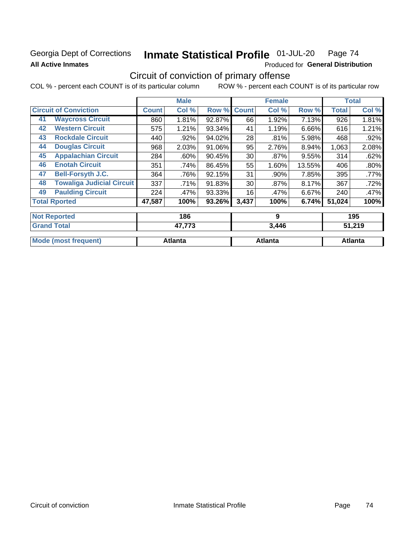## **Georgia Dept of Corrections All Active Inmates**

#### Inmate Statistical Profile 01-JUL-20 Page 74

Produced for General Distribution

## Circuit of conviction of primary offense

|                      |                                  |              | <b>Male</b> |        |              | <b>Female</b> |        |              | <b>Total</b> |  |
|----------------------|----------------------------------|--------------|-------------|--------|--------------|---------------|--------|--------------|--------------|--|
|                      | <b>Circuit of Conviction</b>     | <b>Count</b> | Col %       | Row %  | <b>Count</b> | Col %         | Row %  | <b>Total</b> | Col %        |  |
| 41                   | <b>Waycross Circuit</b>          | 860          | 1.81%       | 92.87% | 66           | 1.92%         | 7.13%  | 926          | 1.81%        |  |
| 42                   | <b>Western Circuit</b>           | 575          | 1.21%       | 93.34% | 41           | 1.19%         | 6.66%  | 616          | 1.21%        |  |
| 43                   | <b>Rockdale Circuit</b>          | 440          | .92%        | 94.02% | 28           | .81%          | 5.98%  | 468          | .92%         |  |
| 44                   | <b>Douglas Circuit</b>           | 968          | 2.03%       | 91.06% | 95           | 2.76%         | 8.94%  | 1,063        | 2.08%        |  |
| 45                   | <b>Appalachian Circuit</b>       | 284          | .60%        | 90.45% | 30           | $.87\%$       | 9.55%  | 314          | .62%         |  |
| 46                   | <b>Enotah Circuit</b>            | 351          | .74%        | 86.45% | 55           | 1.60%         | 13.55% | 406          | .80%         |  |
| 47                   | <b>Bell-Forsyth J.C.</b>         | 364          | .76%        | 92.15% | 31           | .90%          | 7.85%  | 395          | $.77\%$      |  |
| 48                   | <b>Towaliga Judicial Circuit</b> | 337          | .71%        | 91.83% | 30           | $.87\%$       | 8.17%  | 367          | .72%         |  |
| 49                   | <b>Paulding Circuit</b>          | 224          | .47%        | 93.33% | 16           | .47%          | 6.67%  | 240          | .47%         |  |
| <b>Total Rported</b> |                                  | 47,587       | 100%        | 93.26% | 3,437        | 100%          | 6.74%  | 51,024       | 100%         |  |
|                      | <b>Not Reported</b>              |              | 186         |        |              | 9             |        |              | 195          |  |

| $\sim$                                | ---     | 3.446   | נו דכי<br>6 I J |
|---------------------------------------|---------|---------|-----------------|
| <b>Mode</b><br>frequent)<br>™e (mos⊾. | √tlanta | Atlanta | tlanta          |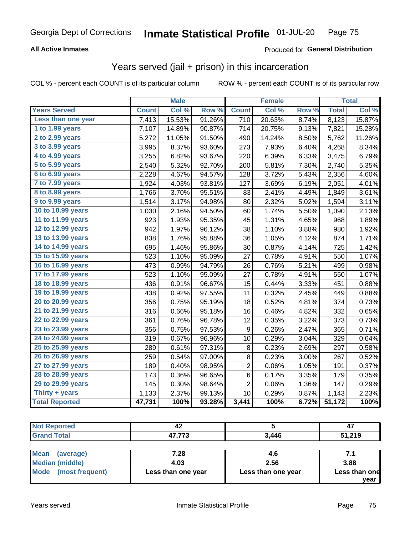### **All Active Inmates**

#### Produced for **General Distribution**

## Years served (jail + prison) in this incarceration

|                              |              | <b>Male</b> |                  |                  | <b>Female</b> |       |              | <b>Total</b> |
|------------------------------|--------------|-------------|------------------|------------------|---------------|-------|--------------|--------------|
| <b>Years Served</b>          | <b>Count</b> | Col %       | Row <sup>%</sup> | <b>Count</b>     | Col %         | Row % | <b>Total</b> | Col%         |
| Less than one year           | 7,413        | 15.53%      | 91.26%           | 710              | 20.63%        | 8.74% | 8,123        | 15.87%       |
| 1 to 1.99 years              | 7,107        | 14.89%      | 90.87%           | 714              | 20.75%        | 9.13% | 7,821        | 15.28%       |
| 2 to 2.99 years              | 5,272        | 11.05%      | 91.50%           | 490              | 14.24%        | 8.50% | 5,762        | 11.26%       |
| 3 to 3.99 years              | 3,995        | 8.37%       | 93.60%           | 273              | 7.93%         | 6.40% | 4,268        | 8.34%        |
| 4 to 4.99 years              | 3,255        | 6.82%       | 93.67%           | 220              | 6.39%         | 6.33% | 3,475        | 6.79%        |
| $\overline{5}$ to 5.99 years | 2,540        | 5.32%       | 92.70%           | 200              | 5.81%         | 7.30% | 2,740        | 5.35%        |
| 6 to 6.99 years              | 2,228        | 4.67%       | 94.57%           | 128              | 3.72%         | 5.43% | 2,356        | 4.60%        |
| 7 to 7.99 years              | 1,924        | 4.03%       | 93.81%           | 127              | 3.69%         | 6.19% | 2,051        | 4.01%        |
| <b>8 to 8.99 years</b>       | 1,766        | 3.70%       | 95.51%           | 83               | 2.41%         | 4.49% | 1,849        | 3.61%        |
| 9 to 9.99 years              | 1,514        | 3.17%       | 94.98%           | 80               | 2.32%         | 5.02% | 1,594        | 3.11%        |
| 10 to 10.99 years            | 1,030        | 2.16%       | 94.50%           | 60               | 1.74%         | 5.50% | 1,090        | 2.13%        |
| 11 to 11.99 years            | 923          | 1.93%       | 95.35%           | 45               | 1.31%         | 4.65% | 968          | 1.89%        |
| 12 to 12.99 years            | 942          | 1.97%       | 96.12%           | 38               | 1.10%         | 3.88% | 980          | 1.92%        |
| 13 to 13.99 years            | 838          | 1.76%       | 95.88%           | 36               | 1.05%         | 4.12% | 874          | 1.71%        |
| 14 to 14.99 years            | 695          | 1.46%       | 95.86%           | 30               | 0.87%         | 4.14% | 725          | 1.42%        |
| 15 to 15.99 years            | 523          | 1.10%       | 95.09%           | 27               | 0.78%         | 4.91% | 550          | 1.07%        |
| 16 to 16.99 years            | 473          | 0.99%       | 94.79%           | 26               | 0.76%         | 5.21% | 499          | 0.98%        |
| 17 to 17.99 years            | 523          | 1.10%       | 95.09%           | 27               | 0.78%         | 4.91% | 550          | 1.07%        |
| 18 to 18.99 years            | 436          | 0.91%       | 96.67%           | 15               | 0.44%         | 3.33% | 451          | 0.88%        |
| 19 to 19.99 years            | 438          | 0.92%       | 97.55%           | 11               | 0.32%         | 2.45% | 449          | 0.88%        |
| 20 to 20.99 years            | 356          | 0.75%       | 95.19%           | 18               | 0.52%         | 4.81% | 374          | 0.73%        |
| 21 to 21.99 years            | 316          | 0.66%       | 95.18%           | 16               | 0.46%         | 4.82% | 332          | 0.65%        |
| 22 to 22.99 years            | 361          | 0.76%       | 96.78%           | 12               | 0.35%         | 3.22% | 373          | 0.73%        |
| 23 to 23.99 years            | 356          | 0.75%       | 97.53%           | $\boldsymbol{9}$ | 0.26%         | 2.47% | 365          | 0.71%        |
| 24 to 24.99 years            | 319          | 0.67%       | 96.96%           | 10               | 0.29%         | 3.04% | 329          | 0.64%        |
| 25 to 25.99 years            | 289          | 0.61%       | 97.31%           | 8                | 0.23%         | 2.69% | 297          | 0.58%        |
| 26 to 26.99 years            | 259          | 0.54%       | 97.00%           | 8                | 0.23%         | 3.00% | 267          | 0.52%        |
| 27 to 27.99 years            | 189          | 0.40%       | 98.95%           | $\overline{2}$   | 0.06%         | 1.05% | 191          | 0.37%        |
| 28 to 28.99 years            | 173          | 0.36%       | 96.65%           | 6                | 0.17%         | 3.35% | 179          | 0.35%        |
| 29 to 29.99 years            | 145          | 0.30%       | 98.64%           | $\overline{2}$   | 0.06%         | 1.36% | 147          | 0.29%        |
| Thirty + years               | 1,133        | 2.37%       | 99.13%           | 10               | 0.29%         | 0.87% | 1,143        | 2.23%        |
| <b>Total Reported</b>        | 47,731       | 100%        | 93.28%           | 3,441            | 100%          | 6.72% | 51,172       | 100%         |

| urteo<br>NO | - 2                |       | 4.     |
|-------------|--------------------|-------|--------|
|             | 47.770<br>,,J<br>, | 3.446 | 51,219 |

| Mean<br>(average)    | 7.28               | 4.6                |               |
|----------------------|--------------------|--------------------|---------------|
| Median (middle)      | 4.03               | 2.56               | 3.88          |
| Mode (most frequent) | Less than one year | Less than one year | Less than one |
|                      |                    |                    | year          |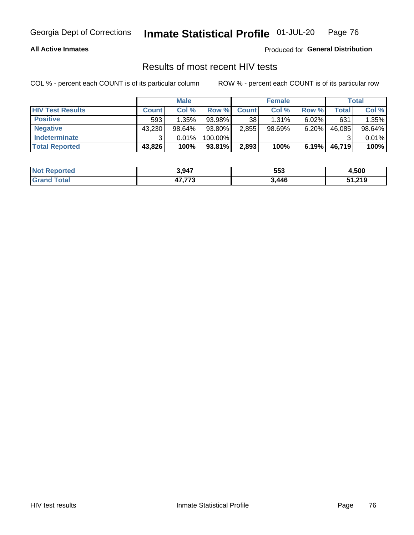#### **All Active Inmates**

Produced for **General Distribution**

### Results of most recent HIV tests

|                         | <b>Male</b>  |           | <b>Female</b> |              |           | <b>Total</b> |        |        |
|-------------------------|--------------|-----------|---------------|--------------|-----------|--------------|--------|--------|
| <b>HIV Test Results</b> | <b>Count</b> | Col %     | Row %I        | <b>Count</b> | Col %     | Row %        | Total  | Col %  |
| <b>Positive</b>         | 593          | 1.35%     | 93.98%        | 38           | 1.31%     | $6.02\%$     | 631    | 1.35%  |
| <b>Negative</b>         | 43,230       | $98.64\%$ | 93.80%        | 2,855        | $98.69\%$ | 6.20%        | 46,085 | 98.64% |
| <b>Indeterminate</b>    | ີ            | 0.01%     | 100.00%       |              |           |              |        | 0.01%  |
| <b>Total Reported</b>   | 43,826       | 100%      | 93.81%        | 2,893        | 100%      | 6.19%        | 46,719 | 100%   |

| <b>Not Reported</b> | 3,947         | 553  | 500,ا  |
|---------------------|---------------|------|--------|
| Total<br>Gran       | 17.770<br>د ، | ,446 | 51,219 |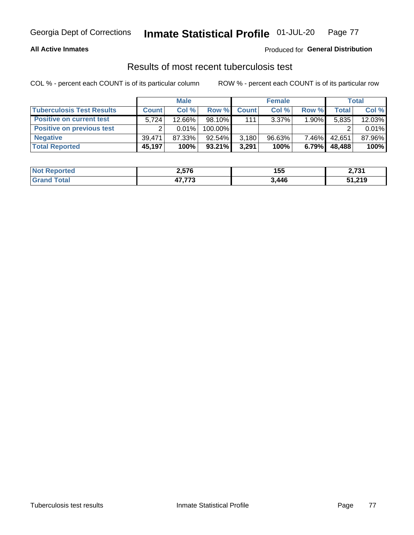#### **All Active Inmates**

#### Produced for **General Distribution**

### Results of most recent tuberculosis test

|                                  | <b>Male</b>  |           | <b>Female</b> |              |           | Total    |              |        |
|----------------------------------|--------------|-----------|---------------|--------------|-----------|----------|--------------|--------|
| <b>Tuberculosis Test Results</b> | <b>Count</b> | Col%      | Row %         | <b>Count</b> | Col %     | Row %    | <b>Total</b> | Col %  |
| <b>Positive on current test</b>  | 5.724        | $12.66\%$ | $98.10\%$     | 111          | $3.37\%$  | $1.90\%$ | 5,835        | 12.03% |
| <b>Positive on previous test</b> | ົ            | $0.01\%$  | 100.00%       |              |           |          |              | 0.01%  |
| <b>Negative</b>                  | 39.471       | 87.33%    | $92.54\%$     | 3,180        | $96.63\%$ | $7.46\%$ | 42.651       | 87.96% |
| <b>Total Reported</b>            | 45,197       | 100%      | $93.21\%$     | 3,291        | 100%      | 6.79%    | 48,488       | 100%   |

| <b>Not Reported</b>     | 2,576         | 155   | 2 724<br>4,7 J I |
|-------------------------|---------------|-------|------------------|
| <b>Total</b><br>' Grano | 17.770<br>د ، | 3,446 | 51,219           |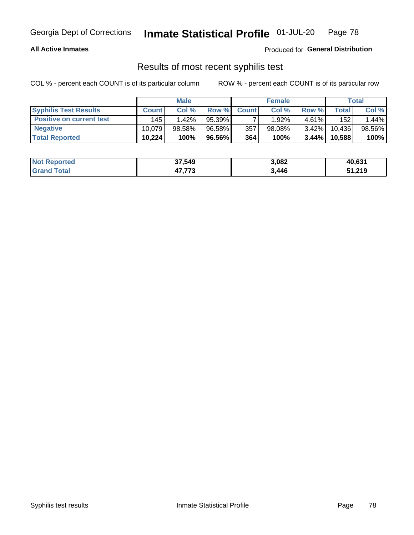#### **All Active Inmates**

Produced for **General Distribution**

### Results of most recent syphilis test

|                                 | <b>Male</b>  |           | <b>Female</b> |              |           | Total    |        |        |
|---------------------------------|--------------|-----------|---------------|--------------|-----------|----------|--------|--------|
| <b>Syphilis Test Results</b>    | <b>Count</b> | Col%      | Row %I        | <b>Count</b> | Col %     | Row %    | Total  | Col %  |
| <b>Positive on current test</b> | 145          | 1.42%     | 95.39%        |              | 1.92%     | $4.61\%$ | 152    | 1.44%  |
| <b>Negative</b>                 | 10.079       | $98.58\%$ | 96.58%        | 357          | $98.08\%$ | $3.42\%$ | 10,436 | 98.56% |
| <b>Total Reported</b>           | 10,224       | 100%      | 96.56% I      | 364          | 100%      | $3.44\%$ | 10,588 | 100%   |

| <b>Not Reported</b> | 37,549           | 3,082 | 40,631 |
|---------------------|------------------|-------|--------|
| <b>Grand Total</b>  | 17.770<br>41.113 | 3,446 | 51,219 |